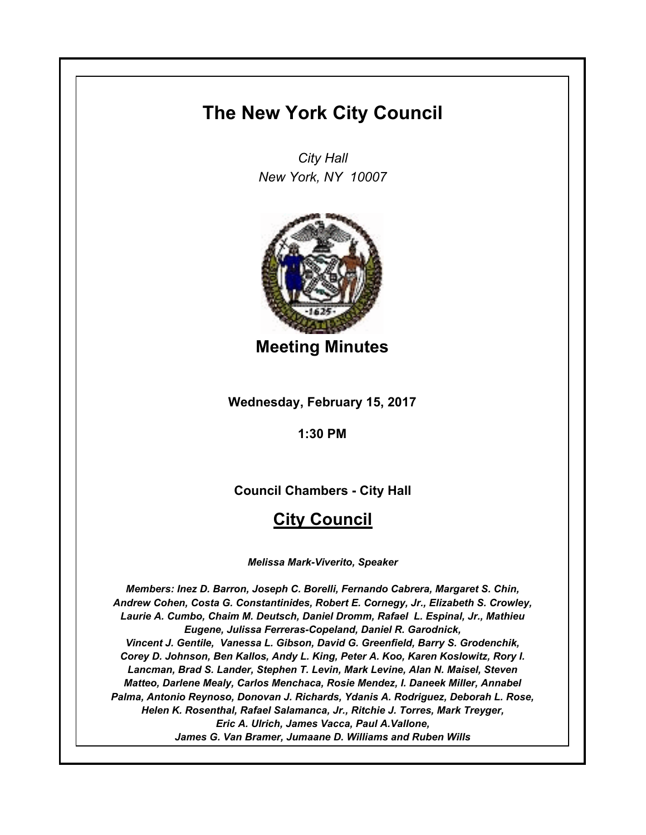# **The New York City Council**

*City Hall New York, NY 10007*



**Meeting Minutes**

**Wednesday, February 15, 2017**

**1:30 PM**

**Council Chambers - City Hall**

# **City Council**

*Melissa Mark-Viverito, Speaker*

*Members: Inez D. Barron, Joseph C. Borelli, Fernando Cabrera, Margaret S. Chin, Andrew Cohen, Costa G. Constantinides, Robert E. Cornegy, Jr., Elizabeth S. Crowley, Laurie A. Cumbo, Chaim M. Deutsch, Daniel Dromm, Rafael L. Espinal, Jr., Mathieu Eugene, Julissa Ferreras-Copeland, Daniel R. Garodnick, Vincent J. Gentile, Vanessa L. Gibson, David G. Greenfield, Barry S. Grodenchik, Corey D. Johnson, Ben Kallos, Andy L. King, Peter A. Koo, Karen Koslowitz, Rory I. Lancman, Brad S. Lander, Stephen T. Levin, Mark Levine, Alan N. Maisel, Steven Matteo, Darlene Mealy, Carlos Menchaca, Rosie Mendez, I. Daneek Miller, Annabel Palma, Antonio Reynoso, Donovan J. Richards, Ydanis A. Rodriguez, Deborah L. Rose, Helen K. Rosenthal, Rafael Salamanca, Jr., Ritchie J. Torres, Mark Treyger, Eric A. Ulrich, James Vacca, Paul A.Vallone, James G. Van Bramer, Jumaane D. Williams and Ruben Wills*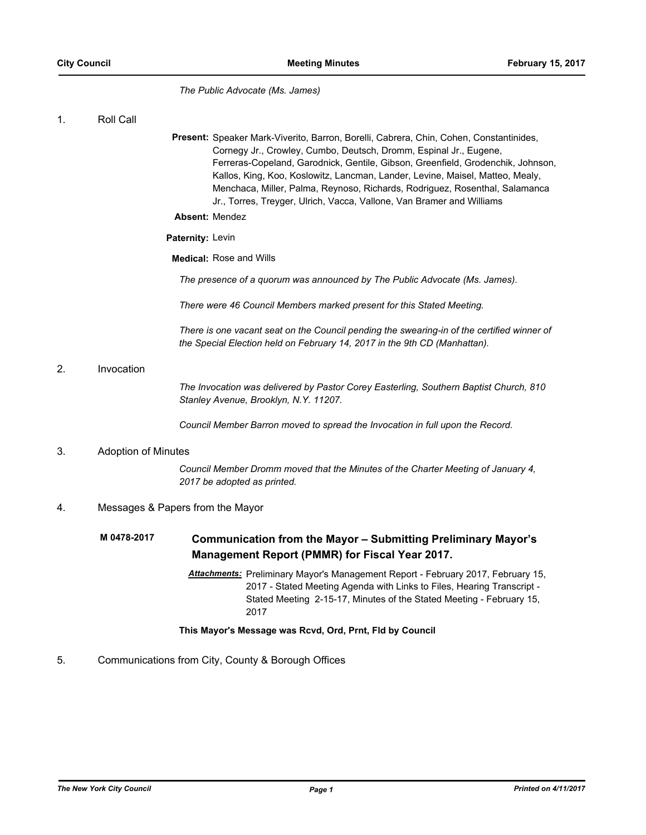*The Public Advocate (Ms. James)*

| Roll Call |  |
|-----------|--|
|           |  |

Present: Speaker Mark-Viverito, Barron, Borelli, Cabrera, Chin, Cohen, Constantinides, Cornegy Jr., Crowley, Cumbo, Deutsch, Dromm, Espinal Jr., Eugene, Ferreras-Copeland, Garodnick, Gentile, Gibson, Greenfield, Grodenchik, Johnson, Kallos, King, Koo, Koslowitz, Lancman, Lander, Levine, Maisel, Matteo, Mealy, Menchaca, Miller, Palma, Reynoso, Richards, Rodriguez, Rosenthal, Salamanca Jr., Torres, Treyger, Ulrich, Vacca, Vallone, Van Bramer and Williams

#### **Absent:** Mendez

## **Paternity:** Levin

**Medical:** Rose and Wills

*The presence of a quorum was announced by The Public Advocate (Ms. James).*

*There were 46 Council Members marked present for this Stated Meeting.*

*There is one vacant seat on the Council pending the swearing-in of the certified winner of the Special Election held on February 14, 2017 in the 9th CD (Manhattan).*

## 2. Invocation

*The Invocation was delivered by Pastor Corey Easterling, Southern Baptist Church, 810 Stanley Avenue, Brooklyn, N.Y. 11207.*

*Council Member Barron moved to spread the Invocation in full upon the Record.*

## 3. Adoption of Minutes

*Council Member Dromm moved that the Minutes of the Charter Meeting of January 4, 2017 be adopted as printed.*

# 4. Messages & Papers from the Mayor

#### **Communication from the Mayor – Submitting Preliminary Mayor's Management Report (PMMR) for Fiscal Year 2017. M 0478-2017**

*Attachments:* Preliminary Mayor's Management Report - February 2017, February 15, 2017 - Stated Meeting Agenda with Links to Files, Hearing Transcript - Stated Meeting 2-15-17, Minutes of the Stated Meeting - February 15, 2017

## **This Mayor's Message was Rcvd, Ord, Prnt, Fld by Council**

## 5. Communications from City, County & Borough Offices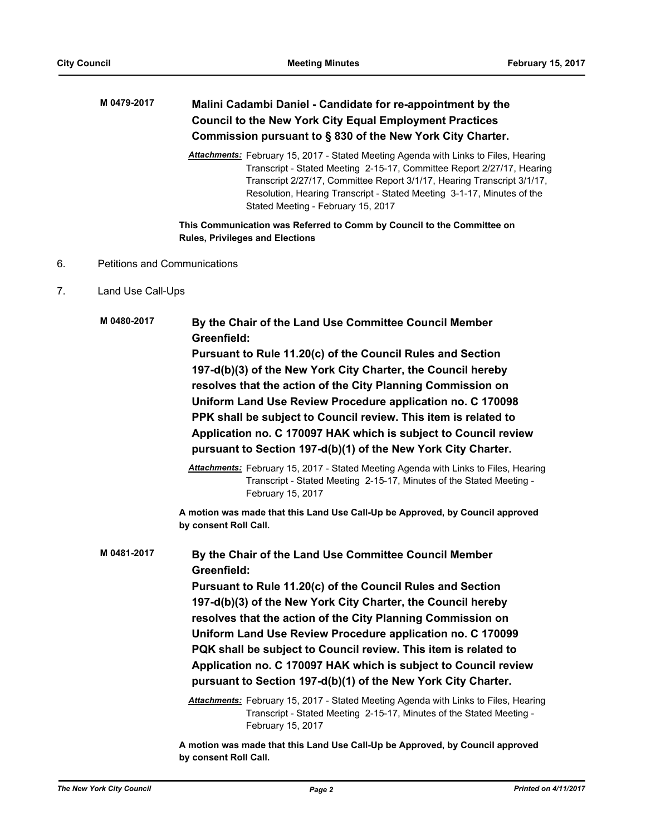## **Malini Cadambi Daniel - Candidate for re-appointment by the Council to the New York City Equal Employment Practices Commission pursuant to § 830 of the New York City Charter. M 0479-2017**

*Attachments:* February 15, 2017 - Stated Meeting Agenda with Links to Files, Hearing Transcript - Stated Meeting 2-15-17, Committee Report 2/27/17, Hearing Transcript 2/27/17, Committee Report 3/1/17, Hearing Transcript 3/1/17, Resolution, Hearing Transcript - Stated Meeting 3-1-17, Minutes of the Stated Meeting - February 15, 2017

**This Communication was Referred to Comm by Council to the Committee on Rules, Privileges and Elections**

- 6. Petitions and Communications
- 7. Land Use Call-Ups

**By the Chair of the Land Use Committee Council Member Greenfield: Pursuant to Rule 11.20(c) of the Council Rules and Section 197-d(b)(3) of the New York City Charter, the Council hereby resolves that the action of the City Planning Commission on Uniform Land Use Review Procedure application no. C 170098 PPK shall be subject to Council review. This item is related to Application no. C 170097 HAK which is subject to Council review pursuant to Section 197-d(b)(1) of the New York City Charter. M 0480-2017**

> *Attachments:* February 15, 2017 - Stated Meeting Agenda with Links to Files, Hearing Transcript - Stated Meeting 2-15-17, Minutes of the Stated Meeting - February 15, 2017

**A motion was made that this Land Use Call-Up be Approved, by Council approved by consent Roll Call.**

**By the Chair of the Land Use Committee Council Member Greenfield: Pursuant to Rule 11.20(c) of the Council Rules and Section 197-d(b)(3) of the New York City Charter, the Council hereby resolves that the action of the City Planning Commission on Uniform Land Use Review Procedure application no. C 170099 PQK shall be subject to Council review. This item is related to Application no. C 170097 HAK which is subject to Council review pursuant to Section 197-d(b)(1) of the New York City Charter. M 0481-2017** *Attachments:* February 15, 2017 - Stated Meeting Agenda with Links to Files, Hearing Transcript - Stated Meeting 2-15-17, Minutes of the Stated Meeting - February 15, 2017

> **A motion was made that this Land Use Call-Up be Approved, by Council approved by consent Roll Call.**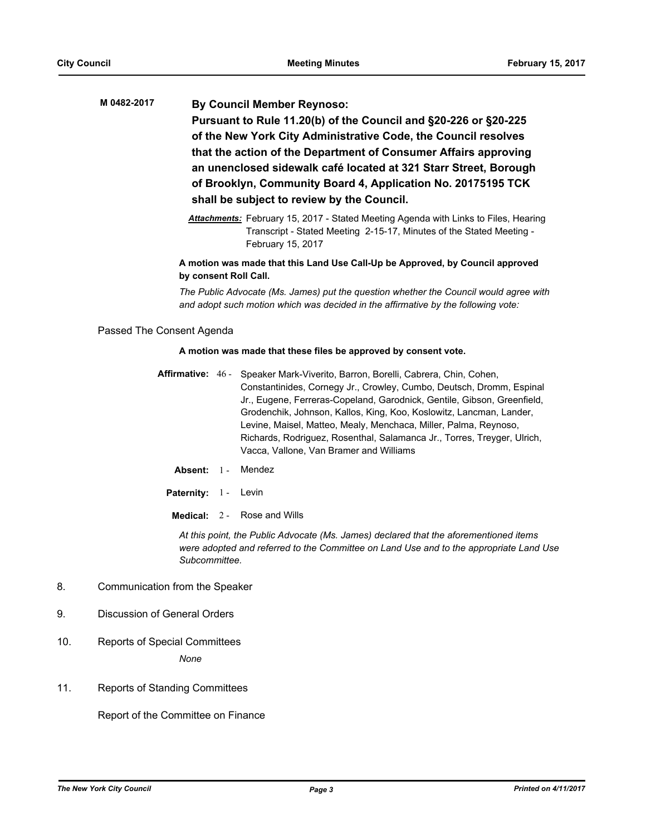**By Council Member Reynoso: Pursuant to Rule 11.20(b) of the Council and §20-226 or §20-225 of the New York City Administrative Code, the Council resolves that the action of the Department of Consumer Affairs approving an unenclosed sidewalk café located at 321 Starr Street, Borough of Brooklyn, Community Board 4, Application No. 20175195 TCK shall be subject to review by the Council. M 0482-2017**

> *Attachments:* February 15, 2017 - Stated Meeting Agenda with Links to Files, Hearing Transcript - Stated Meeting 2-15-17, Minutes of the Stated Meeting - February 15, 2017

## **A motion was made that this Land Use Call-Up be Approved, by Council approved by consent Roll Call.**

*The Public Advocate (Ms. James) put the question whether the Council would agree with and adopt such motion which was decided in the affirmative by the following vote:*

Passed The Consent Agenda

#### **A motion was made that these files be approved by consent vote.**

- Affirmative: 46 Speaker Mark-Viverito, Barron, Borelli, Cabrera, Chin, Cohen, Constantinides, Cornegy Jr., Crowley, Cumbo, Deutsch, Dromm, Espinal Jr., Eugene, Ferreras-Copeland, Garodnick, Gentile, Gibson, Greenfield, Grodenchik, Johnson, Kallos, King, Koo, Koslowitz, Lancman, Lander, Levine, Maisel, Matteo, Mealy, Menchaca, Miller, Palma, Reynoso, Richards, Rodriguez, Rosenthal, Salamanca Jr., Torres, Treyger, Ulrich, Vacca, Vallone, Van Bramer and Williams
	- **Absent:** 1 Mendez
- Paternity: 1 Levin
	- **Medical:** 2 Rose and Wills

*At this point, the Public Advocate (Ms. James) declared that the aforementioned items were adopted and referred to the Committee on Land Use and to the appropriate Land Use Subcommittee.*

- 8. Communication from the Speaker
- 9. Discussion of General Orders
- 10. Reports of Special Committees

*None*

11. Reports of Standing Committees

Report of the Committee on Finance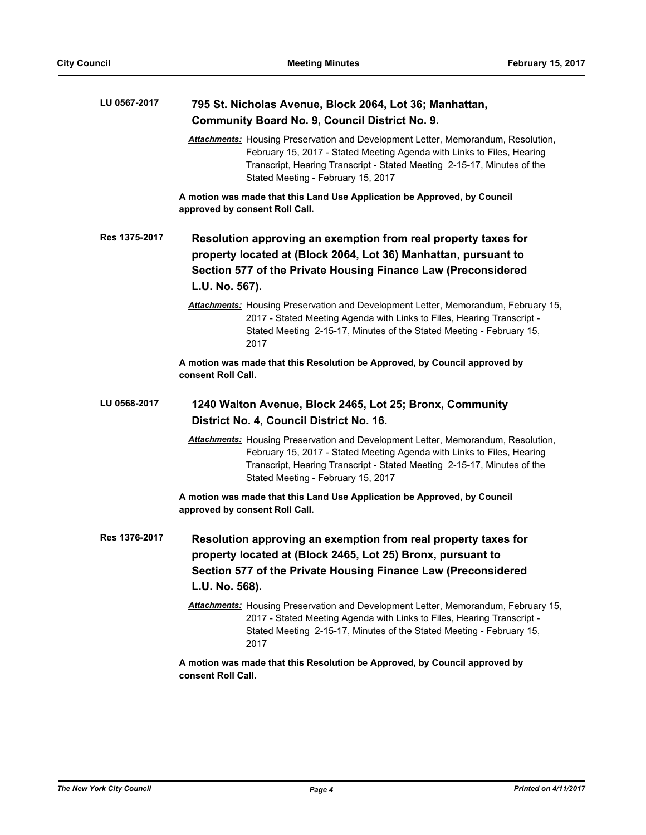| LU 0567-2017  | 795 St. Nicholas Avenue, Block 2064, Lot 36; Manhattan,                                                                                                                                                                                                                             |
|---------------|-------------------------------------------------------------------------------------------------------------------------------------------------------------------------------------------------------------------------------------------------------------------------------------|
|               | <b>Community Board No. 9, Council District No. 9.</b>                                                                                                                                                                                                                               |
|               | <b>Attachments:</b> Housing Preservation and Development Letter, Memorandum, Resolution,<br>February 15, 2017 - Stated Meeting Agenda with Links to Files, Hearing<br>Transcript, Hearing Transcript - Stated Meeting 2-15-17, Minutes of the<br>Stated Meeting - February 15, 2017 |
|               | A motion was made that this Land Use Application be Approved, by Council<br>approved by consent Roll Call.                                                                                                                                                                          |
| Res 1375-2017 | Resolution approving an exemption from real property taxes for<br>property located at (Block 2064, Lot 36) Manhattan, pursuant to<br>Section 577 of the Private Housing Finance Law (Preconsidered<br>L.U. No. 567).                                                                |
|               | Attachments: Housing Preservation and Development Letter, Memorandum, February 15,<br>2017 - Stated Meeting Agenda with Links to Files, Hearing Transcript -<br>Stated Meeting 2-15-17, Minutes of the Stated Meeting - February 15,<br>2017                                        |
|               | A motion was made that this Resolution be Approved, by Council approved by<br>consent Roll Call.                                                                                                                                                                                    |
| LU 0568-2017  | 1240 Walton Avenue, Block 2465, Lot 25; Bronx, Community<br>District No. 4, Council District No. 16.                                                                                                                                                                                |
|               | <b>Attachments:</b> Housing Preservation and Development Letter, Memorandum, Resolution,<br>February 15, 2017 - Stated Meeting Agenda with Links to Files, Hearing<br>Transcript, Hearing Transcript - Stated Meeting 2-15-17, Minutes of the<br>Stated Meeting - February 15, 2017 |
|               | A motion was made that this Land Use Application be Approved, by Council<br>approved by consent Roll Call.                                                                                                                                                                          |
| Res 1376-2017 | Resolution approving an exemption from real property taxes for<br>property located at (Block 2465, Lot 25) Bronx, pursuant to<br>Section 577 of the Private Housing Finance Law (Preconsidered<br>L.U. No. 568).                                                                    |
|               | Attachments: Housing Preservation and Development Letter, Memorandum, February 15,<br>2017 - Stated Meeting Agenda with Links to Files, Hearing Transcript -<br>Stated Meeting 2-15-17, Minutes of the Stated Meeting - February 15,<br>2017                                        |
|               | A motion was made that this Resolution be Approved, by Council approved by                                                                                                                                                                                                          |

**consent Roll Call.**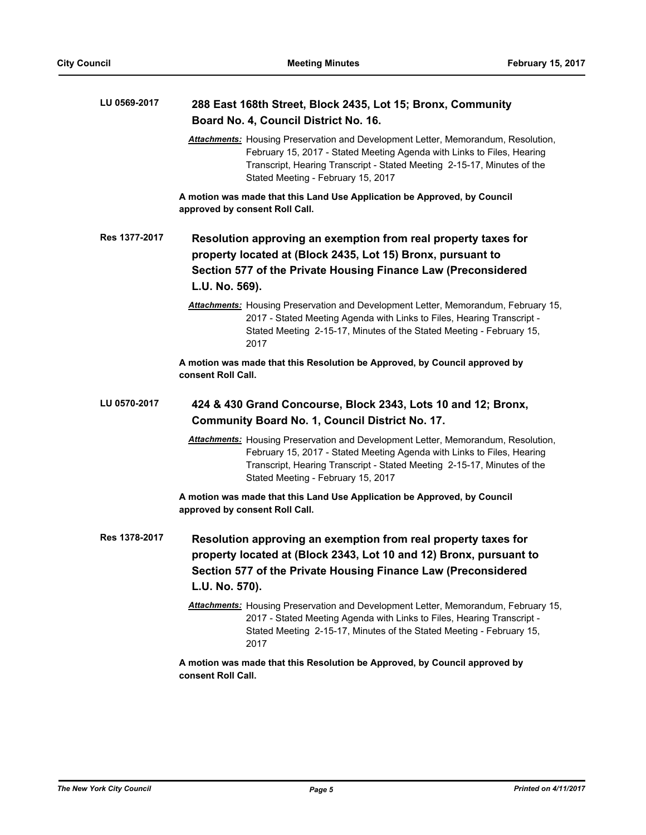| LU 0569-2017  | 288 East 168th Street, Block 2435, Lot 15; Bronx, Community<br>Board No. 4, Council District No. 16.                                                                                                                                                                                |
|---------------|-------------------------------------------------------------------------------------------------------------------------------------------------------------------------------------------------------------------------------------------------------------------------------------|
|               | <b>Attachments:</b> Housing Preservation and Development Letter, Memorandum, Resolution,<br>February 15, 2017 - Stated Meeting Agenda with Links to Files, Hearing<br>Transcript, Hearing Transcript - Stated Meeting 2-15-17, Minutes of the<br>Stated Meeting - February 15, 2017 |
|               | A motion was made that this Land Use Application be Approved, by Council<br>approved by consent Roll Call.                                                                                                                                                                          |
| Res 1377-2017 | Resolution approving an exemption from real property taxes for<br>property located at (Block 2435, Lot 15) Bronx, pursuant to<br>Section 577 of the Private Housing Finance Law (Preconsidered<br>L.U. No. 569).                                                                    |
|               | Attachments: Housing Preservation and Development Letter, Memorandum, February 15,<br>2017 - Stated Meeting Agenda with Links to Files, Hearing Transcript -<br>Stated Meeting 2-15-17, Minutes of the Stated Meeting - February 15,<br>2017                                        |
|               | A motion was made that this Resolution be Approved, by Council approved by<br>consent Roll Call.                                                                                                                                                                                    |
| LU 0570-2017  | 424 & 430 Grand Concourse, Block 2343, Lots 10 and 12; Bronx,<br><b>Community Board No. 1, Council District No. 17.</b>                                                                                                                                                             |
|               | Attachments: Housing Preservation and Development Letter, Memorandum, Resolution,<br>February 15, 2017 - Stated Meeting Agenda with Links to Files, Hearing<br>Transcript, Hearing Transcript - Stated Meeting 2-15-17, Minutes of the<br>Stated Meeting - February 15, 2017        |
|               | A motion was made that this Land Use Application be Approved, by Council<br>approved by consent Roll Call.                                                                                                                                                                          |
| Res 1378-2017 | Resolution approving an exemption from real property taxes for<br>property located at (Block 2343, Lot 10 and 12) Bronx, pursuant to<br>Section 577 of the Private Housing Finance Law (Preconsidered<br>L.U. No. 570).                                                             |
|               | Attachments: Housing Preservation and Development Letter, Memorandum, February 15,<br>2017 - Stated Meeting Agenda with Links to Files, Hearing Transcript -<br>Stated Meeting 2-15-17, Minutes of the Stated Meeting - February 15,<br>2017                                        |
|               | A motion was made that this Resolution be Approved, by Council approved by<br>consent Roll Call.                                                                                                                                                                                    |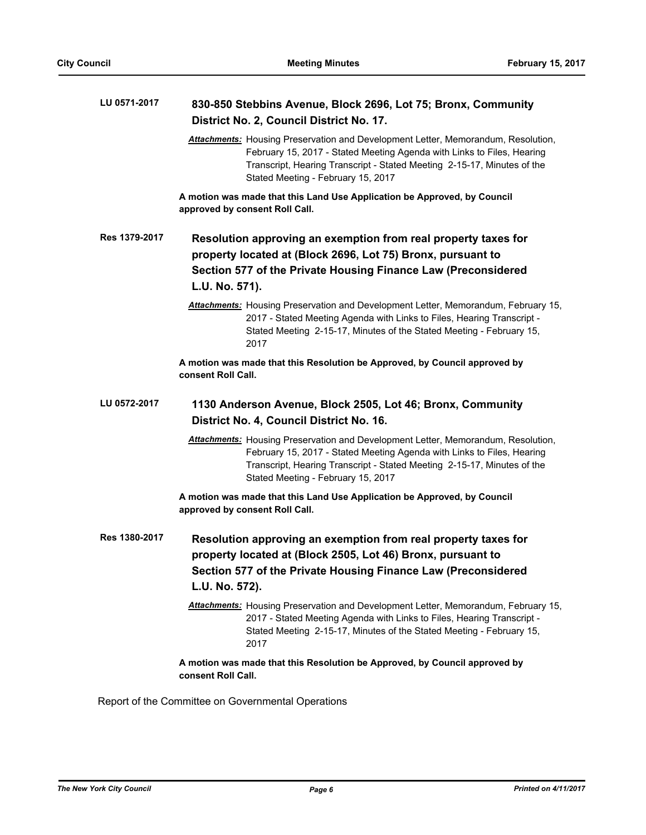| LU 0571-2017  | 830-850 Stebbins Avenue, Block 2696, Lot 75; Bronx, Community<br>District No. 2, Council District No. 17.                                                                                                                                                                           |
|---------------|-------------------------------------------------------------------------------------------------------------------------------------------------------------------------------------------------------------------------------------------------------------------------------------|
|               | <b>Attachments:</b> Housing Preservation and Development Letter, Memorandum, Resolution,<br>February 15, 2017 - Stated Meeting Agenda with Links to Files, Hearing<br>Transcript, Hearing Transcript - Stated Meeting 2-15-17, Minutes of the<br>Stated Meeting - February 15, 2017 |
|               | A motion was made that this Land Use Application be Approved, by Council<br>approved by consent Roll Call.                                                                                                                                                                          |
| Res 1379-2017 | Resolution approving an exemption from real property taxes for<br>property located at (Block 2696, Lot 75) Bronx, pursuant to<br>Section 577 of the Private Housing Finance Law (Preconsidered<br>L.U. No. 571).                                                                    |
|               | Attachments: Housing Preservation and Development Letter, Memorandum, February 15,<br>2017 - Stated Meeting Agenda with Links to Files, Hearing Transcript -<br>Stated Meeting 2-15-17, Minutes of the Stated Meeting - February 15,<br>2017                                        |
|               | A motion was made that this Resolution be Approved, by Council approved by<br>consent Roll Call.                                                                                                                                                                                    |
| LU 0572-2017  | 1130 Anderson Avenue, Block 2505, Lot 46; Bronx, Community<br>District No. 4, Council District No. 16.                                                                                                                                                                              |
|               | Attachments: Housing Preservation and Development Letter, Memorandum, Resolution,<br>February 15, 2017 - Stated Meeting Agenda with Links to Files, Hearing<br>Transcript, Hearing Transcript - Stated Meeting 2-15-17, Minutes of the<br>Stated Meeting - February 15, 2017        |
|               | A motion was made that this Land Use Application be Approved, by Council<br>approved by consent Roll Call.                                                                                                                                                                          |
| Res 1380-2017 | Resolution approving an exemption from real property taxes for<br>property located at (Block 2505, Lot 46) Bronx, pursuant to<br>Section 577 of the Private Housing Finance Law (Preconsidered<br>L.U. No. 572).                                                                    |
|               | Attachments: Housing Preservation and Development Letter, Memorandum, February 15,<br>2017 - Stated Meeting Agenda with Links to Files, Hearing Transcript -<br>Stated Meeting 2-15-17, Minutes of the Stated Meeting - February 15,<br>2017                                        |
|               | A motion was made that this Resolution be Approved, by Council approved by<br>consent Roll Call.                                                                                                                                                                                    |

Report of the Committee on Governmental Operations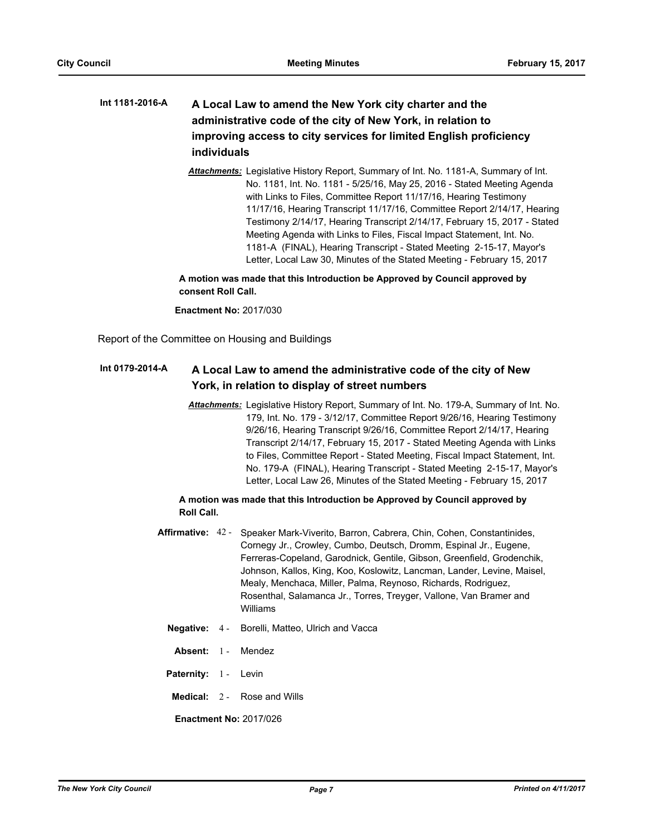## **A Local Law to amend the New York city charter and the administrative code of the city of New York, in relation to improving access to city services for limited English proficiency individuals Int 1181-2016-A**

*Attachments:* Legislative History Report, Summary of Int. No. 1181-A, Summary of Int. No. 1181, Int. No. 1181 - 5/25/16, May 25, 2016 - Stated Meeting Agenda with Links to Files, Committee Report 11/17/16, Hearing Testimony 11/17/16, Hearing Transcript 11/17/16, Committee Report 2/14/17, Hearing Testimony 2/14/17, Hearing Transcript 2/14/17, February 15, 2017 - Stated Meeting Agenda with Links to Files, Fiscal Impact Statement, Int. No. 1181-A (FINAL), Hearing Transcript - Stated Meeting 2-15-17, Mayor's Letter, Local Law 30, Minutes of the Stated Meeting - February 15, 2017

## **A motion was made that this Introduction be Approved by Council approved by consent Roll Call.**

**Enactment No:** 2017/030

Report of the Committee on Housing and Buildings

#### **A Local Law to amend the administrative code of the city of New York, in relation to display of street numbers Int 0179-2014-A**

*Attachments:* Legislative History Report, Summary of Int. No. 179-A, Summary of Int. No. 179, Int. No. 179 - 3/12/17, Committee Report 9/26/16, Hearing Testimony 9/26/16, Hearing Transcript 9/26/16, Committee Report 2/14/17, Hearing Transcript 2/14/17, February 15, 2017 - Stated Meeting Agenda with Links to Files, Committee Report - Stated Meeting, Fiscal Impact Statement, Int. No. 179-A (FINAL), Hearing Transcript - Stated Meeting 2-15-17, Mayor's Letter, Local Law 26, Minutes of the Stated Meeting - February 15, 2017

## **A motion was made that this Introduction be Approved by Council approved by Roll Call.**

- Affirmative: 42 Speaker Mark-Viverito, Barron, Cabrera, Chin, Cohen, Constantinides, Cornegy Jr., Crowley, Cumbo, Deutsch, Dromm, Espinal Jr., Eugene, Ferreras-Copeland, Garodnick, Gentile, Gibson, Greenfield, Grodenchik, Johnson, Kallos, King, Koo, Koslowitz, Lancman, Lander, Levine, Maisel, Mealy, Menchaca, Miller, Palma, Reynoso, Richards, Rodriguez, Rosenthal, Salamanca Jr., Torres, Treyger, Vallone, Van Bramer and Williams
	- **Negative:** 4 Borelli, Matteo, Ulrich and Vacca
		- **Absent:** 1 Mendez
	- Paternity: 1 Levin
	- **Medical:** 2 Rose and Wills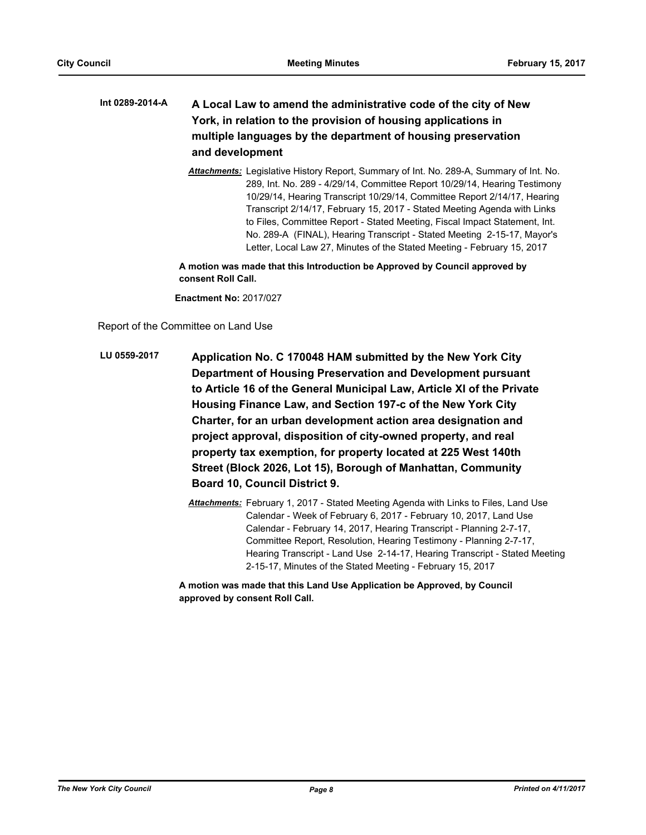## **A Local Law to amend the administrative code of the city of New York, in relation to the provision of housing applications in multiple languages by the department of housing preservation and development Int 0289-2014-A**

*Attachments:* Legislative History Report, Summary of Int. No. 289-A, Summary of Int. No. 289, Int. No. 289 - 4/29/14, Committee Report 10/29/14, Hearing Testimony 10/29/14, Hearing Transcript 10/29/14, Committee Report 2/14/17, Hearing Transcript 2/14/17, February 15, 2017 - Stated Meeting Agenda with Links to Files, Committee Report - Stated Meeting, Fiscal Impact Statement, Int. No. 289-A (FINAL), Hearing Transcript - Stated Meeting 2-15-17, Mayor's Letter, Local Law 27, Minutes of the Stated Meeting - February 15, 2017

**A motion was made that this Introduction be Approved by Council approved by consent Roll Call.**

**Enactment No:** 2017/027

Report of the Committee on Land Use

- **Application No. C 170048 HAM submitted by the New York City Department of Housing Preservation and Development pursuant to Article 16 of the General Municipal Law, Article XI of the Private Housing Finance Law, and Section 197-c of the New York City Charter, for an urban development action area designation and project approval, disposition of city-owned property, and real property tax exemption, for property located at 225 West 140th Street (Block 2026, Lot 15), Borough of Manhattan, Community Board 10, Council District 9. LU 0559-2017**
	- *Attachments:* February 1, 2017 Stated Meeting Agenda with Links to Files, Land Use Calendar - Week of February 6, 2017 - February 10, 2017, Land Use Calendar - February 14, 2017, Hearing Transcript - Planning 2-7-17, Committee Report, Resolution, Hearing Testimony - Planning 2-7-17, Hearing Transcript - Land Use 2-14-17, Hearing Transcript - Stated Meeting 2-15-17, Minutes of the Stated Meeting - February 15, 2017

**A motion was made that this Land Use Application be Approved, by Council approved by consent Roll Call.**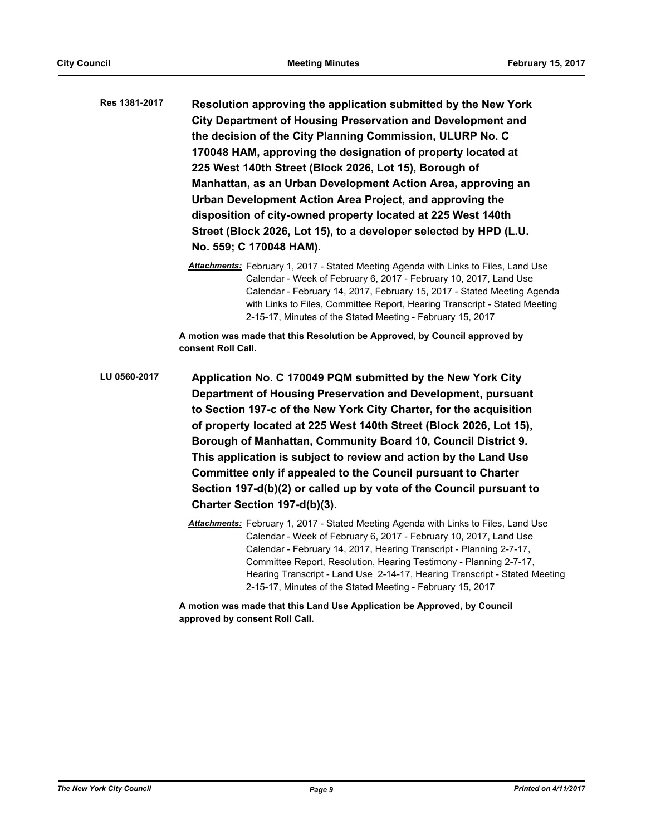**Resolution approving the application submitted by the New York City Department of Housing Preservation and Development and the decision of the City Planning Commission, ULURP No. C 170048 HAM, approving the designation of property located at 225 West 140th Street (Block 2026, Lot 15), Borough of Manhattan, as an Urban Development Action Area, approving an Urban Development Action Area Project, and approving the disposition of city-owned property located at 225 West 140th Street (Block 2026, Lot 15), to a developer selected by HPD (L.U. No. 559; C 170048 HAM). Res 1381-2017**

> *Attachments:* February 1, 2017 - Stated Meeting Agenda with Links to Files, Land Use Calendar - Week of February 6, 2017 - February 10, 2017, Land Use Calendar - February 14, 2017, February 15, 2017 - Stated Meeting Agenda with Links to Files, Committee Report, Hearing Transcript - Stated Meeting 2-15-17, Minutes of the Stated Meeting - February 15, 2017

**A motion was made that this Resolution be Approved, by Council approved by consent Roll Call.**

**Application No. C 170049 PQM submitted by the New York City Department of Housing Preservation and Development, pursuant to Section 197-c of the New York City Charter, for the acquisition of property located at 225 West 140th Street (Block 2026, Lot 15), Borough of Manhattan, Community Board 10, Council District 9. This application is subject to review and action by the Land Use Committee only if appealed to the Council pursuant to Charter Section 197-d(b)(2) or called up by vote of the Council pursuant to Charter Section 197-d(b)(3). LU 0560-2017**

> *Attachments:* February 1, 2017 - Stated Meeting Agenda with Links to Files, Land Use Calendar - Week of February 6, 2017 - February 10, 2017, Land Use Calendar - February 14, 2017, Hearing Transcript - Planning 2-7-17, Committee Report, Resolution, Hearing Testimony - Planning 2-7-17, Hearing Transcript - Land Use 2-14-17, Hearing Transcript - Stated Meeting 2-15-17, Minutes of the Stated Meeting - February 15, 2017

**A motion was made that this Land Use Application be Approved, by Council approved by consent Roll Call.**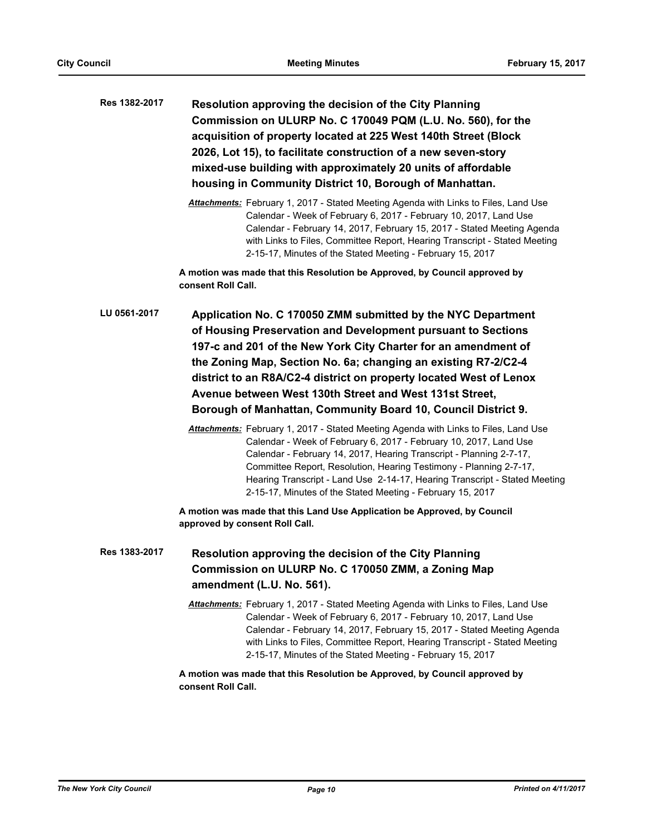| Res 1382-2017 | Resolution approving the decision of the City Planning<br>Commission on ULURP No. C 170049 PQM (L.U. No. 560), for the<br>acquisition of property located at 225 West 140th Street (Block<br>2026, Lot 15), to facilitate construction of a new seven-story<br>mixed-use building with approximately 20 units of affordable<br>housing in Community District 10, Borough of Manhattan.                                                                                                                                                                                                                                                                                                                                                                                                                                                                                                                                                                                                                                                |
|---------------|---------------------------------------------------------------------------------------------------------------------------------------------------------------------------------------------------------------------------------------------------------------------------------------------------------------------------------------------------------------------------------------------------------------------------------------------------------------------------------------------------------------------------------------------------------------------------------------------------------------------------------------------------------------------------------------------------------------------------------------------------------------------------------------------------------------------------------------------------------------------------------------------------------------------------------------------------------------------------------------------------------------------------------------|
|               | Attachments: February 1, 2017 - Stated Meeting Agenda with Links to Files, Land Use<br>Calendar - Week of February 6, 2017 - February 10, 2017, Land Use<br>Calendar - February 14, 2017, February 15, 2017 - Stated Meeting Agenda<br>with Links to Files, Committee Report, Hearing Transcript - Stated Meeting<br>2-15-17, Minutes of the Stated Meeting - February 15, 2017                                                                                                                                                                                                                                                                                                                                                                                                                                                                                                                                                                                                                                                       |
|               | A motion was made that this Resolution be Approved, by Council approved by<br>consent Roll Call.                                                                                                                                                                                                                                                                                                                                                                                                                                                                                                                                                                                                                                                                                                                                                                                                                                                                                                                                      |
| LU 0561-2017  | Application No. C 170050 ZMM submitted by the NYC Department<br>of Housing Preservation and Development pursuant to Sections<br>197-c and 201 of the New York City Charter for an amendment of<br>the Zoning Map, Section No. 6a; changing an existing R7-2/C2-4<br>district to an R8A/C2-4 district on property located West of Lenox<br>Avenue between West 130th Street and West 131st Street,<br>Borough of Manhattan, Community Board 10, Council District 9.<br>Attachments: February 1, 2017 - Stated Meeting Agenda with Links to Files, Land Use<br>Calendar - Week of February 6, 2017 - February 10, 2017, Land Use<br>Calendar - February 14, 2017, Hearing Transcript - Planning 2-7-17,<br>Committee Report, Resolution, Hearing Testimony - Planning 2-7-17,<br>Hearing Transcript - Land Use 2-14-17, Hearing Transcript - Stated Meeting<br>2-15-17, Minutes of the Stated Meeting - February 15, 2017<br>A motion was made that this Land Use Application be Approved, by Council<br>approved by consent Roll Call. |
| Res 1383-2017 | Resolution approving the decision of the City Planning<br>Commission on ULURP No. C 170050 ZMM, a Zoning Map<br>amendment (L.U. No. 561).                                                                                                                                                                                                                                                                                                                                                                                                                                                                                                                                                                                                                                                                                                                                                                                                                                                                                             |
|               | Attachments: February 1, 2017 - Stated Meeting Agenda with Links to Files, Land Use<br>Calendar - Week of February 6, 2017 - February 10, 2017, Land Use<br>Calendar - February 14, 2017, February 15, 2017 - Stated Meeting Agenda<br>with Links to Files, Committee Report, Hearing Transcript - Stated Meeting<br>2-15-17, Minutes of the Stated Meeting - February 15, 2017                                                                                                                                                                                                                                                                                                                                                                                                                                                                                                                                                                                                                                                       |
|               | A motion was made that this Resolution be Approved, by Council approved by<br>consent Roll Call.                                                                                                                                                                                                                                                                                                                                                                                                                                                                                                                                                                                                                                                                                                                                                                                                                                                                                                                                      |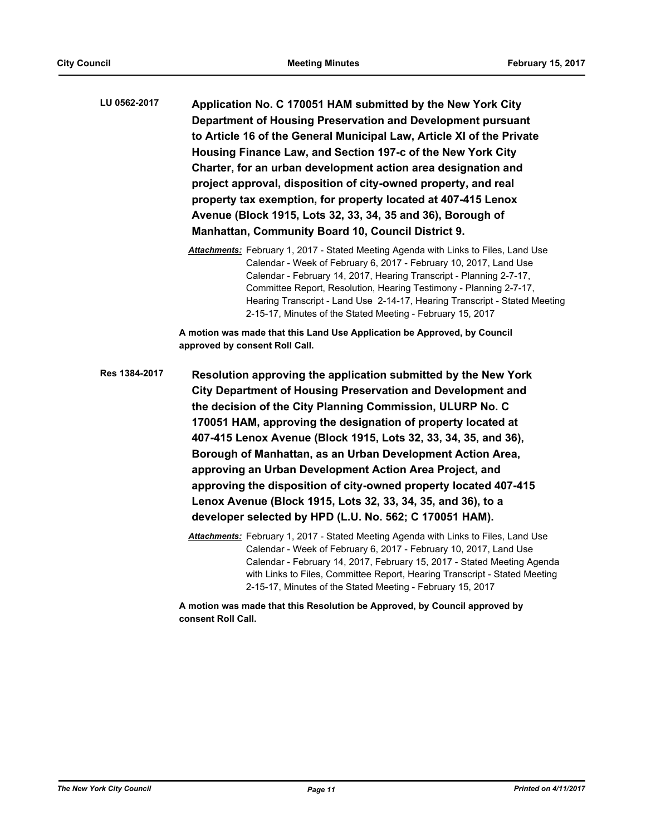**Application No. C 170051 HAM submitted by the New York City Department of Housing Preservation and Development pursuant to Article 16 of the General Municipal Law, Article XI of the Private Housing Finance Law, and Section 197-c of the New York City Charter, for an urban development action area designation and project approval, disposition of city-owned property, and real property tax exemption, for property located at 407-415 Lenox Avenue (Block 1915, Lots 32, 33, 34, 35 and 36), Borough of Manhattan, Community Board 10, Council District 9. LU 0562-2017**

> *Attachments:* February 1, 2017 - Stated Meeting Agenda with Links to Files, Land Use Calendar - Week of February 6, 2017 - February 10, 2017, Land Use Calendar - February 14, 2017, Hearing Transcript - Planning 2-7-17, Committee Report, Resolution, Hearing Testimony - Planning 2-7-17, Hearing Transcript - Land Use 2-14-17, Hearing Transcript - Stated Meeting 2-15-17, Minutes of the Stated Meeting - February 15, 2017

**A motion was made that this Land Use Application be Approved, by Council approved by consent Roll Call.**

**Resolution approving the application submitted by the New York City Department of Housing Preservation and Development and the decision of the City Planning Commission, ULURP No. C 170051 HAM, approving the designation of property located at 407-415 Lenox Avenue (Block 1915, Lots 32, 33, 34, 35, and 36), Borough of Manhattan, as an Urban Development Action Area, approving an Urban Development Action Area Project, and approving the disposition of city-owned property located 407-415 Lenox Avenue (Block 1915, Lots 32, 33, 34, 35, and 36), to a developer selected by HPD (L.U. No. 562; C 170051 HAM). Res 1384-2017**

> *Attachments:* February 1, 2017 - Stated Meeting Agenda with Links to Files, Land Use Calendar - Week of February 6, 2017 - February 10, 2017, Land Use Calendar - February 14, 2017, February 15, 2017 - Stated Meeting Agenda with Links to Files, Committee Report, Hearing Transcript - Stated Meeting 2-15-17, Minutes of the Stated Meeting - February 15, 2017

**A motion was made that this Resolution be Approved, by Council approved by consent Roll Call.**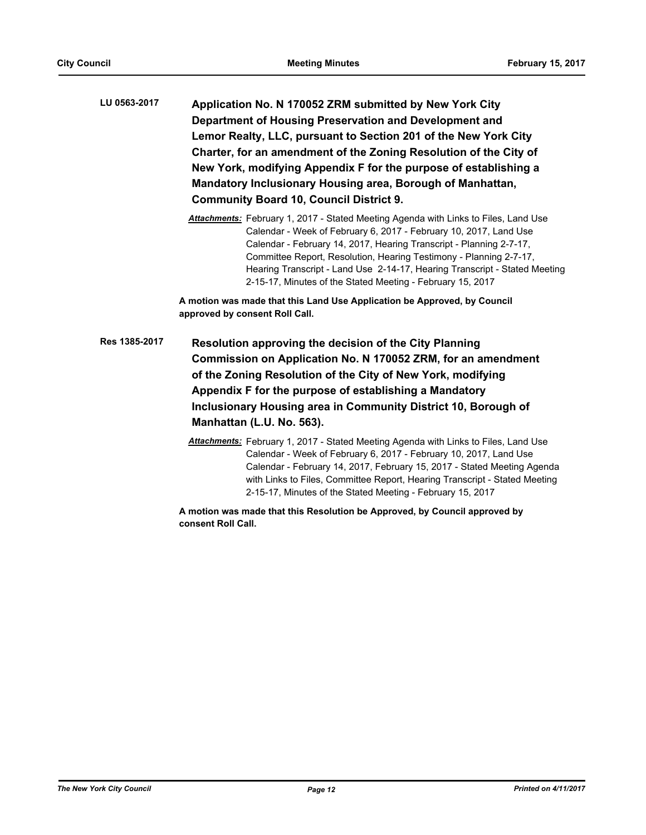| LU 0563-2017 | Application No. N 170052 ZRM submitted by New York City           |
|--------------|-------------------------------------------------------------------|
|              | Department of Housing Preservation and Development and            |
|              | Lemor Realty, LLC, pursuant to Section 201 of the New York City   |
|              | Charter, for an amendment of the Zoning Resolution of the City of |
|              | New York, modifying Appendix F for the purpose of establishing a  |
|              | Mandatory Inclusionary Housing area, Borough of Manhattan,        |
|              | <b>Community Board 10, Council District 9.</b>                    |

*Attachments:* February 1, 2017 - Stated Meeting Agenda with Links to Files, Land Use Calendar - Week of February 6, 2017 - February 10, 2017, Land Use Calendar - February 14, 2017, Hearing Transcript - Planning 2-7-17, Committee Report, Resolution, Hearing Testimony - Planning 2-7-17, Hearing Transcript - Land Use 2-14-17, Hearing Transcript - Stated Meeting 2-15-17, Minutes of the Stated Meeting - February 15, 2017

**A motion was made that this Land Use Application be Approved, by Council approved by consent Roll Call.**

- **Resolution approving the decision of the City Planning Commission on Application No. N 170052 ZRM, for an amendment of the Zoning Resolution of the City of New York, modifying Appendix F for the purpose of establishing a Mandatory Inclusionary Housing area in Community District 10, Borough of Manhattan (L.U. No. 563). Res 1385-2017**
	- *Attachments:* February 1, 2017 Stated Meeting Agenda with Links to Files, Land Use Calendar - Week of February 6, 2017 - February 10, 2017, Land Use Calendar - February 14, 2017, February 15, 2017 - Stated Meeting Agenda with Links to Files, Committee Report, Hearing Transcript - Stated Meeting 2-15-17, Minutes of the Stated Meeting - February 15, 2017

**A motion was made that this Resolution be Approved, by Council approved by consent Roll Call.**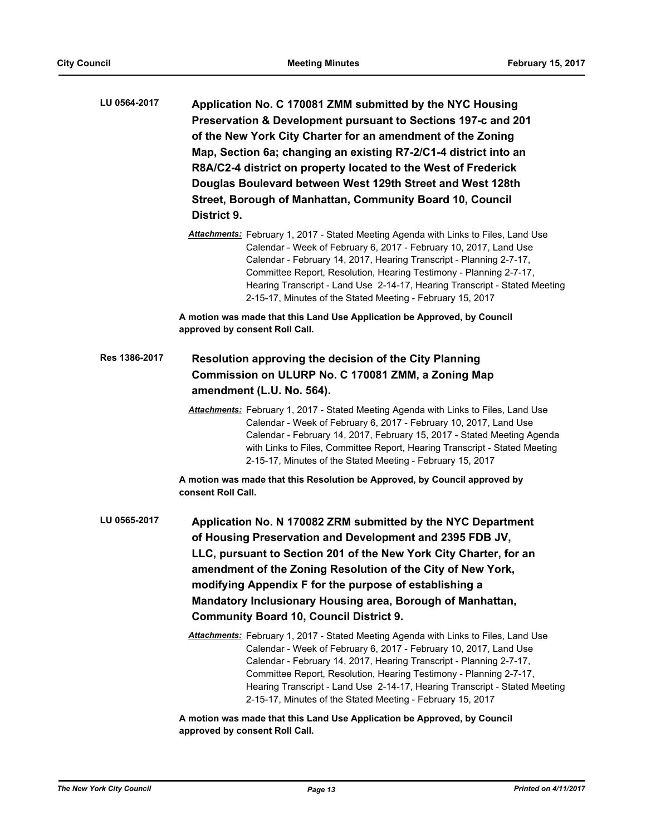| LU 0564-2017  | Application No. C 170081 ZMM submitted by the NYC Housing<br>Preservation & Development pursuant to Sections 197-c and 201<br>of the New York City Charter for an amendment of the Zoning<br>Map, Section 6a; changing an existing R7-2/C1-4 district into an<br>R8A/C2-4 district on property located to the West of Frederick<br>Douglas Boulevard between West 129th Street and West 128th<br>Street, Borough of Manhattan, Community Board 10, Council<br>District 9. |
|---------------|---------------------------------------------------------------------------------------------------------------------------------------------------------------------------------------------------------------------------------------------------------------------------------------------------------------------------------------------------------------------------------------------------------------------------------------------------------------------------|
|               | Attachments: February 1, 2017 - Stated Meeting Agenda with Links to Files, Land Use<br>Calendar - Week of February 6, 2017 - February 10, 2017, Land Use<br>Calendar - February 14, 2017, Hearing Transcript - Planning 2-7-17,<br>Committee Report, Resolution, Hearing Testimony - Planning 2-7-17,<br>Hearing Transcript - Land Use 2-14-17, Hearing Transcript - Stated Meeting<br>2-15-17, Minutes of the Stated Meeting - February 15, 2017                         |
|               | A motion was made that this Land Use Application be Approved, by Council<br>approved by consent Roll Call.                                                                                                                                                                                                                                                                                                                                                                |
| Res 1386-2017 | Resolution approving the decision of the City Planning<br>Commission on ULURP No. C 170081 ZMM, a Zoning Map<br>amendment (L.U. No. 564).                                                                                                                                                                                                                                                                                                                                 |
|               | Attachments: February 1, 2017 - Stated Meeting Agenda with Links to Files, Land Use<br>Calendar - Week of February 6, 2017 - February 10, 2017, Land Use<br>Calendar - February 14, 2017, February 15, 2017 - Stated Meeting Agenda<br>with Links to Files, Committee Report, Hearing Transcript - Stated Meeting<br>2-15-17, Minutes of the Stated Meeting - February 15, 2017                                                                                           |
|               | A motion was made that this Resolution be Approved, by Council approved by<br>consent Roll Call.                                                                                                                                                                                                                                                                                                                                                                          |
| LU 0565-2017  | Application No. N 170082 ZRM submitted by the NYC Department<br>of Housing Preservation and Development and 2395 FDB JV,<br>LLC, pursuant to Section 201 of the New York City Charter, for an<br>amendment of the Zoning Resolution of the City of New York,<br>modifying Appendix F for the purpose of establishing a<br>Mandatory Inclusionary Housing area, Borough of Manhattan,<br><b>Community Board 10, Council District 9.</b>                                    |
|               | Attachments: February 1, 2017 - Stated Meeting Agenda with Links to Files, Land Use<br>Calendar - Week of February 6, 2017 - February 10, 2017, Land Use<br>Calendar - February 14, 2017, Hearing Transcript - Planning 2-7-17,<br>Committee Report, Resolution, Hearing Testimony - Planning 2-7-17,<br>Hearing Transcript - Land Use 2-14-17, Hearing Transcript - Stated Meeting<br>2-15-17, Minutes of the Stated Meeting - February 15, 2017                         |
|               | A motion was made that this Land Use Application be Approved, by Council<br>approved by consent Roll Call.                                                                                                                                                                                                                                                                                                                                                                |

*The New York City Council Page 13 Printed on 4/11/2017*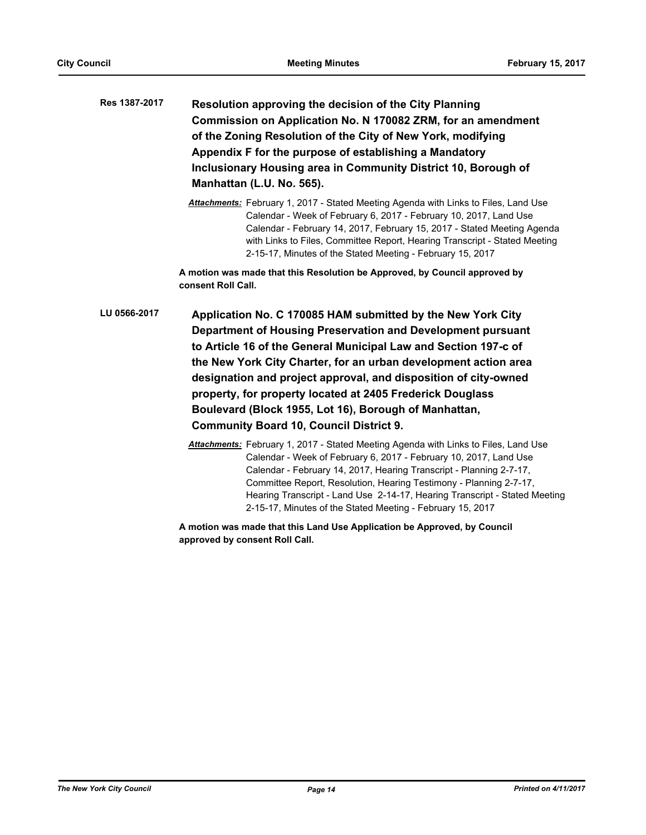| Res 1387-2017 | Resolution approving the decision of the City Planning         |
|---------------|----------------------------------------------------------------|
|               | Commission on Application No. N 170082 ZRM, for an amendment   |
|               | of the Zoning Resolution of the City of New York, modifying    |
|               | Appendix F for the purpose of establishing a Mandatory         |
|               | Inclusionary Housing area in Community District 10, Borough of |
|               | Manhattan (L.U. No. 565).                                      |

*Attachments:* February 1, 2017 - Stated Meeting Agenda with Links to Files, Land Use Calendar - Week of February 6, 2017 - February 10, 2017, Land Use Calendar - February 14, 2017, February 15, 2017 - Stated Meeting Agenda with Links to Files, Committee Report, Hearing Transcript - Stated Meeting 2-15-17, Minutes of the Stated Meeting - February 15, 2017

**A motion was made that this Resolution be Approved, by Council approved by consent Roll Call.**

- **Application No. C 170085 HAM submitted by the New York City Department of Housing Preservation and Development pursuant to Article 16 of the General Municipal Law and Section 197-c of the New York City Charter, for an urban development action area designation and project approval, and disposition of city-owned property, for property located at 2405 Frederick Douglass Boulevard (Block 1955, Lot 16), Borough of Manhattan, Community Board 10, Council District 9. LU 0566-2017**
	- *Attachments:* February 1, 2017 Stated Meeting Agenda with Links to Files, Land Use Calendar - Week of February 6, 2017 - February 10, 2017, Land Use Calendar - February 14, 2017, Hearing Transcript - Planning 2-7-17, Committee Report, Resolution, Hearing Testimony - Planning 2-7-17, Hearing Transcript - Land Use 2-14-17, Hearing Transcript - Stated Meeting 2-15-17, Minutes of the Stated Meeting - February 15, 2017

**A motion was made that this Land Use Application be Approved, by Council approved by consent Roll Call.**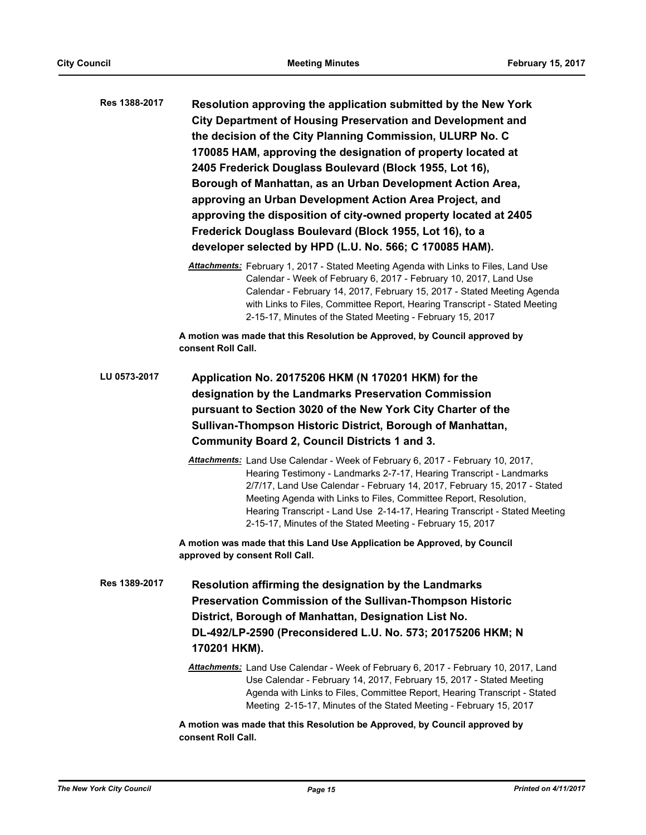| Res 1388-2017 | Resolution approving the application submitted by the New York<br><b>City Department of Housing Preservation and Development and</b><br>the decision of the City Planning Commission, ULURP No. C<br>170085 HAM, approving the designation of property located at<br>2405 Frederick Douglass Boulevard (Block 1955, Lot 16),<br>Borough of Manhattan, as an Urban Development Action Area,<br>approving an Urban Development Action Area Project, and<br>approving the disposition of city-owned property located at 2405<br>Frederick Douglass Boulevard (Block 1955, Lot 16), to a<br>developer selected by HPD (L.U. No. 566; C 170085 HAM). |
|---------------|-------------------------------------------------------------------------------------------------------------------------------------------------------------------------------------------------------------------------------------------------------------------------------------------------------------------------------------------------------------------------------------------------------------------------------------------------------------------------------------------------------------------------------------------------------------------------------------------------------------------------------------------------|
|               | Attachments: February 1, 2017 - Stated Meeting Agenda with Links to Files, Land Use<br>Calendar - Week of February 6, 2017 - February 10, 2017, Land Use<br>Calendar - February 14, 2017, February 15, 2017 - Stated Meeting Agenda<br>with Links to Files, Committee Report, Hearing Transcript - Stated Meeting<br>2-15-17, Minutes of the Stated Meeting - February 15, 2017                                                                                                                                                                                                                                                                 |
|               | A motion was made that this Resolution be Approved, by Council approved by<br>consent Roll Call.                                                                                                                                                                                                                                                                                                                                                                                                                                                                                                                                                |
| LU 0573-2017  | Application No. 20175206 HKM (N 170201 HKM) for the<br>designation by the Landmarks Preservation Commission<br>pursuant to Section 3020 of the New York City Charter of the<br>Sullivan-Thompson Historic District, Borough of Manhattan,<br><b>Community Board 2, Council Districts 1 and 3.</b>                                                                                                                                                                                                                                                                                                                                               |
|               | Attachments: Land Use Calendar - Week of February 6, 2017 - February 10, 2017,<br>Hearing Testimony - Landmarks 2-7-17, Hearing Transcript - Landmarks<br>2/7/17, Land Use Calendar - February 14, 2017, February 15, 2017 - Stated<br>Meeting Agenda with Links to Files, Committee Report, Resolution,<br>Hearing Transcript - Land Use 2-14-17, Hearing Transcript - Stated Meeting<br>2-15-17, Minutes of the Stated Meeting - February 15, 2017                                                                                                                                                                                            |
|               | A motion was made that this Land Use Application be Approved, by Council<br>approved by consent Roll Call.                                                                                                                                                                                                                                                                                                                                                                                                                                                                                                                                      |
| Res 1389-2017 | Resolution affirming the designation by the Landmarks<br>Preservation Commission of the Sullivan-Thompson Historic<br>District, Borough of Manhattan, Designation List No.<br>DL-492/LP-2590 (Preconsidered L.U. No. 573; 20175206 HKM; N<br>170201 HKM).                                                                                                                                                                                                                                                                                                                                                                                       |
|               | Attachments: Land Use Calendar - Week of February 6, 2017 - February 10, 2017, Land<br>Use Calendar - February 14, 2017, February 15, 2017 - Stated Meeting<br>Agenda with Links to Files, Committee Report, Hearing Transcript - Stated<br>Meeting 2-15-17, Minutes of the Stated Meeting - February 15, 2017                                                                                                                                                                                                                                                                                                                                  |
|               | A motion was made that this Resolution be Approved, by Council approved by<br>consent Roll Call.                                                                                                                                                                                                                                                                                                                                                                                                                                                                                                                                                |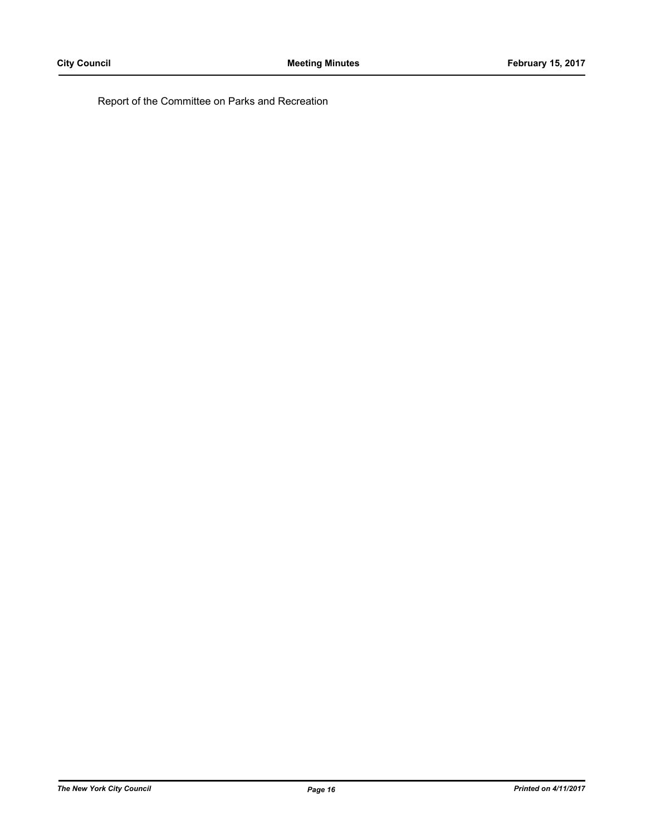Report of the Committee on Parks and Recreation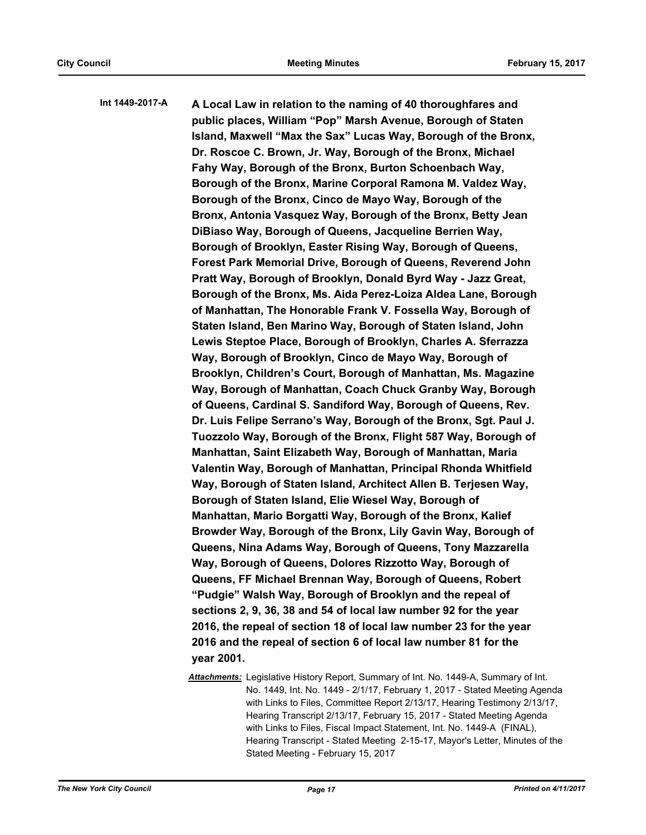**A Local Law in relation to the naming of 40 thoroughfares and public places, William "Pop" Marsh Avenue, Borough of Staten Island, Maxwell "Max the Sax" Lucas Way, Borough of the Bronx, Dr. Roscoe C. Brown, Jr. Way, Borough of the Bronx, Michael Fahy Way, Borough of the Bronx, Burton Schoenbach Way, Borough of the Bronx, Marine Corporal Ramona M. Valdez Way, Borough of the Bronx, Cinco de Mayo Way, Borough of the Bronx, Antonia Vasquez Way, Borough of the Bronx, Betty Jean DiBiaso Way, Borough of Queens, Jacqueline Berrien Way, Borough of Brooklyn, Easter Rising Way, Borough of Queens, Forest Park Memorial Drive, Borough of Queens, Reverend John Pratt Way, Borough of Brooklyn, Donald Byrd Way - Jazz Great, Borough of the Bronx, Ms. Aida Perez-Loiza Aldea Lane, Borough of Manhattan, The Honorable Frank V. Fossella Way, Borough of Staten Island, Ben Marino Way, Borough of Staten Island, John Lewis Steptoe Place, Borough of Brooklyn, Charles A. Sferrazza Way, Borough of Brooklyn, Cinco de Mayo Way, Borough of Brooklyn, Children's Court, Borough of Manhattan, Ms. Magazine Way, Borough of Manhattan, Coach Chuck Granby Way, Borough of Queens, Cardinal S. Sandiford Way, Borough of Queens, Rev. Dr. Luis Felipe Serrano's Way, Borough of the Bronx, Sgt. Paul J. Tuozzolo Way, Borough of the Bronx, Flight 587 Way, Borough of Manhattan, Saint Elizabeth Way, Borough of Manhattan, Maria Valentin Way, Borough of Manhattan, Principal Rhonda Whitfield Way, Borough of Staten Island, Architect Allen B. Terjesen Way, Borough of Staten Island, Elie Wiesel Way, Borough of Manhattan, Mario Borgatti Way, Borough of the Bronx, Kalief Browder Way, Borough of the Bronx, Lily Gavin Way, Borough of Queens, Nina Adams Way, Borough of Queens, Tony Mazzarella Way, Borough of Queens, Dolores Rizzotto Way, Borough of Queens, FF Michael Brennan Way, Borough of Queens, Robert "Pudgie" Walsh Way, Borough of Brooklyn and the repeal of sections 2, 9, 36, 38 and 54 of local law number 92 for the year 2016, the repeal of section 18 of local law number 23 for the year 2016 and the repeal of section 6 of local law number 81 for the year 2001. Int 1449-2017-A**

> *Attachments:* Legislative History Report, Summary of Int. No. 1449-A, Summary of Int. No. 1449, Int. No. 1449 - 2/1/17, February 1, 2017 - Stated Meeting Agenda with Links to Files, Committee Report 2/13/17, Hearing Testimony 2/13/17, Hearing Transcript 2/13/17, February 15, 2017 - Stated Meeting Agenda with Links to Files, Fiscal Impact Statement, Int. No. 1449-A (FINAL), Hearing Transcript - Stated Meeting 2-15-17, Mayor's Letter, Minutes of the Stated Meeting - February 15, 2017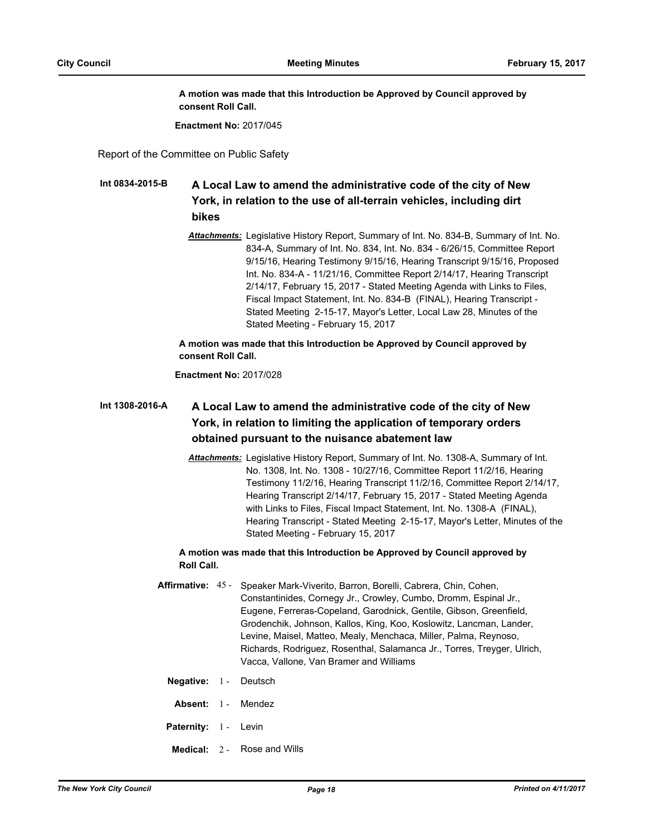**A motion was made that this Introduction be Approved by Council approved by consent Roll Call.**

**Enactment No:** 2017/045

Report of the Committee on Public Safety

#### **A Local Law to amend the administrative code of the city of New York, in relation to the use of all-terrain vehicles, including dirt bikes Int 0834-2015-B**

*Attachments:* Legislative History Report, Summary of Int. No. 834-B, Summary of Int. No. 834-A, Summary of Int. No. 834, Int. No. 834 - 6/26/15, Committee Report 9/15/16, Hearing Testimony 9/15/16, Hearing Transcript 9/15/16, Proposed Int. No. 834-A - 11/21/16, Committee Report 2/14/17, Hearing Transcript 2/14/17, February 15, 2017 - Stated Meeting Agenda with Links to Files, Fiscal Impact Statement, Int. No. 834-B (FINAL), Hearing Transcript - Stated Meeting 2-15-17, Mayor's Letter, Local Law 28, Minutes of the Stated Meeting - February 15, 2017

**A motion was made that this Introduction be Approved by Council approved by consent Roll Call.**

**Enactment No:** 2017/028

#### **A Local Law to amend the administrative code of the city of New York, in relation to limiting the application of temporary orders obtained pursuant to the nuisance abatement law Int 1308-2016-A**

*Attachments:* Legislative History Report, Summary of Int. No. 1308-A, Summary of Int. No. 1308, Int. No. 1308 - 10/27/16, Committee Report 11/2/16, Hearing Testimony 11/2/16, Hearing Transcript 11/2/16, Committee Report 2/14/17, Hearing Transcript 2/14/17, February 15, 2017 - Stated Meeting Agenda with Links to Files, Fiscal Impact Statement, Int. No. 1308-A (FINAL), Hearing Transcript - Stated Meeting 2-15-17, Mayor's Letter, Minutes of the Stated Meeting - February 15, 2017

**A motion was made that this Introduction be Approved by Council approved by Roll Call.**

- Affirmative: 45 Speaker Mark-Viverito, Barron, Borelli, Cabrera, Chin, Cohen, Constantinides, Cornegy Jr., Crowley, Cumbo, Dromm, Espinal Jr., Eugene, Ferreras-Copeland, Garodnick, Gentile, Gibson, Greenfield, Grodenchik, Johnson, Kallos, King, Koo, Koslowitz, Lancman, Lander, Levine, Maisel, Matteo, Mealy, Menchaca, Miller, Palma, Reynoso, Richards, Rodriguez, Rosenthal, Salamanca Jr., Torres, Treyger, Ulrich, Vacca, Vallone, Van Bramer and Williams
	- **Negative:** 1 Deutsch
	- Absent: 1 Mendez
	- Paternity: 1 Levin
	- **Medical:** 2 Rose and Wills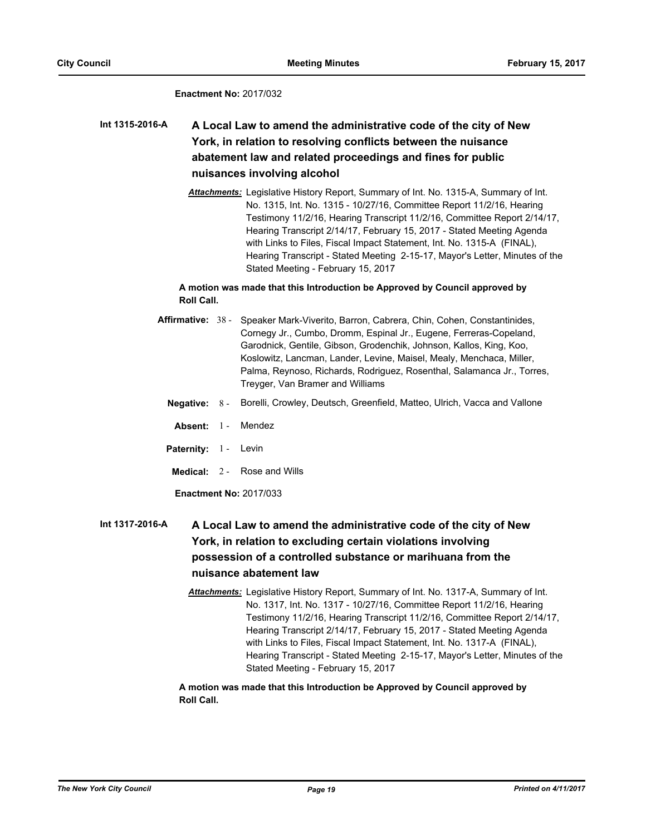#### **Enactment No:** 2017/032

## **A Local Law to amend the administrative code of the city of New York, in relation to resolving conflicts between the nuisance abatement law and related proceedings and fines for public nuisances involving alcohol Int 1315-2016-A**

*Attachments:* Legislative History Report, Summary of Int. No. 1315-A, Summary of Int. No. 1315, Int. No. 1315 - 10/27/16, Committee Report 11/2/16, Hearing Testimony 11/2/16, Hearing Transcript 11/2/16, Committee Report 2/14/17, Hearing Transcript 2/14/17, February 15, 2017 - Stated Meeting Agenda with Links to Files, Fiscal Impact Statement, Int. No. 1315-A (FINAL), Hearing Transcript - Stated Meeting 2-15-17, Mayor's Letter, Minutes of the Stated Meeting - February 15, 2017

## **A motion was made that this Introduction be Approved by Council approved by Roll Call.**

- Affirmative: 38 Speaker Mark-Viverito, Barron, Cabrera, Chin, Cohen, Constantinides, Cornegy Jr., Cumbo, Dromm, Espinal Jr., Eugene, Ferreras-Copeland, Garodnick, Gentile, Gibson, Grodenchik, Johnson, Kallos, King, Koo, Koslowitz, Lancman, Lander, Levine, Maisel, Mealy, Menchaca, Miller, Palma, Reynoso, Richards, Rodriguez, Rosenthal, Salamanca Jr., Torres, Treyger, Van Bramer and Williams
	- **Negative:** 8 Borelli, Crowley, Deutsch, Greenfield, Matteo, Ulrich, Vacca and Vallone
	- Absent: 1 Mendez
	- Paternity: 1 Levin
	- **Medical:** 2 Rose and Wills

**Enactment No:** 2017/033

#### **A Local Law to amend the administrative code of the city of New York, in relation to excluding certain violations involving possession of a controlled substance or marihuana from the nuisance abatement law Int 1317-2016-A**

*Attachments:* Legislative History Report, Summary of Int. No. 1317-A, Summary of Int. No. 1317, Int. No. 1317 - 10/27/16, Committee Report 11/2/16, Hearing Testimony 11/2/16, Hearing Transcript 11/2/16, Committee Report 2/14/17, Hearing Transcript 2/14/17, February 15, 2017 - Stated Meeting Agenda with Links to Files, Fiscal Impact Statement, Int. No. 1317-A (FINAL), Hearing Transcript - Stated Meeting 2-15-17, Mayor's Letter, Minutes of the Stated Meeting - February 15, 2017

**A motion was made that this Introduction be Approved by Council approved by Roll Call.**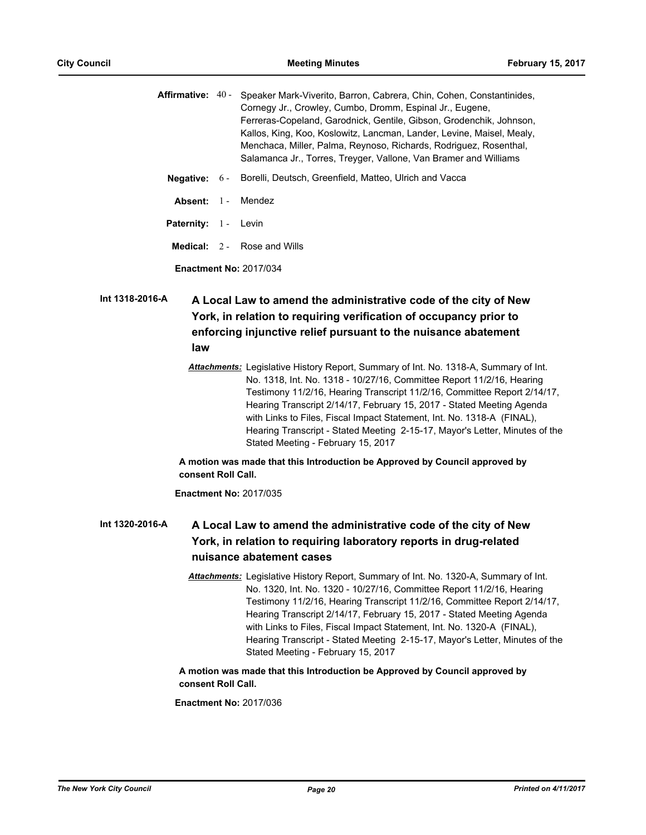Affirmative: 40 - Speaker Mark-Viverito, Barron, Cabrera, Chin, Cohen, Constantinides, Cornegy Jr., Crowley, Cumbo, Dromm, Espinal Jr., Eugene, Ferreras-Copeland, Garodnick, Gentile, Gibson, Grodenchik, Johnson, Kallos, King, Koo, Koslowitz, Lancman, Lander, Levine, Maisel, Mealy, Menchaca, Miller, Palma, Reynoso, Richards, Rodriguez, Rosenthal, Salamanca Jr., Torres, Treyger, Vallone, Van Bramer and Williams **Negative:** 6 - Borelli, Deutsch, Greenfield, Matteo, Ulrich and Vacca **Absent:** 1 - Mendez Paternity: 1 - Levin **Medical:** 2 - Rose and Wills

**Enactment No:** 2017/034

## **A Local Law to amend the administrative code of the city of New York, in relation to requiring verification of occupancy prior to enforcing injunctive relief pursuant to the nuisance abatement law Int 1318-2016-A**

*Attachments:* Legislative History Report, Summary of Int. No. 1318-A, Summary of Int. No. 1318, Int. No. 1318 - 10/27/16, Committee Report 11/2/16, Hearing Testimony 11/2/16, Hearing Transcript 11/2/16, Committee Report 2/14/17, Hearing Transcript 2/14/17, February 15, 2017 - Stated Meeting Agenda with Links to Files, Fiscal Impact Statement, Int. No. 1318-A (FINAL), Hearing Transcript - Stated Meeting 2-15-17, Mayor's Letter, Minutes of the Stated Meeting - February 15, 2017

## **A motion was made that this Introduction be Approved by Council approved by consent Roll Call.**

**Enactment No:** 2017/035

#### **A Local Law to amend the administrative code of the city of New York, in relation to requiring laboratory reports in drug-related nuisance abatement cases Int 1320-2016-A**

*Attachments:* Legislative History Report, Summary of Int. No. 1320-A, Summary of Int. No. 1320, Int. No. 1320 - 10/27/16, Committee Report 11/2/16, Hearing Testimony 11/2/16, Hearing Transcript 11/2/16, Committee Report 2/14/17, Hearing Transcript 2/14/17, February 15, 2017 - Stated Meeting Agenda with Links to Files, Fiscal Impact Statement, Int. No. 1320-A (FINAL), Hearing Transcript - Stated Meeting 2-15-17, Mayor's Letter, Minutes of the Stated Meeting - February 15, 2017

## **A motion was made that this Introduction be Approved by Council approved by consent Roll Call.**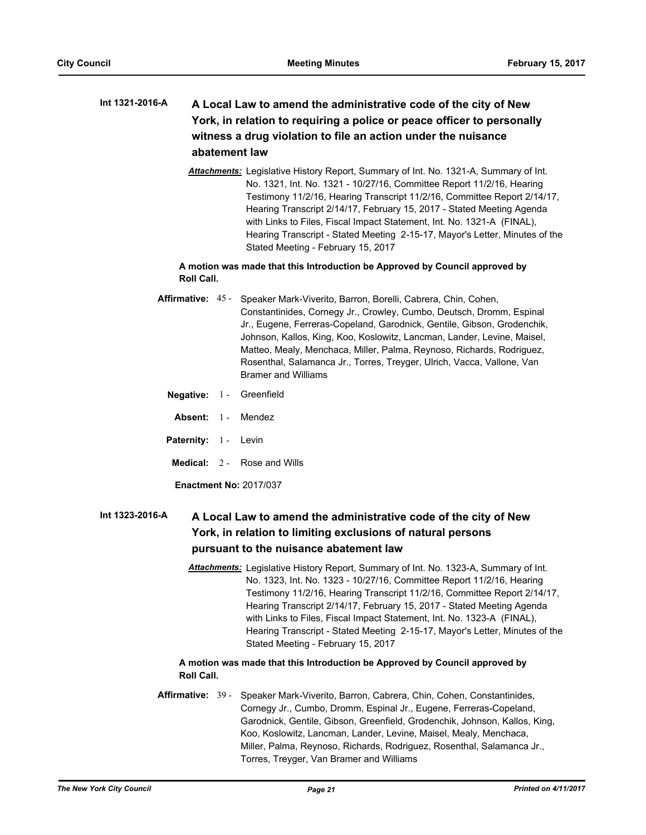## **A Local Law to amend the administrative code of the city of New York, in relation to requiring a police or peace officer to personally witness a drug violation to file an action under the nuisance abatement law Int 1321-2016-A**

*Attachments:* Legislative History Report, Summary of Int. No. 1321-A, Summary of Int. No. 1321, Int. No. 1321 - 10/27/16, Committee Report 11/2/16, Hearing Testimony 11/2/16, Hearing Transcript 11/2/16, Committee Report 2/14/17, Hearing Transcript 2/14/17, February 15, 2017 - Stated Meeting Agenda with Links to Files, Fiscal Impact Statement, Int. No. 1321-A (FINAL), Hearing Transcript - Stated Meeting 2-15-17, Mayor's Letter, Minutes of the Stated Meeting - February 15, 2017

## **A motion was made that this Introduction be Approved by Council approved by Roll Call.**

- Affirmative: 45 Speaker Mark-Viverito, Barron, Borelli, Cabrera, Chin, Cohen, Constantinides, Cornegy Jr., Crowley, Cumbo, Deutsch, Dromm, Espinal Jr., Eugene, Ferreras-Copeland, Garodnick, Gentile, Gibson, Grodenchik, Johnson, Kallos, King, Koo, Koslowitz, Lancman, Lander, Levine, Maisel, Matteo, Mealy, Menchaca, Miller, Palma, Reynoso, Richards, Rodriguez, Rosenthal, Salamanca Jr., Torres, Treyger, Ulrich, Vacca, Vallone, Van Bramer and Williams
	- **Negative:** 1 Greenfield
	- **Absent:** 1 Mendez
	- Paternity: 1 Levin
	- **Medical:** 2 Rose and Wills

**Enactment No:** 2017/037

#### **A Local Law to amend the administrative code of the city of New York, in relation to limiting exclusions of natural persons pursuant to the nuisance abatement law Int 1323-2016-A**

*Attachments:* Legislative History Report, Summary of Int. No. 1323-A, Summary of Int. No. 1323, Int. No. 1323 - 10/27/16, Committee Report 11/2/16, Hearing Testimony 11/2/16, Hearing Transcript 11/2/16, Committee Report 2/14/17, Hearing Transcript 2/14/17, February 15, 2017 - Stated Meeting Agenda with Links to Files, Fiscal Impact Statement, Int. No. 1323-A (FINAL), Hearing Transcript - Stated Meeting 2-15-17, Mayor's Letter, Minutes of the Stated Meeting - February 15, 2017

## **A motion was made that this Introduction be Approved by Council approved by Roll Call.**

Affirmative: 39 - Speaker Mark-Viverito, Barron, Cabrera, Chin, Cohen, Constantinides, Cornegy Jr., Cumbo, Dromm, Espinal Jr., Eugene, Ferreras-Copeland, Garodnick, Gentile, Gibson, Greenfield, Grodenchik, Johnson, Kallos, King, Koo, Koslowitz, Lancman, Lander, Levine, Maisel, Mealy, Menchaca, Miller, Palma, Reynoso, Richards, Rodriguez, Rosenthal, Salamanca Jr., Torres, Treyger, Van Bramer and Williams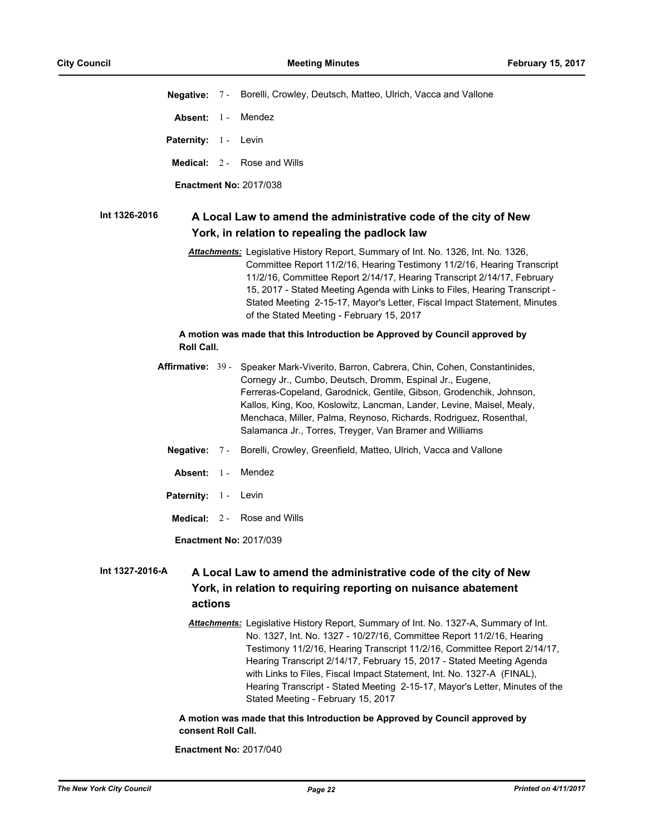**Negative:** 7 - Borelli, Crowley, Deutsch, Matteo, Ulrich, Vacca and Vallone **Absent:** 1 - Mendez Paternity: 1 - Levin **Medical:** 2 - Rose and Wills **Enactment No:** 2017/038 **A Local Law to amend the administrative code of the city of New York, in relation to repealing the padlock law Int 1326-2016** *Attachments:* Legislative History Report, Summary of Int. No. 1326, Int. No. 1326, Committee Report 11/2/16, Hearing Testimony 11/2/16, Hearing Transcript 11/2/16, Committee Report 2/14/17, Hearing Transcript 2/14/17, February 15, 2017 - Stated Meeting Agenda with Links to Files, Hearing Transcript - Stated Meeting 2-15-17, Mayor's Letter, Fiscal Impact Statement, Minutes of the Stated Meeting - February 15, 2017 **A motion was made that this Introduction be Approved by Council approved by Roll Call.** Affirmative: 39 - Speaker Mark-Viverito, Barron, Cabrera, Chin, Cohen, Constantinides, Cornegy Jr., Cumbo, Deutsch, Dromm, Espinal Jr., Eugene, Ferreras-Copeland, Garodnick, Gentile, Gibson, Grodenchik, Johnson, Kallos, King, Koo, Koslowitz, Lancman, Lander, Levine, Maisel, Mealy, Menchaca, Miller, Palma, Reynoso, Richards, Rodriguez, Rosenthal, Salamanca Jr., Torres, Treyger, Van Bramer and Williams **Negative:** 7 - Borelli, Crowley, Greenfield, Matteo, Ulrich, Vacca and Vallone Absent: 1 - Mendez Paternity: 1 - Levin **Medical:** 2 - Rose and Wills **Enactment No:** 2017/039

#### **A Local Law to amend the administrative code of the city of New York, in relation to requiring reporting on nuisance abatement actions Int 1327-2016-A**

*Attachments:* Legislative History Report, Summary of Int. No. 1327-A, Summary of Int. No. 1327, Int. No. 1327 - 10/27/16, Committee Report 11/2/16, Hearing Testimony 11/2/16, Hearing Transcript 11/2/16, Committee Report 2/14/17, Hearing Transcript 2/14/17, February 15, 2017 - Stated Meeting Agenda with Links to Files, Fiscal Impact Statement, Int. No. 1327-A (FINAL), Hearing Transcript - Stated Meeting 2-15-17, Mayor's Letter, Minutes of the Stated Meeting - February 15, 2017

**A motion was made that this Introduction be Approved by Council approved by consent Roll Call.**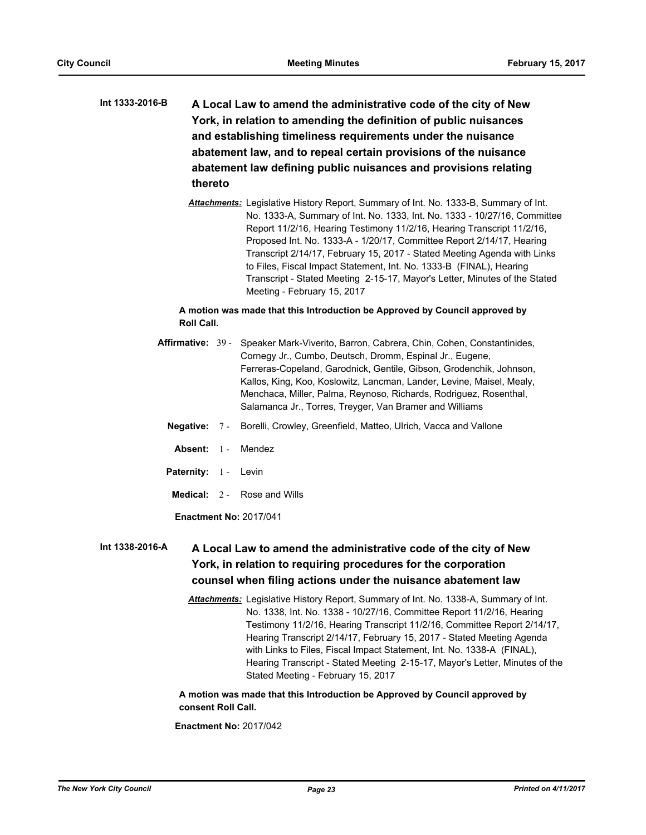- **A Local Law to amend the administrative code of the city of New York, in relation to amending the definition of public nuisances and establishing timeliness requirements under the nuisance abatement law, and to repeal certain provisions of the nuisance abatement law defining public nuisances and provisions relating thereto Int 1333-2016-B**
	- *Attachments:* Legislative History Report, Summary of Int. No. 1333-B, Summary of Int. No. 1333-A, Summary of Int. No. 1333, Int. No. 1333 - 10/27/16, Committee Report 11/2/16, Hearing Testimony 11/2/16, Hearing Transcript 11/2/16, Proposed Int. No. 1333-A - 1/20/17, Committee Report 2/14/17, Hearing Transcript 2/14/17, February 15, 2017 - Stated Meeting Agenda with Links to Files, Fiscal Impact Statement, Int. No. 1333-B (FINAL), Hearing Transcript - Stated Meeting 2-15-17, Mayor's Letter, Minutes of the Stated Meeting - February 15, 2017

## **A motion was made that this Introduction be Approved by Council approved by Roll Call.**

- Affirmative: 39 Speaker Mark-Viverito, Barron, Cabrera, Chin, Cohen, Constantinides, Cornegy Jr., Cumbo, Deutsch, Dromm, Espinal Jr., Eugene, Ferreras-Copeland, Garodnick, Gentile, Gibson, Grodenchik, Johnson, Kallos, King, Koo, Koslowitz, Lancman, Lander, Levine, Maisel, Mealy, Menchaca, Miller, Palma, Reynoso, Richards, Rodriguez, Rosenthal, Salamanca Jr., Torres, Treyger, Van Bramer and Williams
	- **Negative:** 7 Borelli, Crowley, Greenfield, Matteo, Ulrich, Vacca and Vallone
	- **Absent:** 1 Mendez
	- Paternity: 1 Levin
	- **Medical:** 2 Rose and Wills

**Enactment No:** 2017/041

#### **A Local Law to amend the administrative code of the city of New York, in relation to requiring procedures for the corporation counsel when filing actions under the nuisance abatement law Int 1338-2016-A**

*Attachments:* Legislative History Report, Summary of Int. No. 1338-A, Summary of Int. No. 1338, Int. No. 1338 - 10/27/16, Committee Report 11/2/16, Hearing Testimony 11/2/16, Hearing Transcript 11/2/16, Committee Report 2/14/17, Hearing Transcript 2/14/17, February 15, 2017 - Stated Meeting Agenda with Links to Files, Fiscal Impact Statement, Int. No. 1338-A (FINAL), Hearing Transcript - Stated Meeting 2-15-17, Mayor's Letter, Minutes of the Stated Meeting - February 15, 2017

**A motion was made that this Introduction be Approved by Council approved by consent Roll Call.**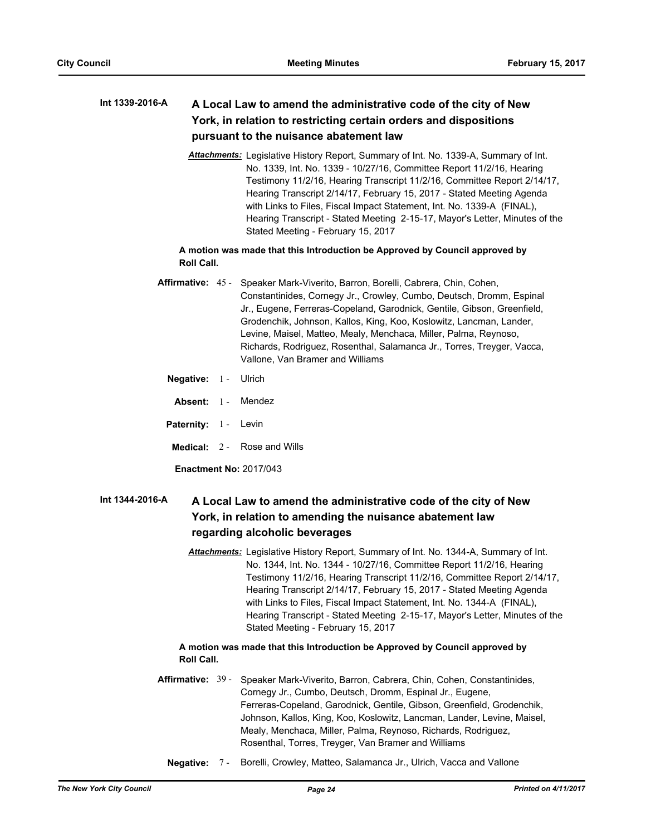#### **A Local Law to amend the administrative code of the city of New York, in relation to restricting certain orders and dispositions pursuant to the nuisance abatement law Int 1339-2016-A**

*Attachments:* Legislative History Report, Summary of Int. No. 1339-A, Summary of Int. No. 1339, Int. No. 1339 - 10/27/16, Committee Report 11/2/16, Hearing Testimony 11/2/16, Hearing Transcript 11/2/16, Committee Report 2/14/17, Hearing Transcript 2/14/17, February 15, 2017 - Stated Meeting Agenda with Links to Files, Fiscal Impact Statement, Int. No. 1339-A (FINAL), Hearing Transcript - Stated Meeting 2-15-17, Mayor's Letter, Minutes of the Stated Meeting - February 15, 2017

## **A motion was made that this Introduction be Approved by Council approved by Roll Call.**

- Affirmative: 45 Speaker Mark-Viverito, Barron, Borelli, Cabrera, Chin, Cohen, Constantinides, Cornegy Jr., Crowley, Cumbo, Deutsch, Dromm, Espinal Jr., Eugene, Ferreras-Copeland, Garodnick, Gentile, Gibson, Greenfield, Grodenchik, Johnson, Kallos, King, Koo, Koslowitz, Lancman, Lander, Levine, Maisel, Matteo, Mealy, Menchaca, Miller, Palma, Reynoso, Richards, Rodriguez, Rosenthal, Salamanca Jr., Torres, Treyger, Vacca, Vallone, Van Bramer and Williams
	- **Negative:** 1 Ulrich
	- **Absent:** 1 Mendez
	- Paternity: 1 Levin
	- **Medical:** 2 Rose and Wills

**Enactment No:** 2017/043

#### **A Local Law to amend the administrative code of the city of New York, in relation to amending the nuisance abatement law regarding alcoholic beverages Int 1344-2016-A**

*Attachments:* Legislative History Report, Summary of Int. No. 1344-A, Summary of Int. No. 1344, Int. No. 1344 - 10/27/16, Committee Report 11/2/16, Hearing Testimony 11/2/16, Hearing Transcript 11/2/16, Committee Report 2/14/17, Hearing Transcript 2/14/17, February 15, 2017 - Stated Meeting Agenda with Links to Files, Fiscal Impact Statement, Int. No. 1344-A (FINAL), Hearing Transcript - Stated Meeting 2-15-17, Mayor's Letter, Minutes of the Stated Meeting - February 15, 2017

## **A motion was made that this Introduction be Approved by Council approved by Roll Call.**

- **Affirmative:** Speaker Mark-Viverito, Barron, Cabrera, Chin, Cohen, Constantinides, Cornegy Jr., Cumbo, Deutsch, Dromm, Espinal Jr., Eugene, Ferreras-Copeland, Garodnick, Gentile, Gibson, Greenfield, Grodenchik, Johnson, Kallos, King, Koo, Koslowitz, Lancman, Lander, Levine, Maisel, Mealy, Menchaca, Miller, Palma, Reynoso, Richards, Rodriguez, Rosenthal, Torres, Treyger, Van Bramer and Williams Affirmative: 39 -
	- **Negative:** 7 Borelli, Crowley, Matteo, Salamanca Jr., Ulrich, Vacca and Vallone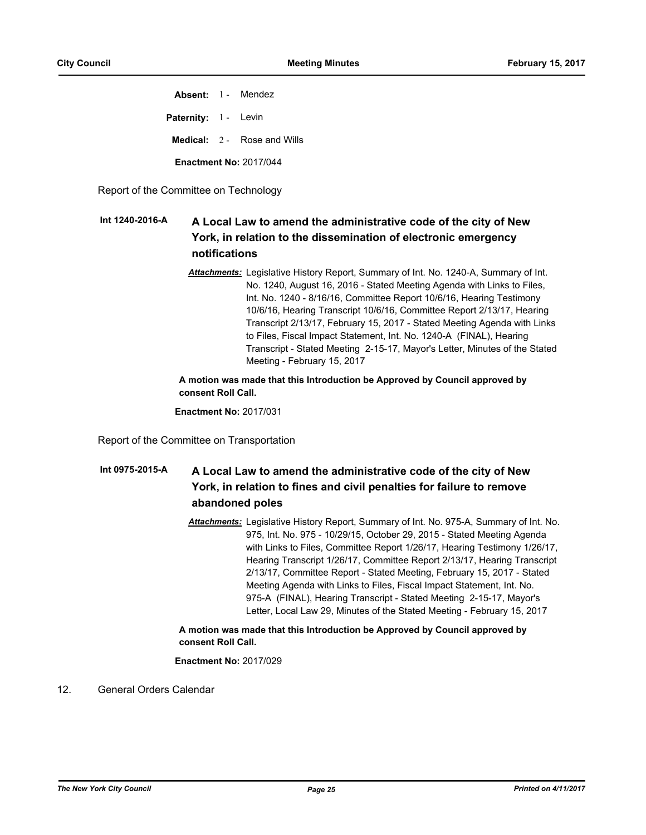**Absent:** 1 - Mendez Paternity: 1 - Levin **Medical:** 2 - Rose and Wills **Enactment No:** 2017/044

Report of the Committee on Technology

#### **A Local Law to amend the administrative code of the city of New York, in relation to the dissemination of electronic emergency notifications Int 1240-2016-A**

*Attachments:* Legislative History Report, Summary of Int. No. 1240-A, Summary of Int. No. 1240, August 16, 2016 - Stated Meeting Agenda with Links to Files, Int. No. 1240 - 8/16/16, Committee Report 10/6/16, Hearing Testimony 10/6/16, Hearing Transcript 10/6/16, Committee Report 2/13/17, Hearing Transcript 2/13/17, February 15, 2017 - Stated Meeting Agenda with Links to Files, Fiscal Impact Statement, Int. No. 1240-A (FINAL), Hearing Transcript - Stated Meeting 2-15-17, Mayor's Letter, Minutes of the Stated Meeting - February 15, 2017

## **A motion was made that this Introduction be Approved by Council approved by consent Roll Call.**

**Enactment No:** 2017/031

Report of the Committee on Transportation

#### **A Local Law to amend the administrative code of the city of New York, in relation to fines and civil penalties for failure to remove abandoned poles Int 0975-2015-A**

*Attachments:* Legislative History Report, Summary of Int. No. 975-A, Summary of Int. No. 975, Int. No. 975 - 10/29/15, October 29, 2015 - Stated Meeting Agenda with Links to Files, Committee Report 1/26/17, Hearing Testimony 1/26/17, Hearing Transcript 1/26/17, Committee Report 2/13/17, Hearing Transcript 2/13/17, Committee Report - Stated Meeting, February 15, 2017 - Stated Meeting Agenda with Links to Files, Fiscal Impact Statement, Int. No. 975-A (FINAL), Hearing Transcript - Stated Meeting 2-15-17, Mayor's Letter, Local Law 29, Minutes of the Stated Meeting - February 15, 2017

## **A motion was made that this Introduction be Approved by Council approved by consent Roll Call.**

## **Enactment No:** 2017/029

12. General Orders Calendar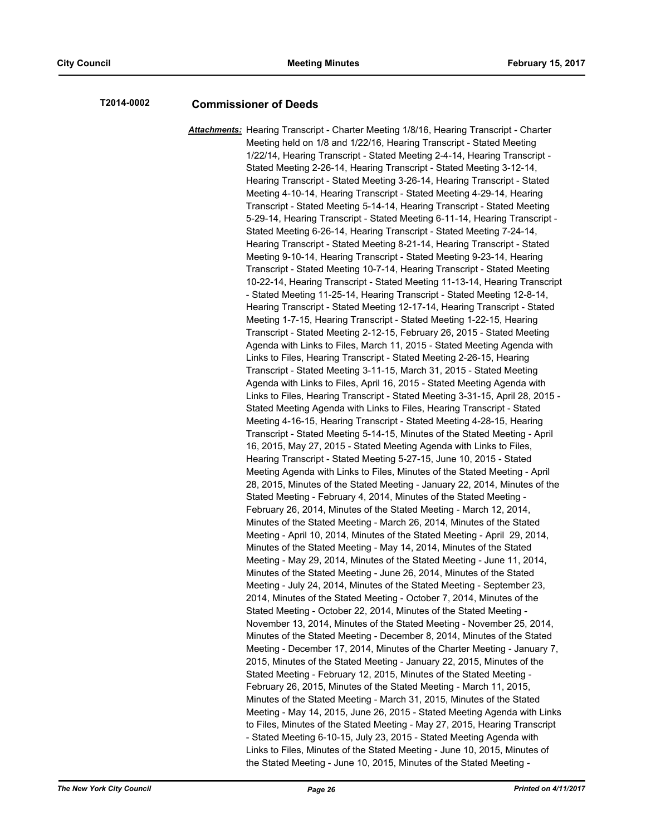# **T2014-0002 Commissioner of Deeds**

*Attachments:* Hearing Transcript - Charter Meeting 1/8/16, Hearing Transcript - Charter Meeting held on 1/8 and 1/22/16, Hearing Transcript - Stated Meeting 1/22/14, Hearing Transcript - Stated Meeting 2-4-14, Hearing Transcript - Stated Meeting 2-26-14, Hearing Transcript - Stated Meeting 3-12-14, Hearing Transcript - Stated Meeting 3-26-14, Hearing Transcript - Stated Meeting 4-10-14, Hearing Transcript - Stated Meeting 4-29-14, Hearing Transcript - Stated Meeting 5-14-14, Hearing Transcript - Stated Meeting 5-29-14, Hearing Transcript - Stated Meeting 6-11-14, Hearing Transcript - Stated Meeting 6-26-14, Hearing Transcript - Stated Meeting 7-24-14, Hearing Transcript - Stated Meeting 8-21-14, Hearing Transcript - Stated Meeting 9-10-14, Hearing Transcript - Stated Meeting 9-23-14, Hearing Transcript - Stated Meeting 10-7-14, Hearing Transcript - Stated Meeting 10-22-14, Hearing Transcript - Stated Meeting 11-13-14, Hearing Transcript - Stated Meeting 11-25-14, Hearing Transcript - Stated Meeting 12-8-14, Hearing Transcript - Stated Meeting 12-17-14, Hearing Transcript - Stated Meeting 1-7-15, Hearing Transcript - Stated Meeting 1-22-15, Hearing Transcript - Stated Meeting 2-12-15, February 26, 2015 - Stated Meeting Agenda with Links to Files, March 11, 2015 - Stated Meeting Agenda with Links to Files, Hearing Transcript - Stated Meeting 2-26-15, Hearing Transcript - Stated Meeting 3-11-15, March 31, 2015 - Stated Meeting Agenda with Links to Files, April 16, 2015 - Stated Meeting Agenda with Links to Files, Hearing Transcript - Stated Meeting 3-31-15, April 28, 2015 - Stated Meeting Agenda with Links to Files, Hearing Transcript - Stated Meeting 4-16-15, Hearing Transcript - Stated Meeting 4-28-15, Hearing Transcript - Stated Meeting 5-14-15, Minutes of the Stated Meeting - April 16, 2015, May 27, 2015 - Stated Meeting Agenda with Links to Files, Hearing Transcript - Stated Meeting 5-27-15, June 10, 2015 - Stated Meeting Agenda with Links to Files, Minutes of the Stated Meeting - April 28, 2015, Minutes of the Stated Meeting - January 22, 2014, Minutes of the Stated Meeting - February 4, 2014, Minutes of the Stated Meeting - February 26, 2014, Minutes of the Stated Meeting - March 12, 2014, Minutes of the Stated Meeting - March 26, 2014, Minutes of the Stated Meeting - April 10, 2014, Minutes of the Stated Meeting - April 29, 2014, Minutes of the Stated Meeting - May 14, 2014, Minutes of the Stated Meeting - May 29, 2014, Minutes of the Stated Meeting - June 11, 2014, Minutes of the Stated Meeting - June 26, 2014, Minutes of the Stated Meeting - July 24, 2014, Minutes of the Stated Meeting - September 23, 2014, Minutes of the Stated Meeting - October 7, 2014, Minutes of the Stated Meeting - October 22, 2014, Minutes of the Stated Meeting - November 13, 2014, Minutes of the Stated Meeting - November 25, 2014, Minutes of the Stated Meeting - December 8, 2014, Minutes of the Stated Meeting - December 17, 2014, Minutes of the Charter Meeting - January 7, 2015, Minutes of the Stated Meeting - January 22, 2015, Minutes of the Stated Meeting - February 12, 2015, Minutes of the Stated Meeting - February 26, 2015, Minutes of the Stated Meeting - March 11, 2015, Minutes of the Stated Meeting - March 31, 2015, Minutes of the Stated Meeting - May 14, 2015, June 26, 2015 - Stated Meeting Agenda with Links to Files, Minutes of the Stated Meeting - May 27, 2015, Hearing Transcript - Stated Meeting 6-10-15, July 23, 2015 - Stated Meeting Agenda with Links to Files, Minutes of the Stated Meeting - June 10, 2015, Minutes of the Stated Meeting - June 10, 2015, Minutes of the Stated Meeting -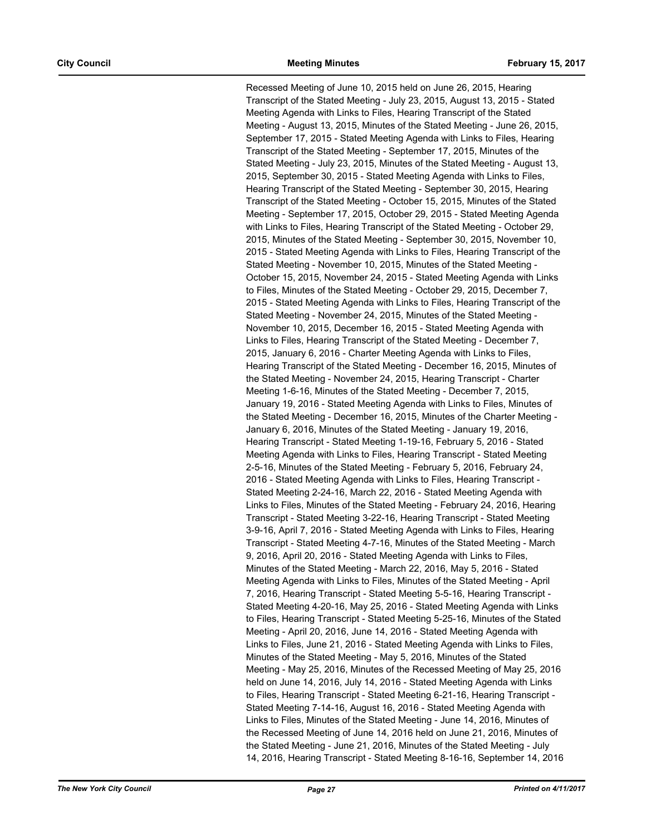Recessed Meeting of June 10, 2015 held on June 26, 2015, Hearing Transcript of the Stated Meeting - July 23, 2015, August 13, 2015 - Stated Meeting Agenda with Links to Files, Hearing Transcript of the Stated Meeting - August 13, 2015, Minutes of the Stated Meeting - June 26, 2015, September 17, 2015 - Stated Meeting Agenda with Links to Files, Hearing Transcript of the Stated Meeting - September 17, 2015, Minutes of the Stated Meeting - July 23, 2015, Minutes of the Stated Meeting - August 13, 2015, September 30, 2015 - Stated Meeting Agenda with Links to Files, Hearing Transcript of the Stated Meeting - September 30, 2015, Hearing Transcript of the Stated Meeting - October 15, 2015, Minutes of the Stated Meeting - September 17, 2015, October 29, 2015 - Stated Meeting Agenda with Links to Files, Hearing Transcript of the Stated Meeting - October 29, 2015, Minutes of the Stated Meeting - September 30, 2015, November 10, 2015 - Stated Meeting Agenda with Links to Files, Hearing Transcript of the Stated Meeting - November 10, 2015, Minutes of the Stated Meeting - October 15, 2015, November 24, 2015 - Stated Meeting Agenda with Links to Files, Minutes of the Stated Meeting - October 29, 2015, December 7, 2015 - Stated Meeting Agenda with Links to Files, Hearing Transcript of the Stated Meeting - November 24, 2015, Minutes of the Stated Meeting - November 10, 2015, December 16, 2015 - Stated Meeting Agenda with Links to Files, Hearing Transcript of the Stated Meeting - December 7, 2015, January 6, 2016 - Charter Meeting Agenda with Links to Files, Hearing Transcript of the Stated Meeting - December 16, 2015, Minutes of the Stated Meeting - November 24, 2015, Hearing Transcript - Charter Meeting 1-6-16, Minutes of the Stated Meeting - December 7, 2015, January 19, 2016 - Stated Meeting Agenda with Links to Files, Minutes of the Stated Meeting - December 16, 2015, Minutes of the Charter Meeting - January 6, 2016, Minutes of the Stated Meeting - January 19, 2016, Hearing Transcript - Stated Meeting 1-19-16, February 5, 2016 - Stated Meeting Agenda with Links to Files, Hearing Transcript - Stated Meeting 2-5-16, Minutes of the Stated Meeting - February 5, 2016, February 24, 2016 - Stated Meeting Agenda with Links to Files, Hearing Transcript - Stated Meeting 2-24-16, March 22, 2016 - Stated Meeting Agenda with Links to Files, Minutes of the Stated Meeting - February 24, 2016, Hearing Transcript - Stated Meeting 3-22-16, Hearing Transcript - Stated Meeting 3-9-16, April 7, 2016 - Stated Meeting Agenda with Links to Files, Hearing Transcript - Stated Meeting 4-7-16, Minutes of the Stated Meeting - March 9, 2016, April 20, 2016 - Stated Meeting Agenda with Links to Files, Minutes of the Stated Meeting - March 22, 2016, May 5, 2016 - Stated Meeting Agenda with Links to Files, Minutes of the Stated Meeting - April 7, 2016, Hearing Transcript - Stated Meeting 5-5-16, Hearing Transcript - Stated Meeting 4-20-16, May 25, 2016 - Stated Meeting Agenda with Links to Files, Hearing Transcript - Stated Meeting 5-25-16, Minutes of the Stated Meeting - April 20, 2016, June 14, 2016 - Stated Meeting Agenda with Links to Files, June 21, 2016 - Stated Meeting Agenda with Links to Files, Minutes of the Stated Meeting - May 5, 2016, Minutes of the Stated Meeting - May 25, 2016, Minutes of the Recessed Meeting of May 25, 2016 held on June 14, 2016, July 14, 2016 - Stated Meeting Agenda with Links to Files, Hearing Transcript - Stated Meeting 6-21-16, Hearing Transcript - Stated Meeting 7-14-16, August 16, 2016 - Stated Meeting Agenda with Links to Files, Minutes of the Stated Meeting - June 14, 2016, Minutes of the Recessed Meeting of June 14, 2016 held on June 21, 2016, Minutes of the Stated Meeting - June 21, 2016, Minutes of the Stated Meeting - July 14, 2016, Hearing Transcript - Stated Meeting 8-16-16, September 14, 2016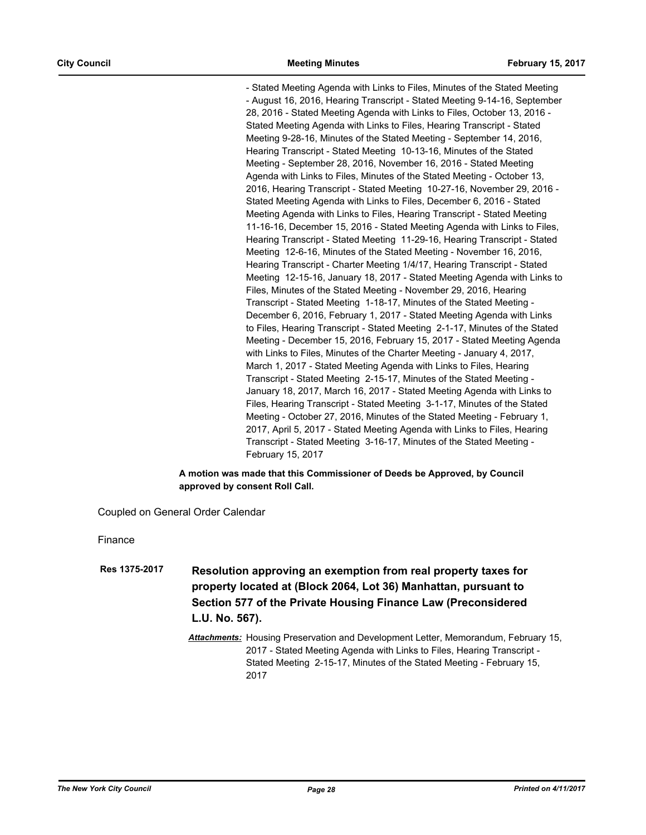- Stated Meeting Agenda with Links to Files, Minutes of the Stated Meeting - August 16, 2016, Hearing Transcript - Stated Meeting 9-14-16, September 28, 2016 - Stated Meeting Agenda with Links to Files, October 13, 2016 - Stated Meeting Agenda with Links to Files, Hearing Transcript - Stated Meeting 9-28-16, Minutes of the Stated Meeting - September 14, 2016, Hearing Transcript - Stated Meeting 10-13-16, Minutes of the Stated Meeting - September 28, 2016, November 16, 2016 - Stated Meeting Agenda with Links to Files, Minutes of the Stated Meeting - October 13, 2016, Hearing Transcript - Stated Meeting 10-27-16, November 29, 2016 - Stated Meeting Agenda with Links to Files, December 6, 2016 - Stated Meeting Agenda with Links to Files, Hearing Transcript - Stated Meeting 11-16-16, December 15, 2016 - Stated Meeting Agenda with Links to Files, Hearing Transcript - Stated Meeting 11-29-16, Hearing Transcript - Stated Meeting 12-6-16, Minutes of the Stated Meeting - November 16, 2016, Hearing Transcript - Charter Meeting 1/4/17, Hearing Transcript - Stated Meeting 12-15-16, January 18, 2017 - Stated Meeting Agenda with Links to Files, Minutes of the Stated Meeting - November 29, 2016, Hearing Transcript - Stated Meeting 1-18-17, Minutes of the Stated Meeting - December 6, 2016, February 1, 2017 - Stated Meeting Agenda with Links to Files, Hearing Transcript - Stated Meeting 2-1-17, Minutes of the Stated Meeting - December 15, 2016, February 15, 2017 - Stated Meeting Agenda with Links to Files, Minutes of the Charter Meeting - January 4, 2017, March 1, 2017 - Stated Meeting Agenda with Links to Files, Hearing Transcript - Stated Meeting 2-15-17, Minutes of the Stated Meeting - January 18, 2017, March 16, 2017 - Stated Meeting Agenda with Links to Files, Hearing Transcript - Stated Meeting 3-1-17, Minutes of the Stated Meeting - October 27, 2016, Minutes of the Stated Meeting - February 1, 2017, April 5, 2017 - Stated Meeting Agenda with Links to Files, Hearing Transcript - Stated Meeting 3-16-17, Minutes of the Stated Meeting - February 15, 2017

#### **A motion was made that this Commissioner of Deeds be Approved, by Council approved by consent Roll Call.**

Coupled on General Order Calendar

Finance

- **Resolution approving an exemption from real property taxes for property located at (Block 2064, Lot 36) Manhattan, pursuant to Section 577 of the Private Housing Finance Law (Preconsidered L.U. No. 567). Res 1375-2017**
	- *Attachments:* Housing Preservation and Development Letter, Memorandum, February 15, 2017 - Stated Meeting Agenda with Links to Files, Hearing Transcript - Stated Meeting 2-15-17, Minutes of the Stated Meeting - February 15, 2017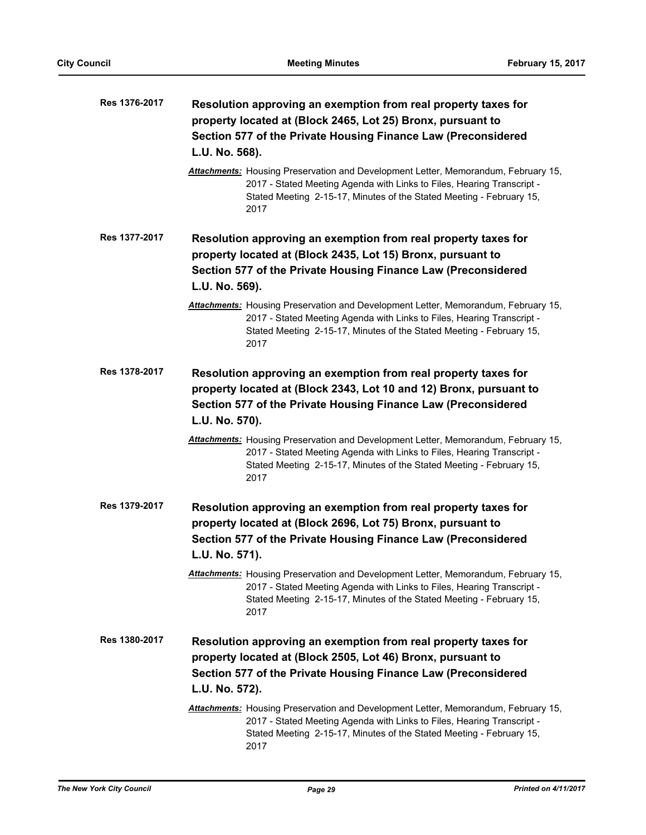| Res 1376-2017 | Resolution approving an exemption from real property taxes for<br>property located at (Block 2465, Lot 25) Bronx, pursuant to                                                                                                                |
|---------------|----------------------------------------------------------------------------------------------------------------------------------------------------------------------------------------------------------------------------------------------|
|               | Section 577 of the Private Housing Finance Law (Preconsidered                                                                                                                                                                                |
|               | L.U. No. 568).                                                                                                                                                                                                                               |
|               | Attachments: Housing Preservation and Development Letter, Memorandum, February 15,<br>2017 - Stated Meeting Agenda with Links to Files, Hearing Transcript -<br>Stated Meeting 2-15-17, Minutes of the Stated Meeting - February 15,<br>2017 |
| Res 1377-2017 | Resolution approving an exemption from real property taxes for<br>property located at (Block 2435, Lot 15) Bronx, pursuant to                                                                                                                |
|               | Section 577 of the Private Housing Finance Law (Preconsidered<br>L.U. No. 569).                                                                                                                                                              |
|               | Attachments: Housing Preservation and Development Letter, Memorandum, February 15,<br>2017 - Stated Meeting Agenda with Links to Files, Hearing Transcript -<br>Stated Meeting 2-15-17, Minutes of the Stated Meeting - February 15,<br>2017 |
| Res 1378-2017 | Resolution approving an exemption from real property taxes for<br>property located at (Block 2343, Lot 10 and 12) Bronx, pursuant to                                                                                                         |
|               | Section 577 of the Private Housing Finance Law (Preconsidered<br>L.U. No. 570).                                                                                                                                                              |
|               | Attachments: Housing Preservation and Development Letter, Memorandum, February 15,<br>2017 - Stated Meeting Agenda with Links to Files, Hearing Transcript -<br>Stated Meeting 2-15-17, Minutes of the Stated Meeting - February 15,<br>2017 |
| Res 1379-2017 | Resolution approving an exemption from real property taxes for<br>property located at (Block 2696, Lot 75) Bronx, pursuant to                                                                                                                |
|               | Section 577 of the Private Housing Finance Law (Preconsidered<br>L.U. No. 571).                                                                                                                                                              |
|               | Attachments: Housing Preservation and Development Letter, Memorandum, February 15,<br>2017 - Stated Meeting Agenda with Links to Files, Hearing Transcript -<br>Stated Meeting 2-15-17, Minutes of the Stated Meeting - February 15,<br>2017 |
| Res 1380-2017 | Resolution approving an exemption from real property taxes for<br>property located at (Block 2505, Lot 46) Bronx, pursuant to                                                                                                                |
|               | Section 577 of the Private Housing Finance Law (Preconsidered                                                                                                                                                                                |
|               | L.U. No. 572).                                                                                                                                                                                                                               |
|               | Attachments: Housing Preservation and Development Letter, Memorandum, February 15,<br>2017 - Stated Meeting Agenda with Links to Files, Hearing Transcript -<br>Stated Meeting 2-15-17, Minutes of the Stated Meeting - February 15,<br>2017 |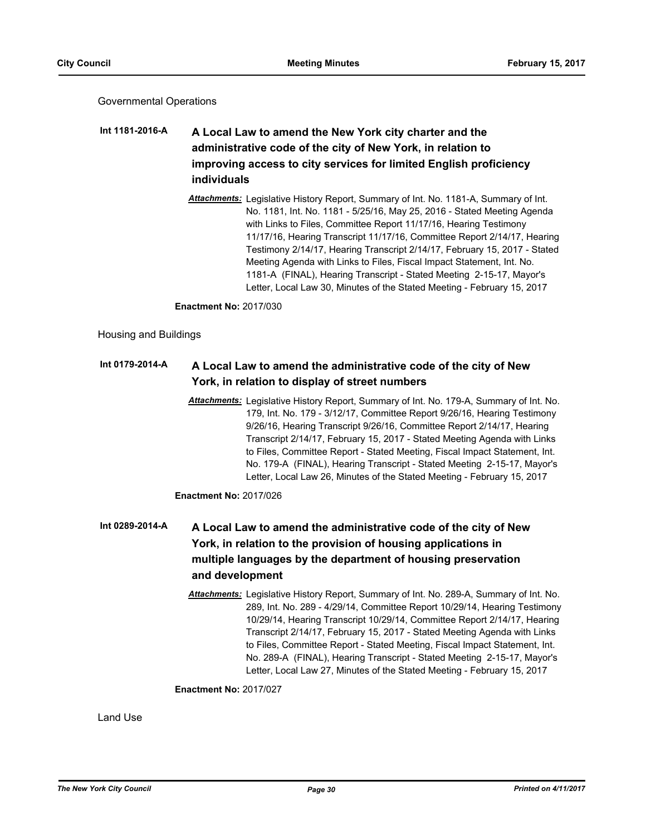Governmental Operations

## **A Local Law to amend the New York city charter and the administrative code of the city of New York, in relation to improving access to city services for limited English proficiency individuals Int 1181-2016-A**

*Attachments:* Legislative History Report, Summary of Int. No. 1181-A, Summary of Int. No. 1181, Int. No. 1181 - 5/25/16, May 25, 2016 - Stated Meeting Agenda with Links to Files, Committee Report 11/17/16, Hearing Testimony 11/17/16, Hearing Transcript 11/17/16, Committee Report 2/14/17, Hearing Testimony 2/14/17, Hearing Transcript 2/14/17, February 15, 2017 - Stated Meeting Agenda with Links to Files, Fiscal Impact Statement, Int. No. 1181-A (FINAL), Hearing Transcript - Stated Meeting 2-15-17, Mayor's Letter, Local Law 30, Minutes of the Stated Meeting - February 15, 2017

**Enactment No:** 2017/030

Housing and Buildings

#### **A Local Law to amend the administrative code of the city of New York, in relation to display of street numbers Int 0179-2014-A**

*Attachments:* Legislative History Report, Summary of Int. No. 179-A, Summary of Int. No. 179, Int. No. 179 - 3/12/17, Committee Report 9/26/16, Hearing Testimony 9/26/16, Hearing Transcript 9/26/16, Committee Report 2/14/17, Hearing Transcript 2/14/17, February 15, 2017 - Stated Meeting Agenda with Links to Files, Committee Report - Stated Meeting, Fiscal Impact Statement, Int. No. 179-A (FINAL), Hearing Transcript - Stated Meeting 2-15-17, Mayor's Letter, Local Law 26, Minutes of the Stated Meeting - February 15, 2017

**Enactment No:** 2017/026

## **A Local Law to amend the administrative code of the city of New York, in relation to the provision of housing applications in multiple languages by the department of housing preservation and development Int 0289-2014-A**

*Attachments:* Legislative History Report, Summary of Int. No. 289-A, Summary of Int. No. 289, Int. No. 289 - 4/29/14, Committee Report 10/29/14, Hearing Testimony 10/29/14, Hearing Transcript 10/29/14, Committee Report 2/14/17, Hearing Transcript 2/14/17, February 15, 2017 - Stated Meeting Agenda with Links to Files, Committee Report - Stated Meeting, Fiscal Impact Statement, Int. No. 289-A (FINAL), Hearing Transcript - Stated Meeting 2-15-17, Mayor's Letter, Local Law 27, Minutes of the Stated Meeting - February 15, 2017

## **Enactment No:** 2017/027

Land Use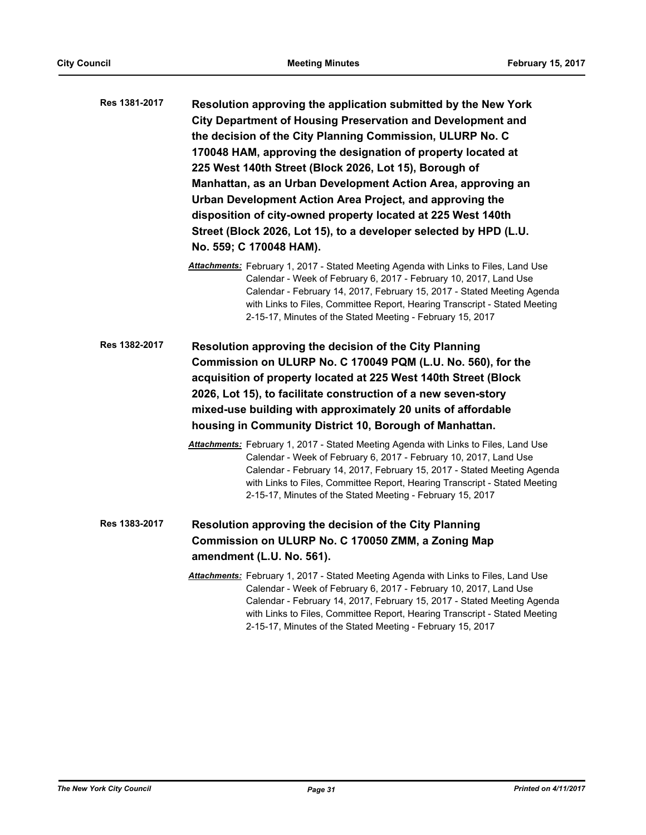| Res 1381-2017 | Resolution approving the application submitted by the New York     |
|---------------|--------------------------------------------------------------------|
|               | <b>City Department of Housing Preservation and Development and</b> |
|               | the decision of the City Planning Commission, ULURP No. C          |
|               | 170048 HAM, approving the designation of property located at       |
|               | 225 West 140th Street (Block 2026, Lot 15), Borough of             |
|               | Manhattan, as an Urban Development Action Area, approving an       |
|               | Urban Development Action Area Project, and approving the           |
|               | disposition of city-owned property located at 225 West 140th       |
|               | Street (Block 2026, Lot 15), to a developer selected by HPD (L.U.  |
|               | No. 559; C 170048 HAM).                                            |

- *Attachments:* February 1, 2017 Stated Meeting Agenda with Links to Files, Land Use Calendar - Week of February 6, 2017 - February 10, 2017, Land Use Calendar - February 14, 2017, February 15, 2017 - Stated Meeting Agenda with Links to Files, Committee Report, Hearing Transcript - Stated Meeting 2-15-17, Minutes of the Stated Meeting - February 15, 2017
- **Resolution approving the decision of the City Planning Commission on ULURP No. C 170049 PQM (L.U. No. 560), for the acquisition of property located at 225 West 140th Street (Block 2026, Lot 15), to facilitate construction of a new seven-story mixed-use building with approximately 20 units of affordable housing in Community District 10, Borough of Manhattan. Res 1382-2017**
	- *Attachments:* February 1, 2017 Stated Meeting Agenda with Links to Files, Land Use Calendar - Week of February 6, 2017 - February 10, 2017, Land Use Calendar - February 14, 2017, February 15, 2017 - Stated Meeting Agenda with Links to Files, Committee Report, Hearing Transcript - Stated Meeting 2-15-17, Minutes of the Stated Meeting - February 15, 2017
- **Resolution approving the decision of the City Planning Commission on ULURP No. C 170050 ZMM, a Zoning Map amendment (L.U. No. 561). Res 1383-2017**
	- *Attachments:* February 1, 2017 Stated Meeting Agenda with Links to Files, Land Use Calendar - Week of February 6, 2017 - February 10, 2017, Land Use Calendar - February 14, 2017, February 15, 2017 - Stated Meeting Agenda with Links to Files, Committee Report, Hearing Transcript - Stated Meeting 2-15-17, Minutes of the Stated Meeting - February 15, 2017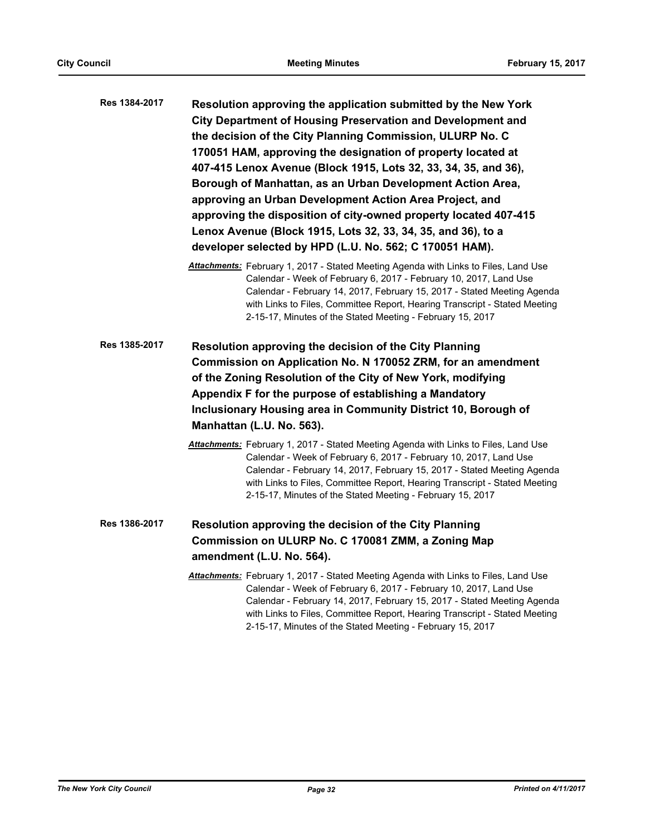| Res 1384-2017 | Resolution approving the application submitted by the New York<br><b>City Department of Housing Preservation and Development and</b><br>the decision of the City Planning Commission, ULURP No. C<br>170051 HAM, approving the designation of property located at<br>407-415 Lenox Avenue (Block 1915, Lots 32, 33, 34, 35, and 36),<br>Borough of Manhattan, as an Urban Development Action Area,<br>approving an Urban Development Action Area Project, and<br>approving the disposition of city-owned property located 407-415<br>Lenox Avenue (Block 1915, Lots 32, 33, 34, 35, and 36), to a<br>developer selected by HPD (L.U. No. 562; C 170051 HAM). |
|---------------|--------------------------------------------------------------------------------------------------------------------------------------------------------------------------------------------------------------------------------------------------------------------------------------------------------------------------------------------------------------------------------------------------------------------------------------------------------------------------------------------------------------------------------------------------------------------------------------------------------------------------------------------------------------|
|               | Attachments: February 1, 2017 - Stated Meeting Agenda with Links to Files, Land Use<br>Calendar - Week of February 6, 2017 - February 10, 2017, Land Use<br>Calendar - February 14, 2017, February 15, 2017 - Stated Meeting Agenda<br>with Links to Files, Committee Report, Hearing Transcript - Stated Meeting<br>2-15-17, Minutes of the Stated Meeting - February 15, 2017                                                                                                                                                                                                                                                                              |
| Res 1385-2017 | Resolution approving the decision of the City Planning<br>Commission on Application No. N 170052 ZRM, for an amendment<br>of the Zoning Resolution of the City of New York, modifying<br>Appendix F for the purpose of establishing a Mandatory<br>Inclusionary Housing area in Community District 10, Borough of<br>Manhattan (L.U. No. 563).                                                                                                                                                                                                                                                                                                               |
|               | <b>Attachments:</b> February 1, 2017 - Stated Meeting Agenda with Links to Files, Land Use<br>Calendar - Week of February 6, 2017 - February 10, 2017, Land Use<br>Calendar - February 14, 2017, February 15, 2017 - Stated Meeting Agenda<br>with Links to Files, Committee Report, Hearing Transcript - Stated Meeting<br>2-15-17, Minutes of the Stated Meeting - February 15, 2017                                                                                                                                                                                                                                                                       |

- **Resolution approving the decision of the City Planning Commission on ULURP No. C 170081 ZMM, a Zoning Map amendment (L.U. No. 564). Res 1386-2017**
	- *Attachments:* February 1, 2017 Stated Meeting Agenda with Links to Files, Land Use Calendar - Week of February 6, 2017 - February 10, 2017, Land Use Calendar - February 14, 2017, February 15, 2017 - Stated Meeting Agenda with Links to Files, Committee Report, Hearing Transcript - Stated Meeting 2-15-17, Minutes of the Stated Meeting - February 15, 2017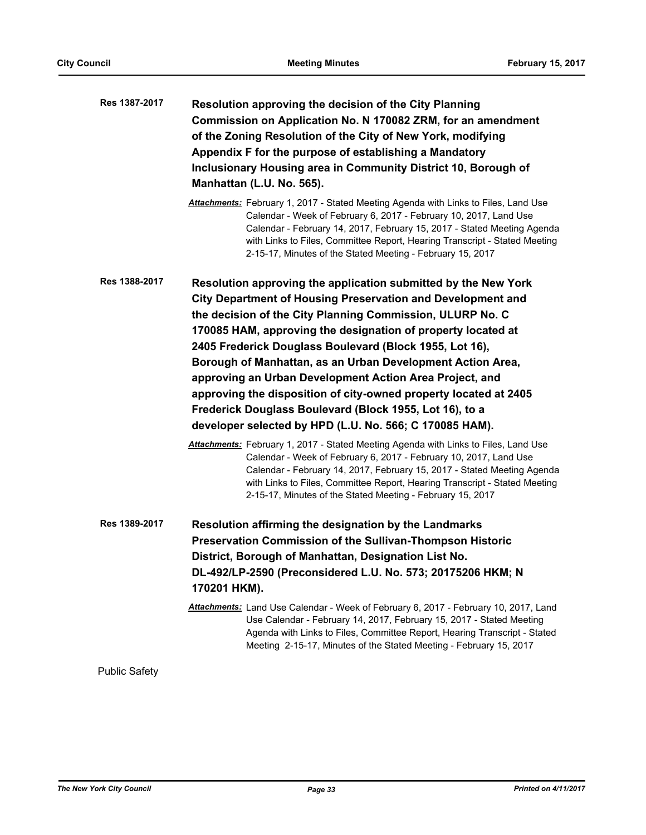| Res 1387-2017 | Resolution approving the decision of the City Planning<br>Commission on Application No. N 170082 ZRM, for an amendment<br>of the Zoning Resolution of the City of New York, modifying<br>Appendix F for the purpose of establishing a Mandatory<br>Inclusionary Housing area in Community District 10, Borough of<br>Manhattan (L.U. No. 565).                                                                                                                                                                                                                                                                                                                                                                                                                                                                                                                                                                                                                                                                                     |
|---------------|------------------------------------------------------------------------------------------------------------------------------------------------------------------------------------------------------------------------------------------------------------------------------------------------------------------------------------------------------------------------------------------------------------------------------------------------------------------------------------------------------------------------------------------------------------------------------------------------------------------------------------------------------------------------------------------------------------------------------------------------------------------------------------------------------------------------------------------------------------------------------------------------------------------------------------------------------------------------------------------------------------------------------------|
|               | Attachments: February 1, 2017 - Stated Meeting Agenda with Links to Files, Land Use<br>Calendar - Week of February 6, 2017 - February 10, 2017, Land Use<br>Calendar - February 14, 2017, February 15, 2017 - Stated Meeting Agenda<br>with Links to Files, Committee Report, Hearing Transcript - Stated Meeting<br>2-15-17, Minutes of the Stated Meeting - February 15, 2017                                                                                                                                                                                                                                                                                                                                                                                                                                                                                                                                                                                                                                                    |
| Res 1388-2017 | Resolution approving the application submitted by the New York<br><b>City Department of Housing Preservation and Development and</b><br>the decision of the City Planning Commission, ULURP No. C<br>170085 HAM, approving the designation of property located at<br>2405 Frederick Douglass Boulevard (Block 1955, Lot 16),<br>Borough of Manhattan, as an Urban Development Action Area,<br>approving an Urban Development Action Area Project, and<br>approving the disposition of city-owned property located at 2405<br>Frederick Douglass Boulevard (Block 1955, Lot 16), to a<br>developer selected by HPD (L.U. No. 566; C 170085 HAM).<br>Attachments: February 1, 2017 - Stated Meeting Agenda with Links to Files, Land Use<br>Calendar - Week of February 6, 2017 - February 10, 2017, Land Use<br>Calendar - February 14, 2017, February 15, 2017 - Stated Meeting Agenda<br>with Links to Files, Committee Report, Hearing Transcript - Stated Meeting<br>2-15-17, Minutes of the Stated Meeting - February 15, 2017 |
| Res 1389-2017 | Resolution affirming the designation by the Landmarks<br>Preservation Commission of the Sullivan-Thompson Historic<br>District, Borough of Manhattan, Designation List No.<br>DL-492/LP-2590 (Preconsidered L.U. No. 573; 20175206 HKM; N<br>170201 HKM).<br>Attachments: Land Use Calendar - Week of February 6, 2017 - February 10, 2017, Land                                                                                                                                                                                                                                                                                                                                                                                                                                                                                                                                                                                                                                                                                   |
|               | Use Calendar - February 14, 2017, February 15, 2017 - Stated Meeting<br>Agenda with Links to Files, Committee Report, Hearing Transcript - Stated<br>Meeting 2-15-17, Minutes of the Stated Meeting - February 15, 2017                                                                                                                                                                                                                                                                                                                                                                                                                                                                                                                                                                                                                                                                                                                                                                                                            |

Public Safety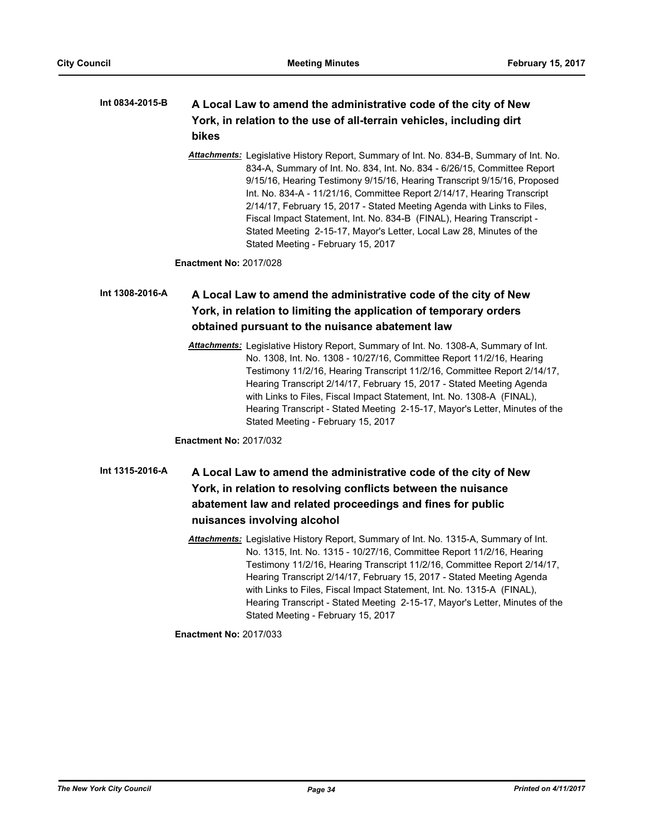#### **A Local Law to amend the administrative code of the city of New York, in relation to the use of all-terrain vehicles, including dirt bikes Int 0834-2015-B**

*Attachments:* Legislative History Report, Summary of Int. No. 834-B, Summary of Int. No. 834-A, Summary of Int. No. 834, Int. No. 834 - 6/26/15, Committee Report 9/15/16, Hearing Testimony 9/15/16, Hearing Transcript 9/15/16, Proposed Int. No. 834-A - 11/21/16, Committee Report 2/14/17, Hearing Transcript 2/14/17, February 15, 2017 - Stated Meeting Agenda with Links to Files, Fiscal Impact Statement, Int. No. 834-B (FINAL), Hearing Transcript - Stated Meeting 2-15-17, Mayor's Letter, Local Law 28, Minutes of the Stated Meeting - February 15, 2017

**Enactment No:** 2017/028

#### **A Local Law to amend the administrative code of the city of New York, in relation to limiting the application of temporary orders obtained pursuant to the nuisance abatement law Int 1308-2016-A**

*Attachments:* Legislative History Report, Summary of Int. No. 1308-A, Summary of Int. No. 1308, Int. No. 1308 - 10/27/16, Committee Report 11/2/16, Hearing Testimony 11/2/16, Hearing Transcript 11/2/16, Committee Report 2/14/17, Hearing Transcript 2/14/17, February 15, 2017 - Stated Meeting Agenda with Links to Files, Fiscal Impact Statement, Int. No. 1308-A (FINAL), Hearing Transcript - Stated Meeting 2-15-17, Mayor's Letter, Minutes of the Stated Meeting - February 15, 2017

**Enactment No:** 2017/032

## **A Local Law to amend the administrative code of the city of New York, in relation to resolving conflicts between the nuisance abatement law and related proceedings and fines for public nuisances involving alcohol Int 1315-2016-A**

*Attachments:* Legislative History Report, Summary of Int. No. 1315-A, Summary of Int. No. 1315, Int. No. 1315 - 10/27/16, Committee Report 11/2/16, Hearing Testimony 11/2/16, Hearing Transcript 11/2/16, Committee Report 2/14/17, Hearing Transcript 2/14/17, February 15, 2017 - Stated Meeting Agenda with Links to Files, Fiscal Impact Statement, Int. No. 1315-A (FINAL), Hearing Transcript - Stated Meeting 2-15-17, Mayor's Letter, Minutes of the Stated Meeting - February 15, 2017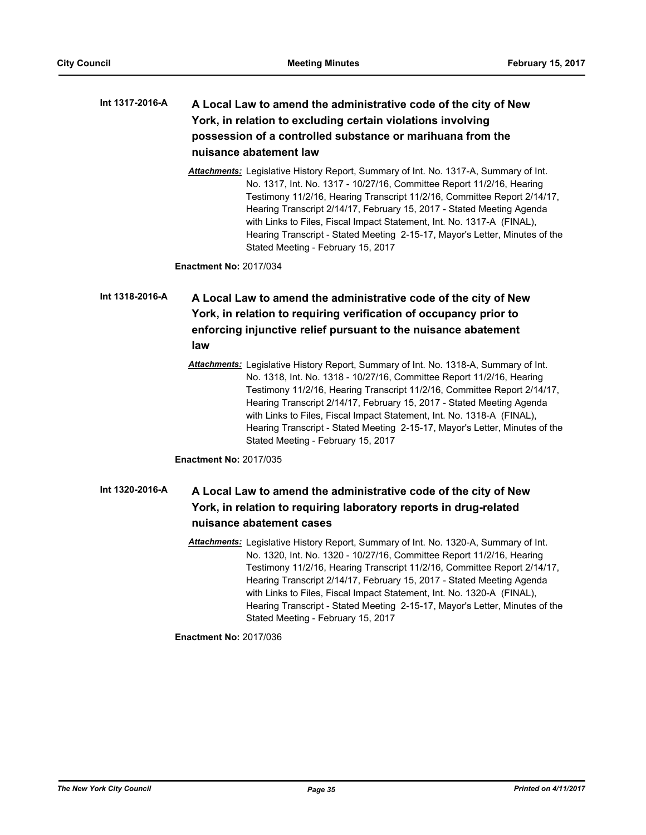#### **A Local Law to amend the administrative code of the city of New York, in relation to excluding certain violations involving possession of a controlled substance or marihuana from the nuisance abatement law Int 1317-2016-A**

*Attachments:* Legislative History Report, Summary of Int. No. 1317-A, Summary of Int. No. 1317, Int. No. 1317 - 10/27/16, Committee Report 11/2/16, Hearing Testimony 11/2/16, Hearing Transcript 11/2/16, Committee Report 2/14/17, Hearing Transcript 2/14/17, February 15, 2017 - Stated Meeting Agenda with Links to Files, Fiscal Impact Statement, Int. No. 1317-A (FINAL), Hearing Transcript - Stated Meeting 2-15-17, Mayor's Letter, Minutes of the Stated Meeting - February 15, 2017

**Enactment No:** 2017/034

## **A Local Law to amend the administrative code of the city of New York, in relation to requiring verification of occupancy prior to enforcing injunctive relief pursuant to the nuisance abatement law Int 1318-2016-A**

*Attachments:* Legislative History Report, Summary of Int. No. 1318-A, Summary of Int. No. 1318, Int. No. 1318 - 10/27/16, Committee Report 11/2/16, Hearing Testimony 11/2/16, Hearing Transcript 11/2/16, Committee Report 2/14/17, Hearing Transcript 2/14/17, February 15, 2017 - Stated Meeting Agenda with Links to Files, Fiscal Impact Statement, Int. No. 1318-A (FINAL), Hearing Transcript - Stated Meeting 2-15-17, Mayor's Letter, Minutes of the Stated Meeting - February 15, 2017

**Enactment No:** 2017/035

#### **A Local Law to amend the administrative code of the city of New York, in relation to requiring laboratory reports in drug-related nuisance abatement cases Int 1320-2016-A**

*Attachments:* Legislative History Report, Summary of Int. No. 1320-A, Summary of Int. No. 1320, Int. No. 1320 - 10/27/16, Committee Report 11/2/16, Hearing Testimony 11/2/16, Hearing Transcript 11/2/16, Committee Report 2/14/17, Hearing Transcript 2/14/17, February 15, 2017 - Stated Meeting Agenda with Links to Files, Fiscal Impact Statement, Int. No. 1320-A (FINAL), Hearing Transcript - Stated Meeting 2-15-17, Mayor's Letter, Minutes of the Stated Meeting - February 15, 2017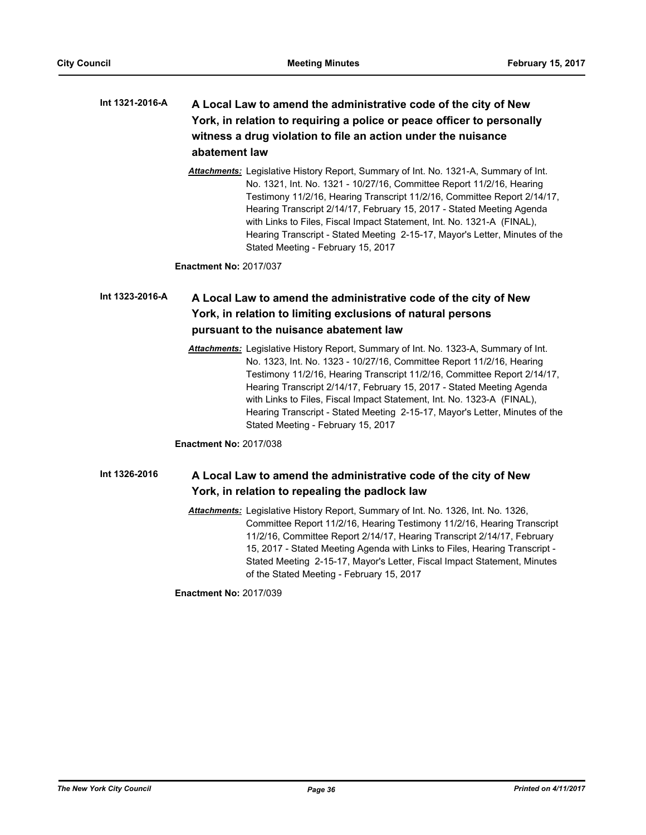#### **A Local Law to amend the administrative code of the city of New York, in relation to requiring a police or peace officer to personally witness a drug violation to file an action under the nuisance abatement law Int 1321-2016-A**

*Attachments:* Legislative History Report, Summary of Int. No. 1321-A, Summary of Int. No. 1321, Int. No. 1321 - 10/27/16, Committee Report 11/2/16, Hearing Testimony 11/2/16, Hearing Transcript 11/2/16, Committee Report 2/14/17, Hearing Transcript 2/14/17, February 15, 2017 - Stated Meeting Agenda with Links to Files, Fiscal Impact Statement, Int. No. 1321-A (FINAL), Hearing Transcript - Stated Meeting 2-15-17, Mayor's Letter, Minutes of the Stated Meeting - February 15, 2017

**Enactment No:** 2017/037

#### **A Local Law to amend the administrative code of the city of New York, in relation to limiting exclusions of natural persons pursuant to the nuisance abatement law Int 1323-2016-A**

*Attachments:* Legislative History Report, Summary of Int. No. 1323-A, Summary of Int. No. 1323, Int. No. 1323 - 10/27/16, Committee Report 11/2/16, Hearing Testimony 11/2/16, Hearing Transcript 11/2/16, Committee Report 2/14/17, Hearing Transcript 2/14/17, February 15, 2017 - Stated Meeting Agenda with Links to Files, Fiscal Impact Statement, Int. No. 1323-A (FINAL), Hearing Transcript - Stated Meeting 2-15-17, Mayor's Letter, Minutes of the Stated Meeting - February 15, 2017

**Enactment No:** 2017/038

#### **A Local Law to amend the administrative code of the city of New York, in relation to repealing the padlock law Int 1326-2016**

*Attachments:* Legislative History Report, Summary of Int. No. 1326, Int. No. 1326, Committee Report 11/2/16, Hearing Testimony 11/2/16, Hearing Transcript 11/2/16, Committee Report 2/14/17, Hearing Transcript 2/14/17, February 15, 2017 - Stated Meeting Agenda with Links to Files, Hearing Transcript - Stated Meeting 2-15-17, Mayor's Letter, Fiscal Impact Statement, Minutes of the Stated Meeting - February 15, 2017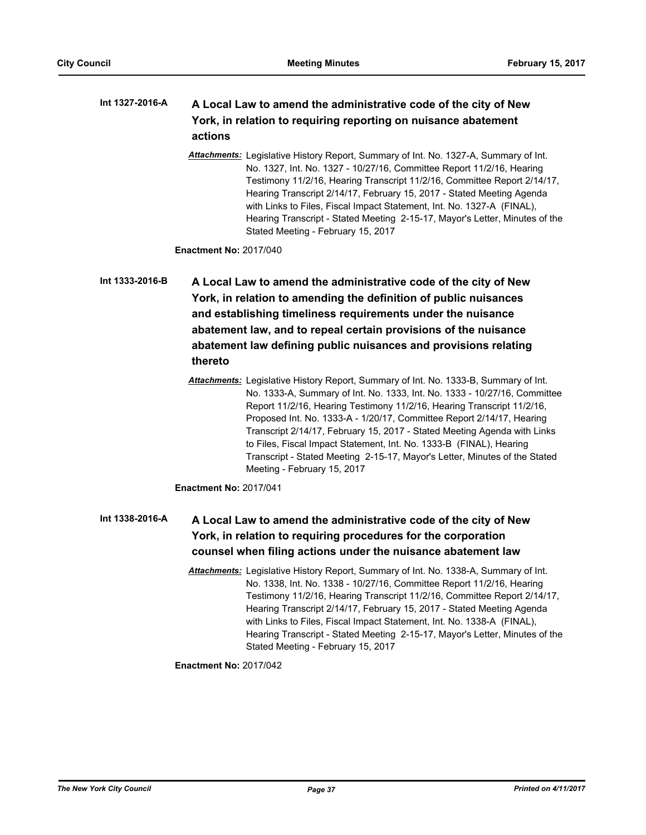#### **A Local Law to amend the administrative code of the city of New York, in relation to requiring reporting on nuisance abatement actions Int 1327-2016-A**

*Attachments:* Legislative History Report, Summary of Int. No. 1327-A, Summary of Int. No. 1327, Int. No. 1327 - 10/27/16, Committee Report 11/2/16, Hearing Testimony 11/2/16, Hearing Transcript 11/2/16, Committee Report 2/14/17, Hearing Transcript 2/14/17, February 15, 2017 - Stated Meeting Agenda with Links to Files, Fiscal Impact Statement, Int. No. 1327-A (FINAL). Hearing Transcript - Stated Meeting 2-15-17, Mayor's Letter, Minutes of the Stated Meeting - February 15, 2017

**Enactment No:** 2017/040

**A Local Law to amend the administrative code of the city of New York, in relation to amending the definition of public nuisances and establishing timeliness requirements under the nuisance abatement law, and to repeal certain provisions of the nuisance abatement law defining public nuisances and provisions relating thereto Int 1333-2016-B**

**Enactment No:** 2017/041

#### **A Local Law to amend the administrative code of the city of New York, in relation to requiring procedures for the corporation counsel when filing actions under the nuisance abatement law Int 1338-2016-A**

*Attachments:* Legislative History Report, Summary of Int. No. 1338-A, Summary of Int. No. 1338, Int. No. 1338 - 10/27/16, Committee Report 11/2/16, Hearing Testimony 11/2/16, Hearing Transcript 11/2/16, Committee Report 2/14/17, Hearing Transcript 2/14/17, February 15, 2017 - Stated Meeting Agenda with Links to Files, Fiscal Impact Statement, Int. No. 1338-A (FINAL), Hearing Transcript - Stated Meeting 2-15-17, Mayor's Letter, Minutes of the Stated Meeting - February 15, 2017

*Attachments:* Legislative History Report, Summary of Int. No. 1333-B, Summary of Int. No. 1333-A, Summary of Int. No. 1333, Int. No. 1333 - 10/27/16, Committee Report 11/2/16, Hearing Testimony 11/2/16, Hearing Transcript 11/2/16, Proposed Int. No. 1333-A - 1/20/17, Committee Report 2/14/17, Hearing Transcript 2/14/17, February 15, 2017 - Stated Meeting Agenda with Links to Files, Fiscal Impact Statement, Int. No. 1333-B (FINAL), Hearing Transcript - Stated Meeting 2-15-17, Mayor's Letter, Minutes of the Stated Meeting - February 15, 2017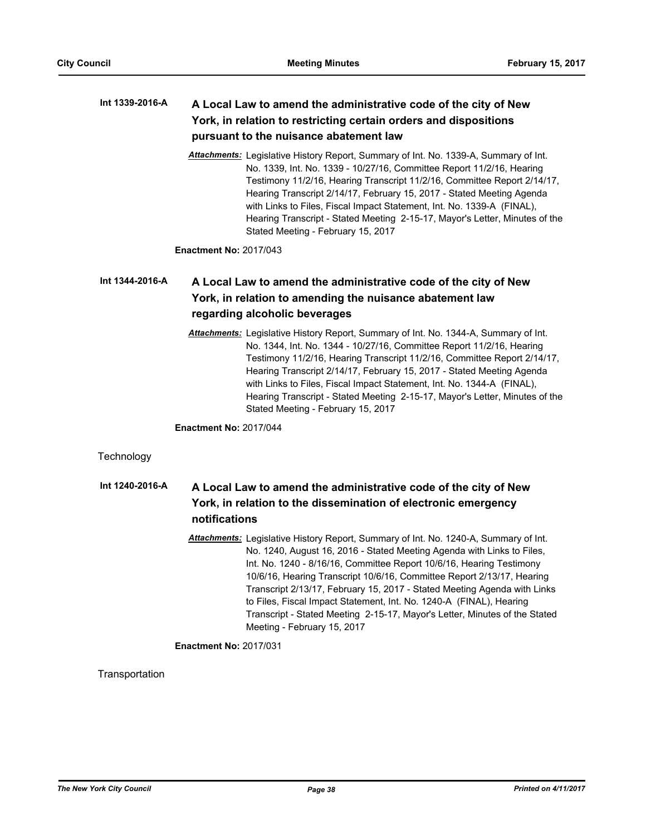#### **A Local Law to amend the administrative code of the city of New York, in relation to restricting certain orders and dispositions pursuant to the nuisance abatement law Int 1339-2016-A**

*Attachments:* Legislative History Report, Summary of Int. No. 1339-A, Summary of Int. No. 1339, Int. No. 1339 - 10/27/16, Committee Report 11/2/16, Hearing Testimony 11/2/16, Hearing Transcript 11/2/16, Committee Report 2/14/17, Hearing Transcript 2/14/17, February 15, 2017 - Stated Meeting Agenda with Links to Files, Fiscal Impact Statement, Int. No. 1339-A (FINAL), Hearing Transcript - Stated Meeting 2-15-17, Mayor's Letter, Minutes of the Stated Meeting - February 15, 2017

**Enactment No:** 2017/043

#### **A Local Law to amend the administrative code of the city of New York, in relation to amending the nuisance abatement law regarding alcoholic beverages Int 1344-2016-A**

*Attachments:* Legislative History Report, Summary of Int. No. 1344-A, Summary of Int. No. 1344, Int. No. 1344 - 10/27/16, Committee Report 11/2/16, Hearing Testimony 11/2/16, Hearing Transcript 11/2/16, Committee Report 2/14/17, Hearing Transcript 2/14/17, February 15, 2017 - Stated Meeting Agenda with Links to Files, Fiscal Impact Statement, Int. No. 1344-A (FINAL), Hearing Transcript - Stated Meeting 2-15-17, Mayor's Letter, Minutes of the Stated Meeting - February 15, 2017

**Enactment No:** 2017/044

## **Technology**

#### **A Local Law to amend the administrative code of the city of New York, in relation to the dissemination of electronic emergency notifications Int 1240-2016-A**

*Attachments:* Legislative History Report, Summary of Int. No. 1240-A, Summary of Int. No. 1240, August 16, 2016 - Stated Meeting Agenda with Links to Files, Int. No. 1240 - 8/16/16, Committee Report 10/6/16, Hearing Testimony 10/6/16, Hearing Transcript 10/6/16, Committee Report 2/13/17, Hearing Transcript 2/13/17, February 15, 2017 - Stated Meeting Agenda with Links to Files, Fiscal Impact Statement, Int. No. 1240-A (FINAL), Hearing Transcript - Stated Meeting 2-15-17, Mayor's Letter, Minutes of the Stated Meeting - February 15, 2017

## **Enactment No:** 2017/031

#### **Transportation**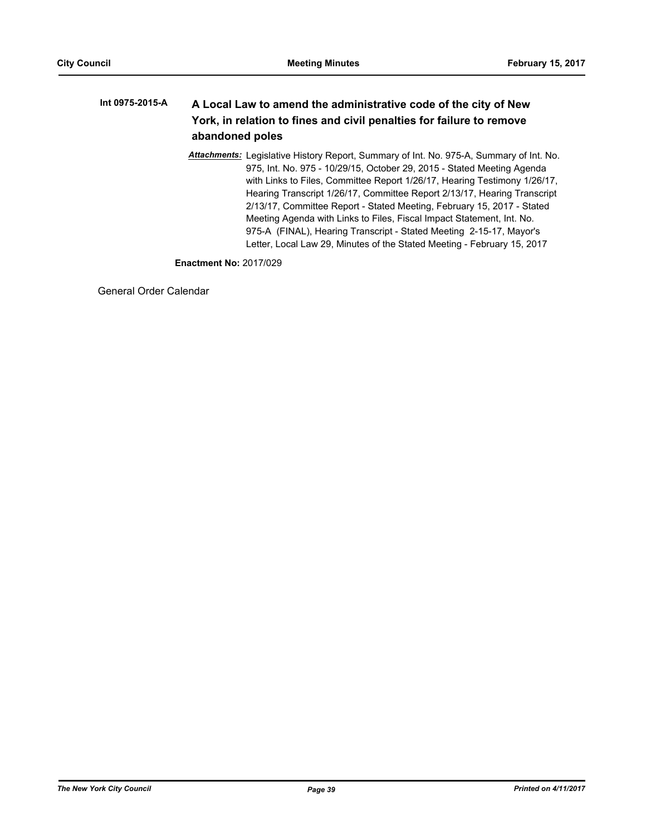#### **A Local Law to amend the administrative code of the city of New York, in relation to fines and civil penalties for failure to remove abandoned poles Int 0975-2015-A**

*Attachments:* Legislative History Report, Summary of Int. No. 975-A, Summary of Int. No. 975, Int. No. 975 - 10/29/15, October 29, 2015 - Stated Meeting Agenda with Links to Files, Committee Report 1/26/17, Hearing Testimony 1/26/17, Hearing Transcript 1/26/17, Committee Report 2/13/17, Hearing Transcript 2/13/17, Committee Report - Stated Meeting, February 15, 2017 - Stated Meeting Agenda with Links to Files, Fiscal Impact Statement, Int. No. 975-A (FINAL), Hearing Transcript - Stated Meeting 2-15-17, Mayor's Letter, Local Law 29, Minutes of the Stated Meeting - February 15, 2017

**Enactment No:** 2017/029

General Order Calendar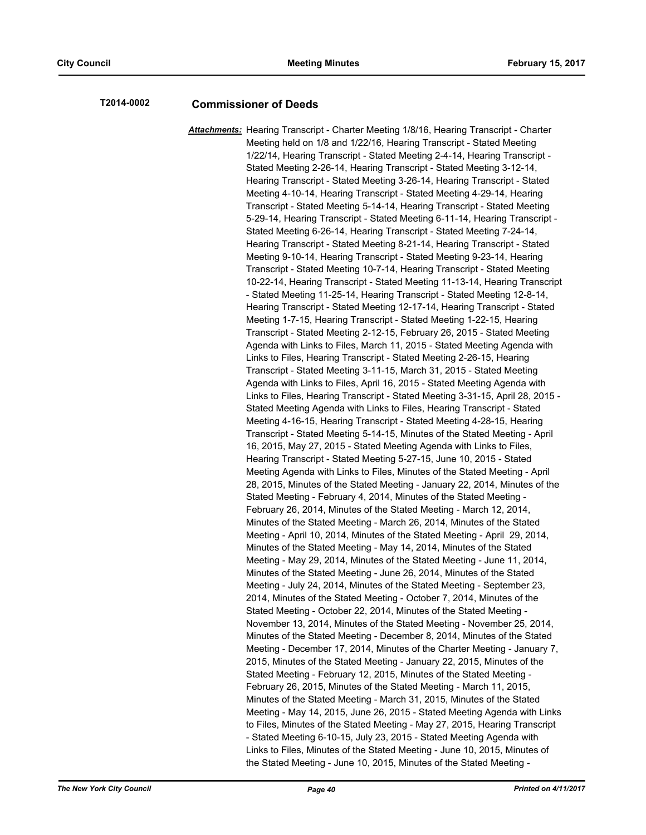# **T2014-0002 Commissioner of Deeds**

*Attachments:* Hearing Transcript - Charter Meeting 1/8/16, Hearing Transcript - Charter Meeting held on 1/8 and 1/22/16, Hearing Transcript - Stated Meeting 1/22/14, Hearing Transcript - Stated Meeting 2-4-14, Hearing Transcript - Stated Meeting 2-26-14, Hearing Transcript - Stated Meeting 3-12-14, Hearing Transcript - Stated Meeting 3-26-14, Hearing Transcript - Stated Meeting 4-10-14, Hearing Transcript - Stated Meeting 4-29-14, Hearing Transcript - Stated Meeting 5-14-14, Hearing Transcript - Stated Meeting 5-29-14, Hearing Transcript - Stated Meeting 6-11-14, Hearing Transcript - Stated Meeting 6-26-14, Hearing Transcript - Stated Meeting 7-24-14, Hearing Transcript - Stated Meeting 8-21-14, Hearing Transcript - Stated Meeting 9-10-14, Hearing Transcript - Stated Meeting 9-23-14, Hearing Transcript - Stated Meeting 10-7-14, Hearing Transcript - Stated Meeting 10-22-14, Hearing Transcript - Stated Meeting 11-13-14, Hearing Transcript - Stated Meeting 11-25-14, Hearing Transcript - Stated Meeting 12-8-14, Hearing Transcript - Stated Meeting 12-17-14, Hearing Transcript - Stated Meeting 1-7-15, Hearing Transcript - Stated Meeting 1-22-15, Hearing Transcript - Stated Meeting 2-12-15, February 26, 2015 - Stated Meeting Agenda with Links to Files, March 11, 2015 - Stated Meeting Agenda with Links to Files, Hearing Transcript - Stated Meeting 2-26-15, Hearing Transcript - Stated Meeting 3-11-15, March 31, 2015 - Stated Meeting Agenda with Links to Files, April 16, 2015 - Stated Meeting Agenda with Links to Files, Hearing Transcript - Stated Meeting 3-31-15, April 28, 2015 - Stated Meeting Agenda with Links to Files, Hearing Transcript - Stated Meeting 4-16-15, Hearing Transcript - Stated Meeting 4-28-15, Hearing Transcript - Stated Meeting 5-14-15, Minutes of the Stated Meeting - April 16, 2015, May 27, 2015 - Stated Meeting Agenda with Links to Files, Hearing Transcript - Stated Meeting 5-27-15, June 10, 2015 - Stated Meeting Agenda with Links to Files, Minutes of the Stated Meeting - April 28, 2015, Minutes of the Stated Meeting - January 22, 2014, Minutes of the Stated Meeting - February 4, 2014, Minutes of the Stated Meeting - February 26, 2014, Minutes of the Stated Meeting - March 12, 2014, Minutes of the Stated Meeting - March 26, 2014, Minutes of the Stated Meeting - April 10, 2014, Minutes of the Stated Meeting - April 29, 2014, Minutes of the Stated Meeting - May 14, 2014, Minutes of the Stated Meeting - May 29, 2014, Minutes of the Stated Meeting - June 11, 2014, Minutes of the Stated Meeting - June 26, 2014, Minutes of the Stated Meeting - July 24, 2014, Minutes of the Stated Meeting - September 23, 2014, Minutes of the Stated Meeting - October 7, 2014, Minutes of the Stated Meeting - October 22, 2014, Minutes of the Stated Meeting - November 13, 2014, Minutes of the Stated Meeting - November 25, 2014, Minutes of the Stated Meeting - December 8, 2014, Minutes of the Stated Meeting - December 17, 2014, Minutes of the Charter Meeting - January 7, 2015, Minutes of the Stated Meeting - January 22, 2015, Minutes of the Stated Meeting - February 12, 2015, Minutes of the Stated Meeting - February 26, 2015, Minutes of the Stated Meeting - March 11, 2015, Minutes of the Stated Meeting - March 31, 2015, Minutes of the Stated Meeting - May 14, 2015, June 26, 2015 - Stated Meeting Agenda with Links to Files, Minutes of the Stated Meeting - May 27, 2015, Hearing Transcript - Stated Meeting 6-10-15, July 23, 2015 - Stated Meeting Agenda with Links to Files, Minutes of the Stated Meeting - June 10, 2015, Minutes of the Stated Meeting - June 10, 2015, Minutes of the Stated Meeting -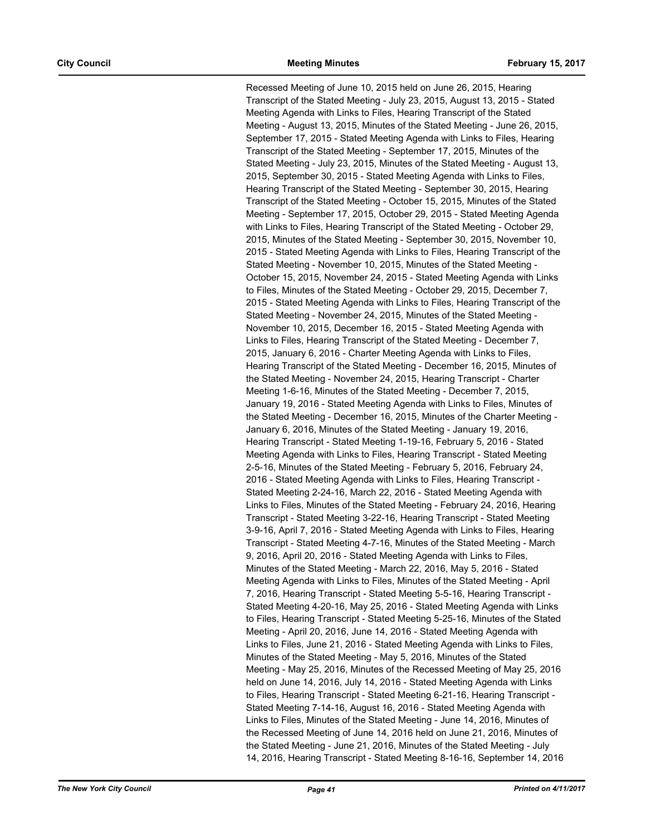Recessed Meeting of June 10, 2015 held on June 26, 2015, Hearing Transcript of the Stated Meeting - July 23, 2015, August 13, 2015 - Stated Meeting Agenda with Links to Files, Hearing Transcript of the Stated Meeting - August 13, 2015, Minutes of the Stated Meeting - June 26, 2015, September 17, 2015 - Stated Meeting Agenda with Links to Files, Hearing Transcript of the Stated Meeting - September 17, 2015, Minutes of the Stated Meeting - July 23, 2015, Minutes of the Stated Meeting - August 13, 2015, September 30, 2015 - Stated Meeting Agenda with Links to Files, Hearing Transcript of the Stated Meeting - September 30, 2015, Hearing Transcript of the Stated Meeting - October 15, 2015, Minutes of the Stated Meeting - September 17, 2015, October 29, 2015 - Stated Meeting Agenda with Links to Files, Hearing Transcript of the Stated Meeting - October 29, 2015, Minutes of the Stated Meeting - September 30, 2015, November 10, 2015 - Stated Meeting Agenda with Links to Files, Hearing Transcript of the Stated Meeting - November 10, 2015, Minutes of the Stated Meeting - October 15, 2015, November 24, 2015 - Stated Meeting Agenda with Links to Files, Minutes of the Stated Meeting - October 29, 2015, December 7, 2015 - Stated Meeting Agenda with Links to Files, Hearing Transcript of the Stated Meeting - November 24, 2015, Minutes of the Stated Meeting - November 10, 2015, December 16, 2015 - Stated Meeting Agenda with Links to Files, Hearing Transcript of the Stated Meeting - December 7, 2015, January 6, 2016 - Charter Meeting Agenda with Links to Files, Hearing Transcript of the Stated Meeting - December 16, 2015, Minutes of the Stated Meeting - November 24, 2015, Hearing Transcript - Charter Meeting 1-6-16, Minutes of the Stated Meeting - December 7, 2015, January 19, 2016 - Stated Meeting Agenda with Links to Files, Minutes of the Stated Meeting - December 16, 2015, Minutes of the Charter Meeting - January 6, 2016, Minutes of the Stated Meeting - January 19, 2016, Hearing Transcript - Stated Meeting 1-19-16, February 5, 2016 - Stated Meeting Agenda with Links to Files, Hearing Transcript - Stated Meeting 2-5-16, Minutes of the Stated Meeting - February 5, 2016, February 24, 2016 - Stated Meeting Agenda with Links to Files, Hearing Transcript - Stated Meeting 2-24-16, March 22, 2016 - Stated Meeting Agenda with Links to Files, Minutes of the Stated Meeting - February 24, 2016, Hearing Transcript - Stated Meeting 3-22-16, Hearing Transcript - Stated Meeting 3-9-16, April 7, 2016 - Stated Meeting Agenda with Links to Files, Hearing Transcript - Stated Meeting 4-7-16, Minutes of the Stated Meeting - March 9, 2016, April 20, 2016 - Stated Meeting Agenda with Links to Files, Minutes of the Stated Meeting - March 22, 2016, May 5, 2016 - Stated Meeting Agenda with Links to Files, Minutes of the Stated Meeting - April 7, 2016, Hearing Transcript - Stated Meeting 5-5-16, Hearing Transcript - Stated Meeting 4-20-16, May 25, 2016 - Stated Meeting Agenda with Links to Files, Hearing Transcript - Stated Meeting 5-25-16, Minutes of the Stated Meeting - April 20, 2016, June 14, 2016 - Stated Meeting Agenda with Links to Files, June 21, 2016 - Stated Meeting Agenda with Links to Files, Minutes of the Stated Meeting - May 5, 2016, Minutes of the Stated Meeting - May 25, 2016, Minutes of the Recessed Meeting of May 25, 2016 held on June 14, 2016, July 14, 2016 - Stated Meeting Agenda with Links to Files, Hearing Transcript - Stated Meeting 6-21-16, Hearing Transcript - Stated Meeting 7-14-16, August 16, 2016 - Stated Meeting Agenda with Links to Files, Minutes of the Stated Meeting - June 14, 2016, Minutes of the Recessed Meeting of June 14, 2016 held on June 21, 2016, Minutes of the Stated Meeting - June 21, 2016, Minutes of the Stated Meeting - July 14, 2016, Hearing Transcript - Stated Meeting 8-16-16, September 14, 2016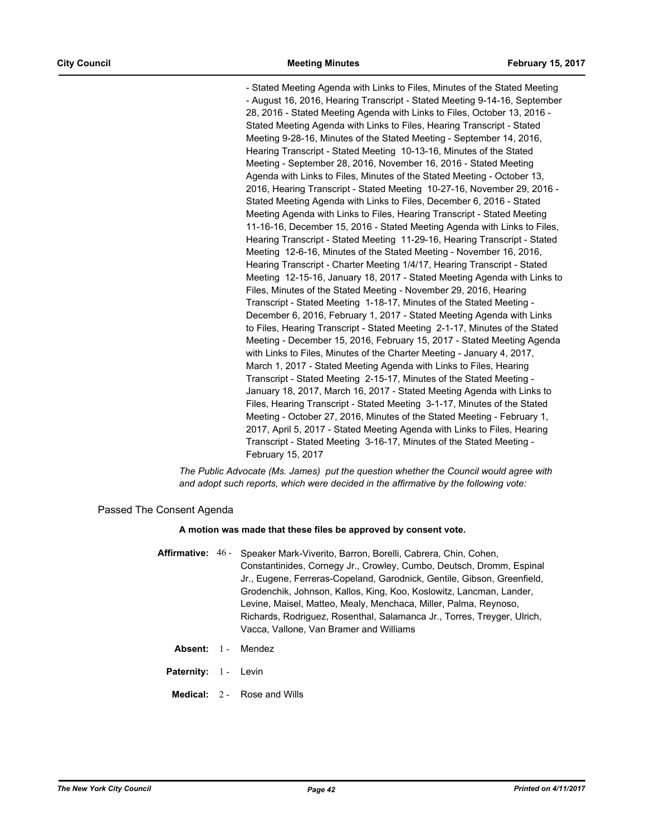- Stated Meeting Agenda with Links to Files, Minutes of the Stated Meeting - August 16, 2016, Hearing Transcript - Stated Meeting 9-14-16, September 28, 2016 - Stated Meeting Agenda with Links to Files, October 13, 2016 - Stated Meeting Agenda with Links to Files, Hearing Transcript - Stated Meeting 9-28-16, Minutes of the Stated Meeting - September 14, 2016, Hearing Transcript - Stated Meeting 10-13-16, Minutes of the Stated Meeting - September 28, 2016, November 16, 2016 - Stated Meeting Agenda with Links to Files, Minutes of the Stated Meeting - October 13, 2016, Hearing Transcript - Stated Meeting 10-27-16, November 29, 2016 - Stated Meeting Agenda with Links to Files, December 6, 2016 - Stated Meeting Agenda with Links to Files, Hearing Transcript - Stated Meeting 11-16-16, December 15, 2016 - Stated Meeting Agenda with Links to Files, Hearing Transcript - Stated Meeting 11-29-16, Hearing Transcript - Stated Meeting 12-6-16, Minutes of the Stated Meeting - November 16, 2016, Hearing Transcript - Charter Meeting 1/4/17, Hearing Transcript - Stated Meeting 12-15-16, January 18, 2017 - Stated Meeting Agenda with Links to Files, Minutes of the Stated Meeting - November 29, 2016, Hearing Transcript - Stated Meeting 1-18-17, Minutes of the Stated Meeting - December 6, 2016, February 1, 2017 - Stated Meeting Agenda with Links to Files, Hearing Transcript - Stated Meeting 2-1-17, Minutes of the Stated Meeting - December 15, 2016, February 15, 2017 - Stated Meeting Agenda with Links to Files, Minutes of the Charter Meeting - January 4, 2017, March 1, 2017 - Stated Meeting Agenda with Links to Files, Hearing Transcript - Stated Meeting 2-15-17, Minutes of the Stated Meeting - January 18, 2017, March 16, 2017 - Stated Meeting Agenda with Links to Files, Hearing Transcript - Stated Meeting 3-1-17, Minutes of the Stated Meeting - October 27, 2016, Minutes of the Stated Meeting - February 1, 2017, April 5, 2017 - Stated Meeting Agenda with Links to Files, Hearing Transcript - Stated Meeting 3-16-17, Minutes of the Stated Meeting - February 15, 2017

*The Public Advocate (Ms. James) put the question whether the Council would agree with and adopt such reports, which were decided in the affirmative by the following vote:*

Passed The Consent Agenda

#### **A motion was made that these files be approved by consent vote.**

- **Affirmative:** Speaker Mark-Viverito, Barron, Borelli, Cabrera, Chin, Cohen, Constantinides, Cornegy Jr., Crowley, Cumbo, Deutsch, Dromm, Espinal Jr., Eugene, Ferreras-Copeland, Garodnick, Gentile, Gibson, Greenfield, Grodenchik, Johnson, Kallos, King, Koo, Koslowitz, Lancman, Lander, Levine, Maisel, Matteo, Mealy, Menchaca, Miller, Palma, Reynoso, Richards, Rodriguez, Rosenthal, Salamanca Jr., Torres, Treyger, Ulrich, Vacca, Vallone, Van Bramer and Williams Affirmative: 46 -
	- **Absent:** 1 Mendez
	- Paternity: 1 Levin
	- **Medical:** 2 Rose and Wills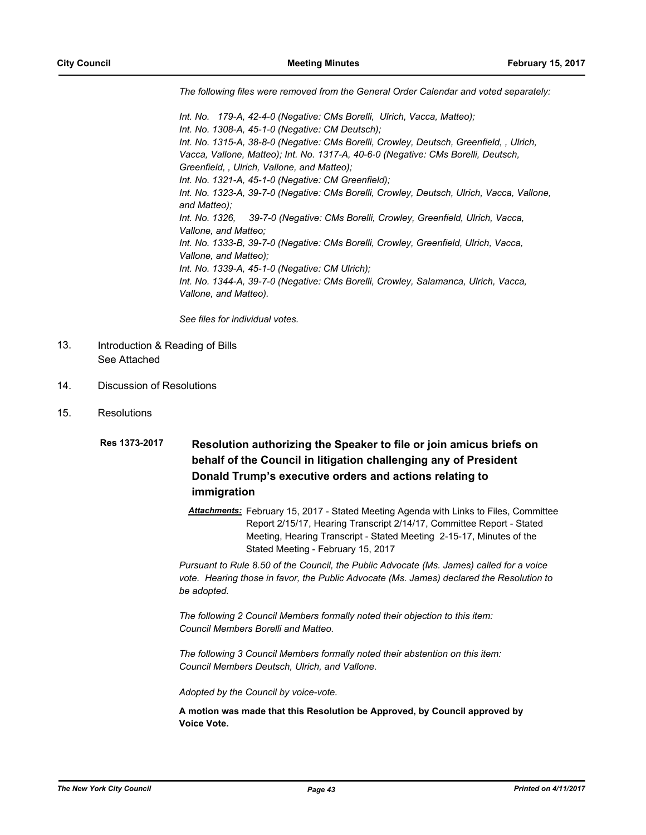*The following files were removed from the General Order Calendar and voted separately:*

*Int. No. 179-A, 42-4-0 (Negative: CMs Borelli, Ulrich, Vacca, Matteo); Int. No. 1308-A, 45-1-0 (Negative: CM Deutsch); Int. No. 1315-A, 38-8-0 (Negative: CMs Borelli, Crowley, Deutsch, Greenfield, , Ulrich, Vacca, Vallone, Matteo); Int. No. 1317-A, 40-6-0 (Negative: CMs Borelli, Deutsch, Greenfield, , Ulrich, Vallone, and Matteo); Int. No. 1321-A, 45-1-0 (Negative: CM Greenfield); Int. No. 1323-A, 39-7-0 (Negative: CMs Borelli, Crowley, Deutsch, Ulrich, Vacca, Vallone, and Matteo); Int. No. 1326, 39-7-0 (Negative: CMs Borelli, Crowley, Greenfield, Ulrich, Vacca, Vallone, and Matteo; Int. No. 1333-B, 39-7-0 (Negative: CMs Borelli, Crowley, Greenfield, Ulrich, Vacca, Vallone, and Matteo); Int. No. 1339-A, 45-1-0 (Negative: CM Ulrich); Int. No. 1344-A, 39-7-0 (Negative: CMs Borelli, Crowley, Salamanca, Ulrich, Vacca, Vallone, and Matteo).*

*See files for individual votes.*

- Introduction & Reading of Bills See Attached 13.
- 14. Discussion of Resolutions
- 15. Resolutions

## **Resolution authorizing the Speaker to file or join amicus briefs on behalf of the Council in litigation challenging any of President Donald Trump's executive orders and actions relating to immigration Res 1373-2017**

*Attachments:* February 15, 2017 - Stated Meeting Agenda with Links to Files, Committee Report 2/15/17, Hearing Transcript 2/14/17, Committee Report - Stated Meeting, Hearing Transcript - Stated Meeting 2-15-17, Minutes of the Stated Meeting - February 15, 2017

*Pursuant to Rule 8.50 of the Council, the Public Advocate (Ms. James) called for a voice vote. Hearing those in favor, the Public Advocate (Ms. James) declared the Resolution to be adopted.*

*The following 2 Council Members formally noted their objection to this item: Council Members Borelli and Matteo.*

*The following 3 Council Members formally noted their abstention on this item: Council Members Deutsch, Ulrich, and Vallone.*

*Adopted by the Council by voice-vote.*

**A motion was made that this Resolution be Approved, by Council approved by Voice Vote.**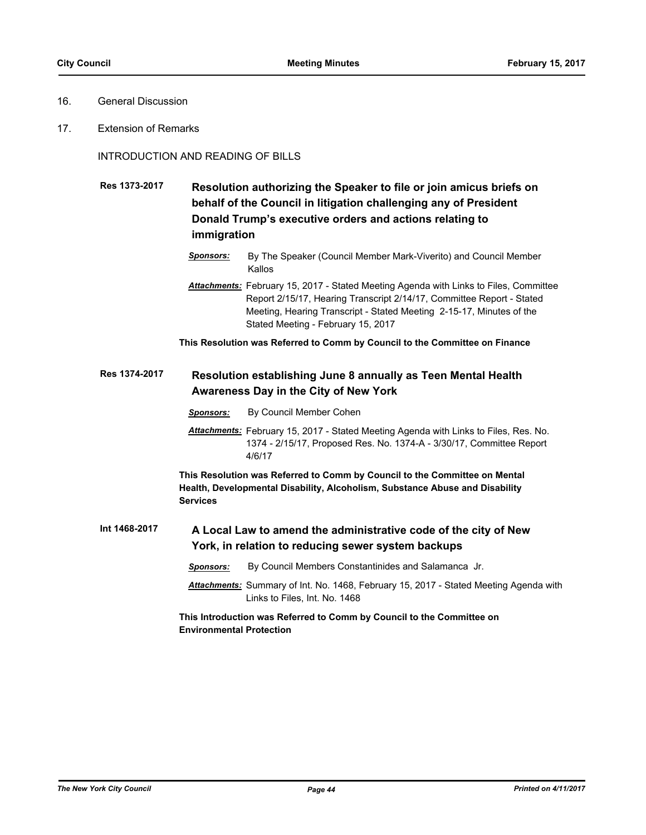- 16. General Discussion
- 17. Extension of Remarks

INTRODUCTION AND READING OF BILLS

**Resolution authorizing the Speaker to file or join amicus briefs on behalf of the Council in litigation challenging any of President Donald Trump's executive orders and actions relating to immigration Res 1373-2017**

- *Sponsors:* By The Speaker (Council Member Mark-Viverito) and Council Member Kallos
- *Attachments:* February 15, 2017 Stated Meeting Agenda with Links to Files, Committee Report 2/15/17, Hearing Transcript 2/14/17, Committee Report - Stated Meeting, Hearing Transcript - Stated Meeting 2-15-17, Minutes of the Stated Meeting - February 15, 2017

**This Resolution was Referred to Comm by Council to the Committee on Finance**

#### **Resolution establishing June 8 annually as Teen Mental Health Awareness Day in the City of New York Res 1374-2017**

- *Sponsors:* By Council Member Cohen
- *Attachments:* February 15, 2017 Stated Meeting Agenda with Links to Files, Res. No. 1374 - 2/15/17, Proposed Res. No. 1374-A - 3/30/17, Committee Report 4/6/17

**This Resolution was Referred to Comm by Council to the Committee on Mental Health, Developmental Disability, Alcoholism, Substance Abuse and Disability Services**

**A Local Law to amend the administrative code of the city of New York, in relation to reducing sewer system backups Int 1468-2017**

- *Sponsors:* By Council Members Constantinides and Salamanca Jr.
- *Attachments:* Summary of Int. No. 1468, February 15, 2017 Stated Meeting Agenda with Links to Files, Int. No. 1468

**This Introduction was Referred to Comm by Council to the Committee on Environmental Protection**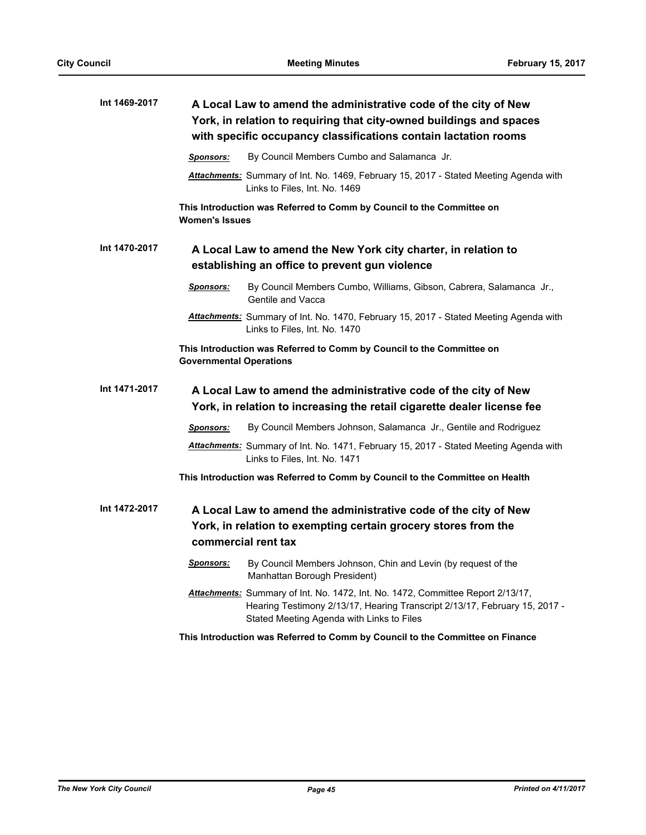| Int 1469-2017 | A Local Law to amend the administrative code of the city of New<br>York, in relation to requiring that city-owned buildings and spaces<br>with specific occupancy classifications contain lactation rooms |                                                                                                                                                                                                                   |
|---------------|-----------------------------------------------------------------------------------------------------------------------------------------------------------------------------------------------------------|-------------------------------------------------------------------------------------------------------------------------------------------------------------------------------------------------------------------|
|               | Sponsors:                                                                                                                                                                                                 | By Council Members Cumbo and Salamanca Jr.                                                                                                                                                                        |
|               |                                                                                                                                                                                                           | Attachments: Summary of Int. No. 1469, February 15, 2017 - Stated Meeting Agenda with<br>Links to Files, Int. No. 1469                                                                                            |
|               | <b>Women's Issues</b>                                                                                                                                                                                     | This Introduction was Referred to Comm by Council to the Committee on                                                                                                                                             |
| Int 1470-2017 |                                                                                                                                                                                                           | A Local Law to amend the New York city charter, in relation to<br>establishing an office to prevent gun violence                                                                                                  |
|               | <u>Sponsors:</u>                                                                                                                                                                                          | By Council Members Cumbo, Williams, Gibson, Cabrera, Salamanca Jr.,<br>Gentile and Vacca                                                                                                                          |
|               |                                                                                                                                                                                                           | Attachments: Summary of Int. No. 1470, February 15, 2017 - Stated Meeting Agenda with<br>Links to Files, Int. No. 1470                                                                                            |
|               | <b>Governmental Operations</b>                                                                                                                                                                            | This Introduction was Referred to Comm by Council to the Committee on                                                                                                                                             |
| Int 1471-2017 |                                                                                                                                                                                                           | A Local Law to amend the administrative code of the city of New<br>York, in relation to increasing the retail cigarette dealer license fee                                                                        |
|               | <b>Sponsors:</b>                                                                                                                                                                                          | By Council Members Johnson, Salamanca Jr., Gentile and Rodriguez                                                                                                                                                  |
|               |                                                                                                                                                                                                           | Attachments: Summary of Int. No. 1471, February 15, 2017 - Stated Meeting Agenda with<br>Links to Files, Int. No. 1471                                                                                            |
|               |                                                                                                                                                                                                           | This Introduction was Referred to Comm by Council to the Committee on Health                                                                                                                                      |
| Int 1472-2017 |                                                                                                                                                                                                           | A Local Law to amend the administrative code of the city of New<br>York, in relation to exempting certain grocery stores from the<br>commercial rent tax                                                          |
|               | <b>Sponsors:</b>                                                                                                                                                                                          | By Council Members Johnson, Chin and Levin (by request of the<br>Manhattan Borough President)                                                                                                                     |
|               |                                                                                                                                                                                                           | <b>Attachments:</b> Summary of Int. No. 1472, Int. No. 1472, Committee Report 2/13/17,<br>Hearing Testimony 2/13/17, Hearing Transcript 2/13/17, February 15, 2017 -<br>Stated Meeting Agenda with Links to Files |
|               |                                                                                                                                                                                                           | This Introduction was Referred to Comm by Council to the Committee on Finance                                                                                                                                     |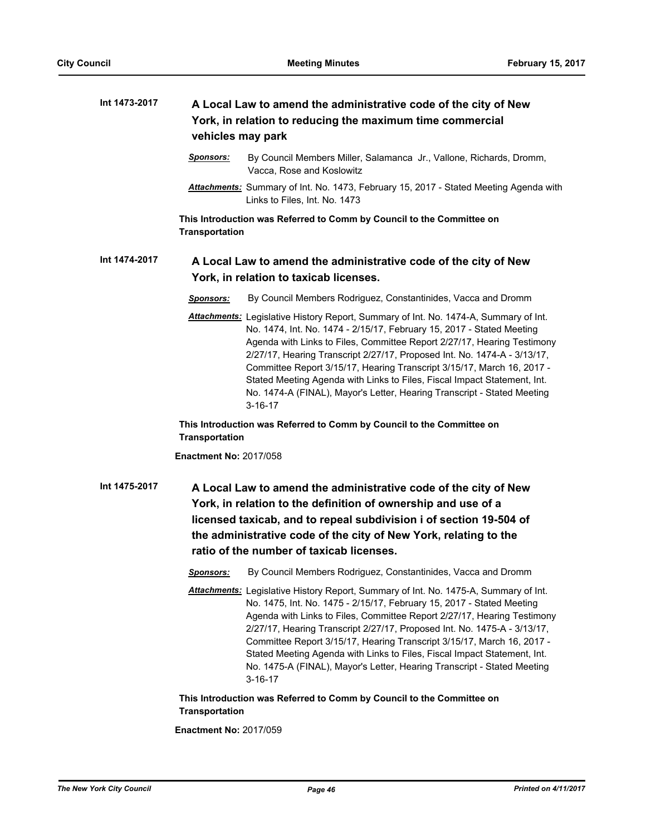| Int 1473-2017 | A Local Law to amend the administrative code of the city of New<br>York, in relation to reducing the maximum time commercial<br>vehicles may park |                                                                                                                                                                                                                                                                                                                                                                                                                                                                                                                                                                        |
|---------------|---------------------------------------------------------------------------------------------------------------------------------------------------|------------------------------------------------------------------------------------------------------------------------------------------------------------------------------------------------------------------------------------------------------------------------------------------------------------------------------------------------------------------------------------------------------------------------------------------------------------------------------------------------------------------------------------------------------------------------|
|               | <u>Sponsors:</u>                                                                                                                                  | By Council Members Miller, Salamanca Jr., Vallone, Richards, Dromm,<br>Vacca, Rose and Koslowitz                                                                                                                                                                                                                                                                                                                                                                                                                                                                       |
|               |                                                                                                                                                   | Attachments: Summary of Int. No. 1473, February 15, 2017 - Stated Meeting Agenda with<br>Links to Files, Int. No. 1473                                                                                                                                                                                                                                                                                                                                                                                                                                                 |
|               | <b>Transportation</b>                                                                                                                             | This Introduction was Referred to Comm by Council to the Committee on                                                                                                                                                                                                                                                                                                                                                                                                                                                                                                  |
| Int 1474-2017 |                                                                                                                                                   | A Local Law to amend the administrative code of the city of New<br>York, in relation to taxicab licenses.                                                                                                                                                                                                                                                                                                                                                                                                                                                              |
|               | Sponsors:                                                                                                                                         | By Council Members Rodriguez, Constantinides, Vacca and Dromm                                                                                                                                                                                                                                                                                                                                                                                                                                                                                                          |
|               |                                                                                                                                                   | Attachments: Legislative History Report, Summary of Int. No. 1474-A, Summary of Int.<br>No. 1474, Int. No. 1474 - 2/15/17, February 15, 2017 - Stated Meeting<br>Agenda with Links to Files, Committee Report 2/27/17, Hearing Testimony<br>2/27/17, Hearing Transcript 2/27/17, Proposed Int. No. 1474-A - 3/13/17,<br>Committee Report 3/15/17, Hearing Transcript 3/15/17, March 16, 2017 -<br>Stated Meeting Agenda with Links to Files, Fiscal Impact Statement, Int.<br>No. 1474-A (FINAL), Mayor's Letter, Hearing Transcript - Stated Meeting<br>$3 - 16 - 17$ |
|               | <b>Transportation</b>                                                                                                                             | This Introduction was Referred to Comm by Council to the Committee on                                                                                                                                                                                                                                                                                                                                                                                                                                                                                                  |
|               | <b>Enactment No: 2017/058</b>                                                                                                                     |                                                                                                                                                                                                                                                                                                                                                                                                                                                                                                                                                                        |
| Int 1475-2017 |                                                                                                                                                   | A Local Law to amend the administrative code of the city of New<br>York, in relation to the definition of ownership and use of a<br>licensed taxicab, and to repeal subdivision i of section 19-504 of<br>the administrative code of the city of New York, relating to the<br>ratio of the number of taxicab licenses.                                                                                                                                                                                                                                                 |
|               | <b>Sponsors:</b>                                                                                                                                  | By Council Members Rodriguez, Constantinides, Vacca and Dromm                                                                                                                                                                                                                                                                                                                                                                                                                                                                                                          |
|               |                                                                                                                                                   | Attachments: Legislative History Report, Summary of Int. No. 1475-A, Summary of Int.<br>No. 1475, Int. No. 1475 - 2/15/17, February 15, 2017 - Stated Meeting<br>Agenda with Links to Files, Committee Report 2/27/17, Hearing Testimony<br>2/27/17, Hearing Transcript 2/27/17, Proposed Int. No. 1475-A - 3/13/17,<br>Committee Report 3/15/17, Hearing Transcript 3/15/17, March 16, 2017 -<br>Stated Meeting Agenda with Links to Files, Fiscal Impact Statement, Int.<br>No. 1475-A (FINAL), Mayor's Letter, Hearing Transcript - Stated Meeting<br>$3 - 16 - 17$ |
|               | Transportation                                                                                                                                    | This Introduction was Referred to Comm by Council to the Committee on                                                                                                                                                                                                                                                                                                                                                                                                                                                                                                  |
|               | <b>Enactment No: 2017/059</b>                                                                                                                     |                                                                                                                                                                                                                                                                                                                                                                                                                                                                                                                                                                        |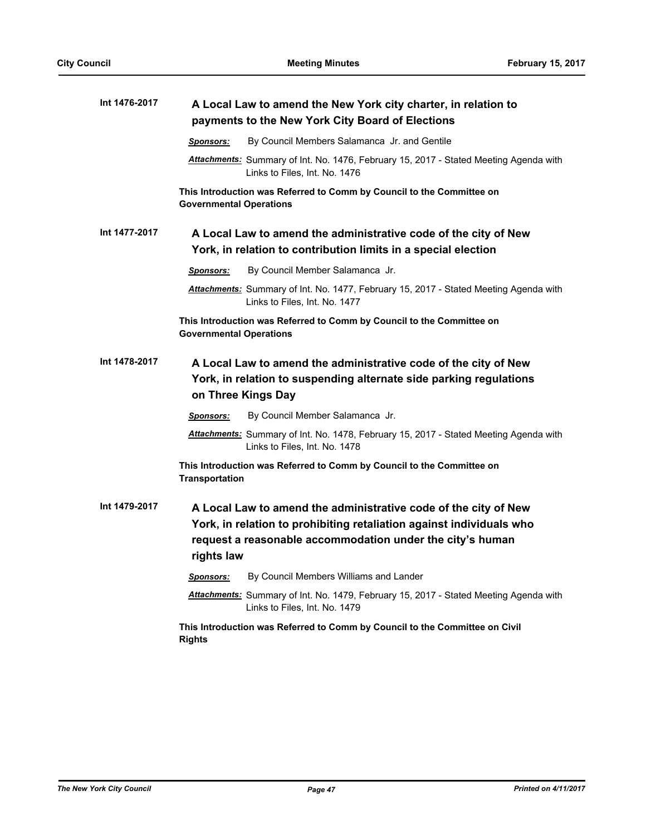| Int 1476-2017 | A Local Law to amend the New York city charter, in relation to<br>payments to the New York City Board of Elections |                                                                                                                                                                                                      |
|---------------|--------------------------------------------------------------------------------------------------------------------|------------------------------------------------------------------------------------------------------------------------------------------------------------------------------------------------------|
|               | <b>Sponsors:</b>                                                                                                   | By Council Members Salamanca Jr. and Gentile                                                                                                                                                         |
|               |                                                                                                                    | Attachments: Summary of Int. No. 1476, February 15, 2017 - Stated Meeting Agenda with<br>Links to Files, Int. No. 1476                                                                               |
|               | <b>Governmental Operations</b>                                                                                     | This Introduction was Referred to Comm by Council to the Committee on                                                                                                                                |
| Int 1477-2017 |                                                                                                                    | A Local Law to amend the administrative code of the city of New<br>York, in relation to contribution limits in a special election                                                                    |
|               | <b>Sponsors:</b>                                                                                                   | By Council Member Salamanca Jr.                                                                                                                                                                      |
|               |                                                                                                                    | Attachments: Summary of Int. No. 1477, February 15, 2017 - Stated Meeting Agenda with<br>Links to Files, Int. No. 1477                                                                               |
|               | <b>Governmental Operations</b>                                                                                     | This Introduction was Referred to Comm by Council to the Committee on                                                                                                                                |
| Int 1478-2017 | on Three Kings Day                                                                                                 | A Local Law to amend the administrative code of the city of New<br>York, in relation to suspending alternate side parking regulations                                                                |
|               | <u>Sponsors:</u>                                                                                                   | By Council Member Salamanca Jr.                                                                                                                                                                      |
|               |                                                                                                                    | Attachments: Summary of Int. No. 1478, February 15, 2017 - Stated Meeting Agenda with<br>Links to Files, Int. No. 1478                                                                               |
|               | <b>Transportation</b>                                                                                              | This Introduction was Referred to Comm by Council to the Committee on                                                                                                                                |
| Int 1479-2017 | rights law                                                                                                         | A Local Law to amend the administrative code of the city of New<br>York, in relation to prohibiting retaliation against individuals who<br>request a reasonable accommodation under the city's human |
|               | <b>Sponsors:</b>                                                                                                   | By Council Members Williams and Lander                                                                                                                                                               |
|               |                                                                                                                    | Attachments: Summary of Int. No. 1479, February 15, 2017 - Stated Meeting Agenda with<br>Links to Files, Int. No. 1479                                                                               |
|               | <b>Rights</b>                                                                                                      | This Introduction was Referred to Comm by Council to the Committee on Civil                                                                                                                          |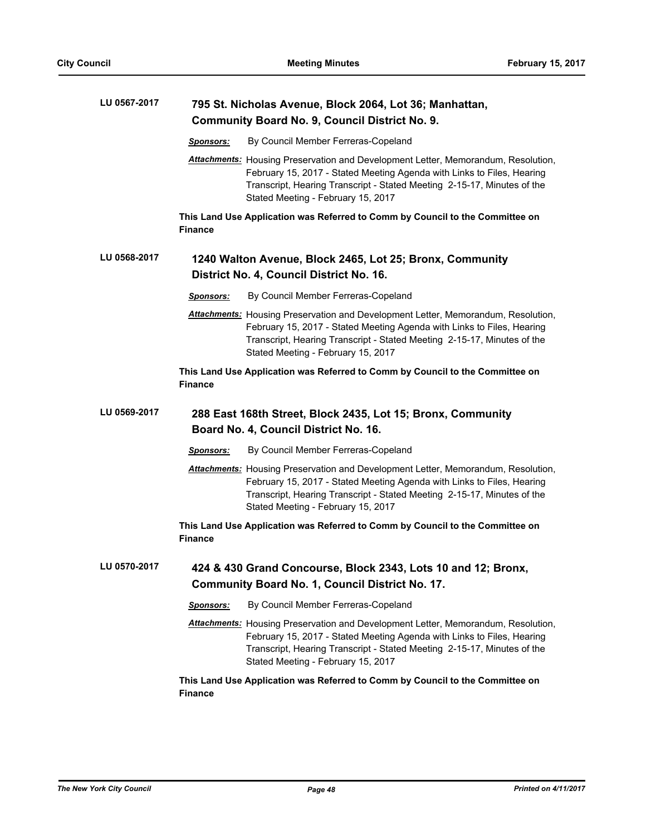| LU 0567-2017 | 795 St. Nicholas Avenue, Block 2064, Lot 36; Manhattan,<br><b>Community Board No. 9, Council District No. 9.</b> |                                                                                                                                                                                                                                               |
|--------------|------------------------------------------------------------------------------------------------------------------|-----------------------------------------------------------------------------------------------------------------------------------------------------------------------------------------------------------------------------------------------|
|              | By Council Member Ferreras-Copeland<br><b>Sponsors:</b>                                                          |                                                                                                                                                                                                                                               |
|              | Stated Meeting - February 15, 2017                                                                               | <b>Attachments:</b> Housing Preservation and Development Letter, Memorandum, Resolution,<br>February 15, 2017 - Stated Meeting Agenda with Links to Files, Hearing<br>Transcript, Hearing Transcript - Stated Meeting 2-15-17, Minutes of the |
|              | This Land Use Application was Referred to Comm by Council to the Committee on<br><b>Finance</b>                  |                                                                                                                                                                                                                                               |
| LU 0568-2017 | 1240 Walton Avenue, Block 2465, Lot 25; Bronx, Community                                                         |                                                                                                                                                                                                                                               |
|              | District No. 4, Council District No. 16.                                                                         |                                                                                                                                                                                                                                               |
|              | By Council Member Ferreras-Copeland<br><u>Sponsors:</u>                                                          |                                                                                                                                                                                                                                               |
|              | Stated Meeting - February 15, 2017                                                                               | <b>Attachments:</b> Housing Preservation and Development Letter, Memorandum, Resolution,<br>February 15, 2017 - Stated Meeting Agenda with Links to Files, Hearing<br>Transcript, Hearing Transcript - Stated Meeting 2-15-17, Minutes of the |
|              | This Land Use Application was Referred to Comm by Council to the Committee on<br><b>Finance</b>                  |                                                                                                                                                                                                                                               |
| LU 0569-2017 | 288 East 168th Street, Block 2435, Lot 15; Bronx, Community<br>Board No. 4, Council District No. 16.             |                                                                                                                                                                                                                                               |
|              | By Council Member Ferreras-Copeland<br><b>Sponsors:</b>                                                          |                                                                                                                                                                                                                                               |
|              | Stated Meeting - February 15, 2017                                                                               | <b>Attachments:</b> Housing Preservation and Development Letter, Memorandum, Resolution,<br>February 15, 2017 - Stated Meeting Agenda with Links to Files, Hearing<br>Transcript, Hearing Transcript - Stated Meeting 2-15-17, Minutes of the |
|              | This Land Use Application was Referred to Comm by Council to the Committee on<br><b>Finance</b>                  |                                                                                                                                                                                                                                               |
| LU 0570-2017 | 424 & 430 Grand Concourse, Block 2343, Lots 10 and 12; Bronx,<br>Community Board No. 1, Council District No. 17. |                                                                                                                                                                                                                                               |
|              | By Council Member Ferreras-Copeland<br><b>Sponsors:</b>                                                          |                                                                                                                                                                                                                                               |
|              | Stated Meeting - February 15, 2017                                                                               | <b>Attachments:</b> Housing Preservation and Development Letter, Memorandum, Resolution,<br>February 15, 2017 - Stated Meeting Agenda with Links to Files, Hearing<br>Transcript, Hearing Transcript - Stated Meeting 2-15-17, Minutes of the |
|              | This Land Use Application was Referred to Comm by Council to the Committee on<br><b>Finance</b>                  |                                                                                                                                                                                                                                               |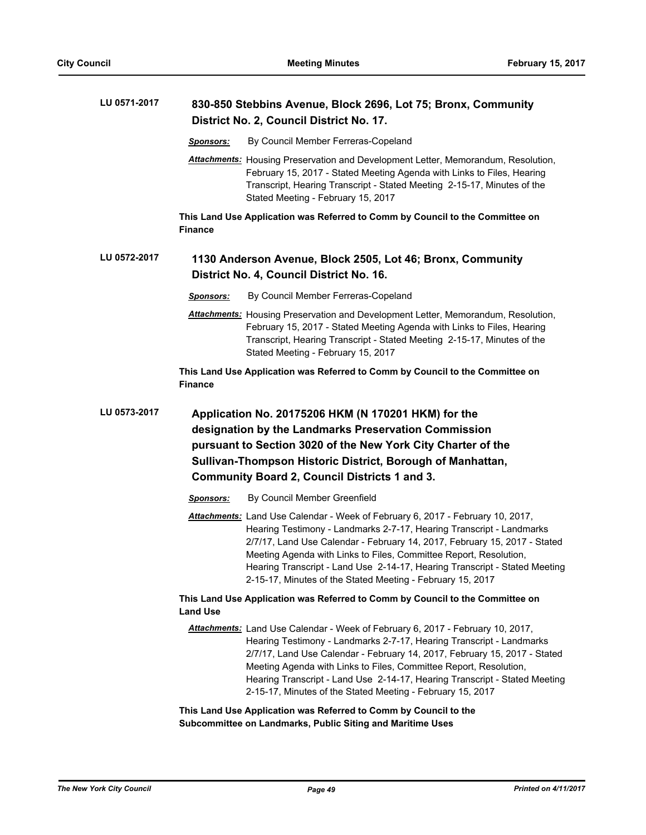| LU 0571-2017 | 830-850 Stebbins Avenue, Block 2696, Lot 75; Bronx, Community<br>District No. 2, Council District No. 17. |                                                                                                                                                                                                                                                                                                                                                                                                                                                      |
|--------------|-----------------------------------------------------------------------------------------------------------|------------------------------------------------------------------------------------------------------------------------------------------------------------------------------------------------------------------------------------------------------------------------------------------------------------------------------------------------------------------------------------------------------------------------------------------------------|
|              | <b>Sponsors:</b>                                                                                          | By Council Member Ferreras-Copeland                                                                                                                                                                                                                                                                                                                                                                                                                  |
|              |                                                                                                           | Attachments: Housing Preservation and Development Letter, Memorandum, Resolution,<br>February 15, 2017 - Stated Meeting Agenda with Links to Files, Hearing<br>Transcript, Hearing Transcript - Stated Meeting 2-15-17, Minutes of the<br>Stated Meeting - February 15, 2017                                                                                                                                                                         |
|              | <b>Finance</b>                                                                                            | This Land Use Application was Referred to Comm by Council to the Committee on                                                                                                                                                                                                                                                                                                                                                                        |
| LU 0572-2017 |                                                                                                           | 1130 Anderson Avenue, Block 2505, Lot 46; Bronx, Community<br>District No. 4, Council District No. 16.                                                                                                                                                                                                                                                                                                                                               |
|              | Sponsors:                                                                                                 | By Council Member Ferreras-Copeland                                                                                                                                                                                                                                                                                                                                                                                                                  |
|              |                                                                                                           | <b>Attachments:</b> Housing Preservation and Development Letter, Memorandum, Resolution,<br>February 15, 2017 - Stated Meeting Agenda with Links to Files, Hearing<br>Transcript, Hearing Transcript - Stated Meeting 2-15-17, Minutes of the<br>Stated Meeting - February 15, 2017                                                                                                                                                                  |
|              | <b>Finance</b>                                                                                            | This Land Use Application was Referred to Comm by Council to the Committee on                                                                                                                                                                                                                                                                                                                                                                        |
| LU 0573-2017 |                                                                                                           | Application No. 20175206 HKM (N 170201 HKM) for the<br>designation by the Landmarks Preservation Commission<br>pursuant to Section 3020 of the New York City Charter of the<br>Sullivan-Thompson Historic District, Borough of Manhattan,<br><b>Community Board 2, Council Districts 1 and 3.</b>                                                                                                                                                    |
|              | <b>Sponsors:</b>                                                                                          | By Council Member Greenfield                                                                                                                                                                                                                                                                                                                                                                                                                         |
|              |                                                                                                           | Attachments: Land Use Calendar - Week of February 6, 2017 - February 10, 2017,<br>Hearing Testimony - Landmarks 2-7-17, Hearing Transcript - Landmarks<br>2/7/17, Land Use Calendar - February 14, 2017, February 15, 2017 - Stated<br>Meeting Agenda with Links to Files, Committee Report, Resolution,<br>Hearing Transcript - Land Use 2-14-17, Hearing Transcript - Stated Meeting<br>2-15-17, Minutes of the Stated Meeting - February 15, 2017 |
|              | <b>Land Use</b>                                                                                           | This Land Use Application was Referred to Comm by Council to the Committee on                                                                                                                                                                                                                                                                                                                                                                        |
|              |                                                                                                           | Attachments: Land Use Calendar - Week of February 6, 2017 - February 10, 2017,<br>Hearing Testimony - Landmarks 2-7-17, Hearing Transcript - Landmarks<br>2/7/17, Land Use Calendar - February 14, 2017, February 15, 2017 - Stated<br>Meeting Agenda with Links to Files, Committee Report, Resolution,<br>Hearing Transcript - Land Use 2-14-17, Hearing Transcript - Stated Meeting<br>2-15-17, Minutes of the Stated Meeting - February 15, 2017 |
|              |                                                                                                           | This Land Use Application was Referred to Comm by Council to the<br>Subcommittee on Landmarks, Public Siting and Maritime Uses                                                                                                                                                                                                                                                                                                                       |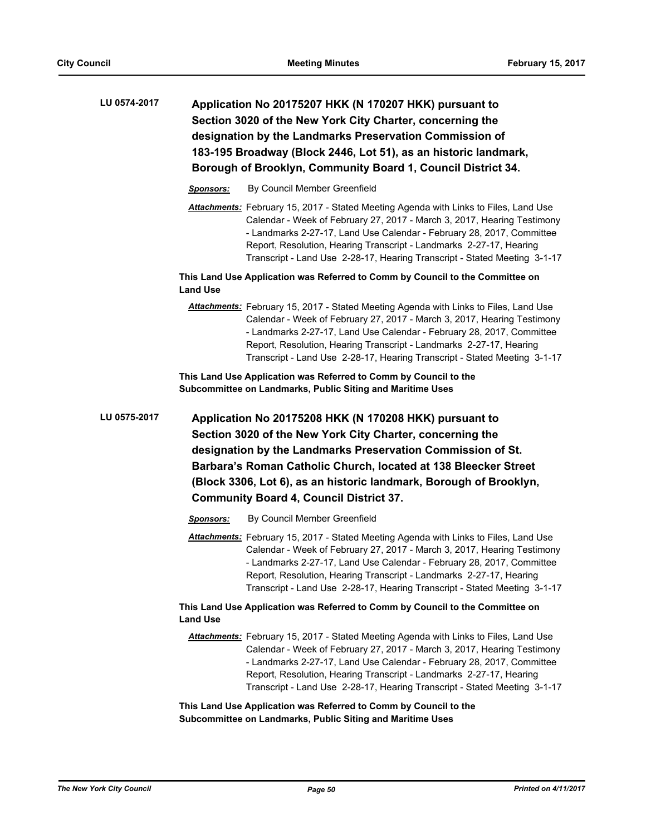| LU 0574-2017 | Application No 20175207 HKK (N 170207 HKK) pursuant to<br>Section 3020 of the New York City Charter, concerning the<br>designation by the Landmarks Preservation Commission of<br>183-195 Broadway (Block 2446, Lot 51), as an historic landmark,<br>Borough of Brooklyn, Community Board 1, Council District 34.                                                                                   |  |
|--------------|-----------------------------------------------------------------------------------------------------------------------------------------------------------------------------------------------------------------------------------------------------------------------------------------------------------------------------------------------------------------------------------------------------|--|
|              | By Council Member Greenfield<br><b>Sponsors:</b>                                                                                                                                                                                                                                                                                                                                                    |  |
|              | <b>Attachments:</b> February 15, 2017 - Stated Meeting Agenda with Links to Files, Land Use<br>Calendar - Week of February 27, 2017 - March 3, 2017, Hearing Testimony<br>- Landmarks 2-27-17, Land Use Calendar - February 28, 2017, Committee<br>Report, Resolution, Hearing Transcript - Landmarks 2-27-17, Hearing<br>Transcript - Land Use 2-28-17, Hearing Transcript - Stated Meeting 3-1-17 |  |
|              | This Land Use Application was Referred to Comm by Council to the Committee on<br><b>Land Use</b>                                                                                                                                                                                                                                                                                                    |  |
|              | <b>Attachments:</b> February 15, 2017 - Stated Meeting Agenda with Links to Files, Land Use<br>Calendar - Week of February 27, 2017 - March 3, 2017, Hearing Testimony<br>- Landmarks 2-27-17, Land Use Calendar - February 28, 2017, Committee<br>Report, Resolution, Hearing Transcript - Landmarks 2-27-17, Hearing<br>Transcript - Land Use 2-28-17, Hearing Transcript - Stated Meeting 3-1-17 |  |
|              | This Land Use Application was Referred to Comm by Council to the<br>Subcommittee on Landmarks, Public Siting and Maritime Uses                                                                                                                                                                                                                                                                      |  |
| LU 0575-2017 | Application No 20175208 HKK (N 170208 HKK) pursuant to<br>Section 3020 of the New York City Charter, concerning the<br>designation by the Landmarks Preservation Commission of St.<br>Barbara's Roman Catholic Church, located at 138 Bleecker Street<br>(Block 3306, Lot 6), as an historic landmark, Borough of Brooklyn,<br><b>Community Board 4, Council District 37.</b>                       |  |
|              | By Council Member Greenfield<br><b>Sponsors:</b>                                                                                                                                                                                                                                                                                                                                                    |  |
|              | Attachments: February 15, 2017 - Stated Meeting Agenda with Links to Files, Land Use<br>Calendar - Week of February 27, 2017 - March 3, 2017, Hearing Testimony<br>- Landmarks 2-27-17, Land Use Calendar - February 28, 2017, Committee<br>Report, Resolution, Hearing Transcript - Landmarks 2-27-17, Hearing<br>Transcript - Land Use 2-28-17, Hearing Transcript - Stated Meeting 3-1-17        |  |
|              | This Land Use Application was Referred to Comm by Council to the Committee on<br><b>Land Use</b>                                                                                                                                                                                                                                                                                                    |  |
|              | <b>Attachments:</b> February 15, 2017 - Stated Meeting Agenda with Links to Files, Land Use<br>Calendar - Week of February 27, 2017 - March 3, 2017, Hearing Testimony<br>- Landmarks 2-27-17, Land Use Calendar - February 28, 2017, Committee<br>Report, Resolution, Hearing Transcript - Landmarks 2-27-17, Hearing<br>Transcript - Land Use 2-28-17, Hearing Transcript - Stated Meeting 3-1-17 |  |
|              | This Land Use Application was Referred to Comm by Council to the<br>Subcommittee on Landmarks, Public Siting and Maritime Uses                                                                                                                                                                                                                                                                      |  |
|              |                                                                                                                                                                                                                                                                                                                                                                                                     |  |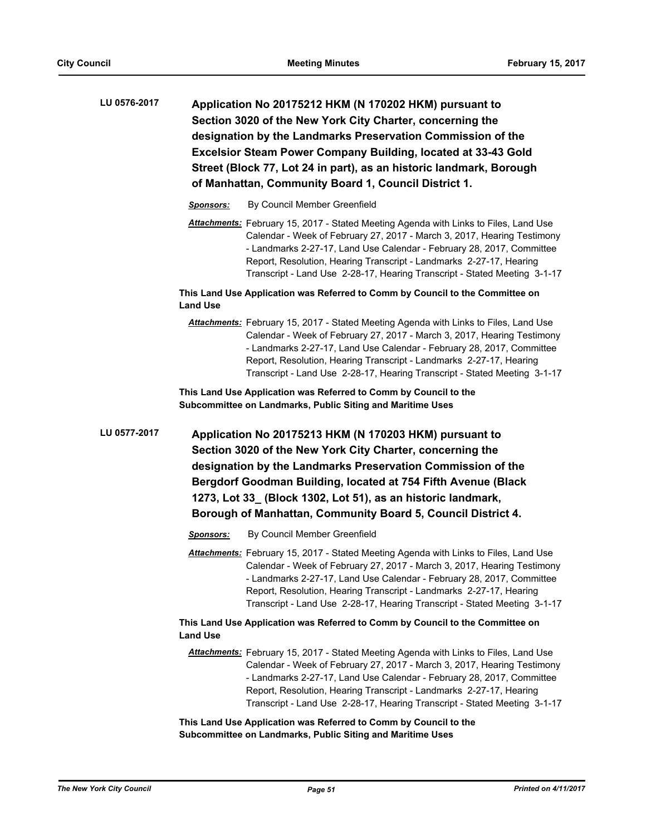**Application No 20175212 HKM (N 170202 HKM) pursuant to Section 3020 of the New York City Charter, concerning the designation by the Landmarks Preservation Commission of the Excelsior Steam Power Company Building, located at 33-43 Gold Street (Block 77, Lot 24 in part), as an historic landmark, Borough of Manhattan, Community Board 1, Council District 1. LU 0576-2017**

- *Sponsors:* By Council Member Greenfield
- *Attachments:* February 15, 2017 Stated Meeting Agenda with Links to Files, Land Use Calendar - Week of February 27, 2017 - March 3, 2017, Hearing Testimony - Landmarks 2-27-17, Land Use Calendar - February 28, 2017, Committee Report, Resolution, Hearing Transcript - Landmarks 2-27-17, Hearing Transcript - Land Use 2-28-17, Hearing Transcript - Stated Meeting 3-1-17

**This Land Use Application was Referred to Comm by Council to the Committee on Land Use**

*Attachments:* February 15, 2017 - Stated Meeting Agenda with Links to Files, Land Use Calendar - Week of February 27, 2017 - March 3, 2017, Hearing Testimony - Landmarks 2-27-17, Land Use Calendar - February 28, 2017, Committee Report, Resolution, Hearing Transcript - Landmarks 2-27-17, Hearing Transcript - Land Use 2-28-17, Hearing Transcript - Stated Meeting 3-1-17

**This Land Use Application was Referred to Comm by Council to the Subcommittee on Landmarks, Public Siting and Maritime Uses**

**Application No 20175213 HKM (N 170203 HKM) pursuant to Section 3020 of the New York City Charter, concerning the designation by the Landmarks Preservation Commission of the Bergdorf Goodman Building, located at 754 Fifth Avenue (Black 1273, Lot 33\_ (Block 1302, Lot 51), as an historic landmark, Borough of Manhattan, Community Board 5, Council District 4. LU 0577-2017**

- *Sponsors:* By Council Member Greenfield
- *Attachments:* February 15, 2017 Stated Meeting Agenda with Links to Files, Land Use Calendar - Week of February 27, 2017 - March 3, 2017, Hearing Testimony - Landmarks 2-27-17, Land Use Calendar - February 28, 2017, Committee Report, Resolution, Hearing Transcript - Landmarks 2-27-17, Hearing Transcript - Land Use 2-28-17, Hearing Transcript - Stated Meeting 3-1-17

## **This Land Use Application was Referred to Comm by Council to the Committee on Land Use**

*Attachments:* February 15, 2017 - Stated Meeting Agenda with Links to Files, Land Use Calendar - Week of February 27, 2017 - March 3, 2017, Hearing Testimony - Landmarks 2-27-17, Land Use Calendar - February 28, 2017, Committee Report, Resolution, Hearing Transcript - Landmarks 2-27-17, Hearing Transcript - Land Use 2-28-17, Hearing Transcript - Stated Meeting 3-1-17

**This Land Use Application was Referred to Comm by Council to the Subcommittee on Landmarks, Public Siting and Maritime Uses**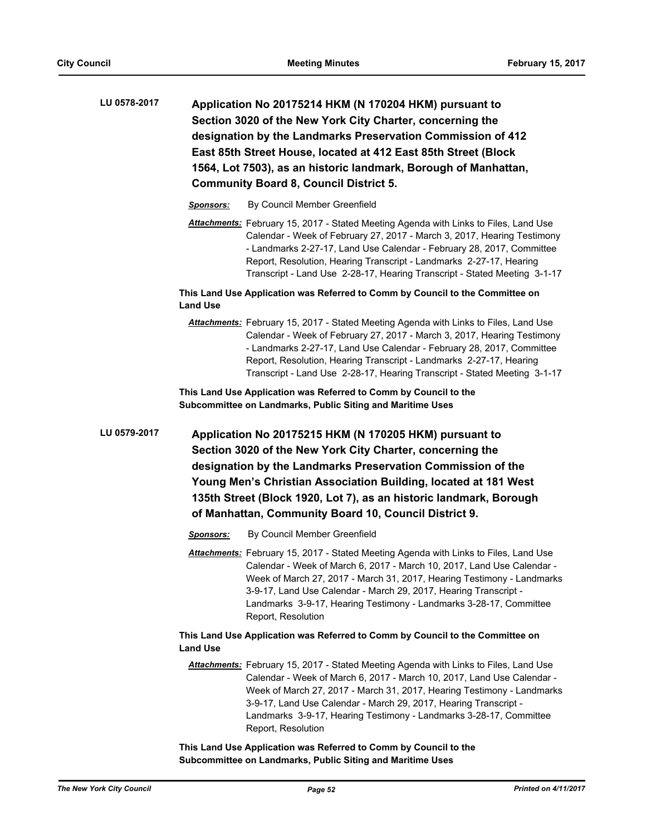**Application No 20175214 HKM (N 170204 HKM) pursuant to Section 3020 of the New York City Charter, concerning the designation by the Landmarks Preservation Commission of 412 East 85th Street House, located at 412 East 85th Street (Block 1564, Lot 7503), as an historic landmark, Borough of Manhattan, Community Board 8, Council District 5. LU 0578-2017**

*Sponsors:* By Council Member Greenfield

*Attachments:* February 15, 2017 - Stated Meeting Agenda with Links to Files, Land Use Calendar - Week of February 27, 2017 - March 3, 2017, Hearing Testimony - Landmarks 2-27-17, Land Use Calendar - February 28, 2017, Committee Report, Resolution, Hearing Transcript - Landmarks 2-27-17, Hearing Transcript - Land Use 2-28-17, Hearing Transcript - Stated Meeting 3-1-17

**This Land Use Application was Referred to Comm by Council to the Committee on Land Use**

*Attachments:* February 15, 2017 - Stated Meeting Agenda with Links to Files, Land Use Calendar - Week of February 27, 2017 - March 3, 2017, Hearing Testimony - Landmarks 2-27-17, Land Use Calendar - February 28, 2017, Committee Report, Resolution, Hearing Transcript - Landmarks 2-27-17, Hearing Transcript - Land Use 2-28-17, Hearing Transcript - Stated Meeting 3-1-17

**This Land Use Application was Referred to Comm by Council to the Subcommittee on Landmarks, Public Siting and Maritime Uses**

**Application No 20175215 HKM (N 170205 HKM) pursuant to Section 3020 of the New York City Charter, concerning the designation by the Landmarks Preservation Commission of the Young Men's Christian Association Building, located at 181 West 135th Street (Block 1920, Lot 7), as an historic landmark, Borough of Manhattan, Community Board 10, Council District 9. LU 0579-2017**

- *Sponsors:* By Council Member Greenfield
- *Attachments:* February 15, 2017 Stated Meeting Agenda with Links to Files, Land Use Calendar - Week of March 6, 2017 - March 10, 2017, Land Use Calendar - Week of March 27, 2017 - March 31, 2017, Hearing Testimony - Landmarks 3-9-17, Land Use Calendar - March 29, 2017, Hearing Transcript - Landmarks 3-9-17, Hearing Testimony - Landmarks 3-28-17, Committee Report, Resolution

## **This Land Use Application was Referred to Comm by Council to the Committee on Land Use**

*Attachments:* February 15, 2017 - Stated Meeting Agenda with Links to Files, Land Use Calendar - Week of March 6, 2017 - March 10, 2017, Land Use Calendar - Week of March 27, 2017 - March 31, 2017, Hearing Testimony - Landmarks 3-9-17, Land Use Calendar - March 29, 2017, Hearing Transcript - Landmarks 3-9-17, Hearing Testimony - Landmarks 3-28-17, Committee Report, Resolution

**This Land Use Application was Referred to Comm by Council to the Subcommittee on Landmarks, Public Siting and Maritime Uses**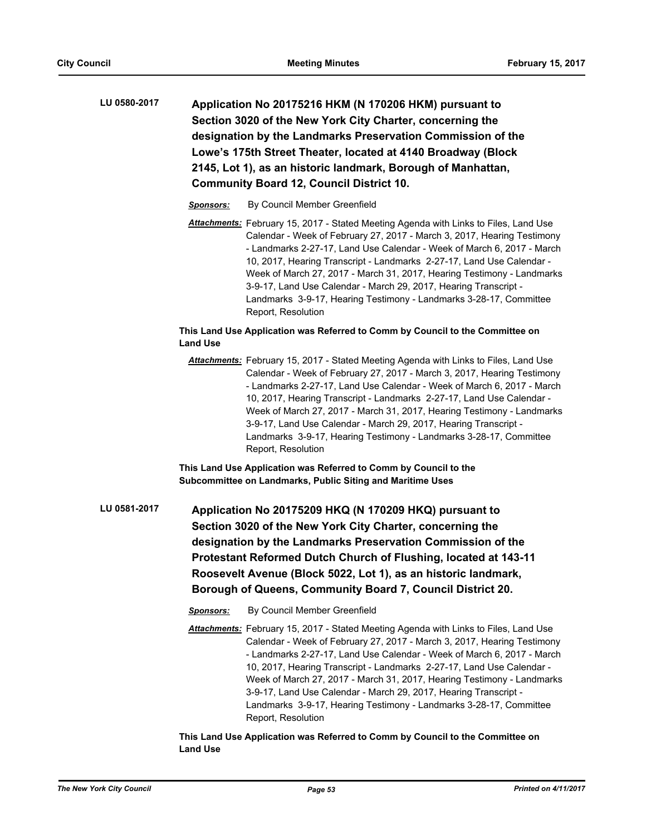| LU 0580-2017 | Application No 20175216 HKM (N 170206 HKM) pursuant to       |
|--------------|--------------------------------------------------------------|
|              | Section 3020 of the New York City Charter, concerning the    |
|              | designation by the Landmarks Preservation Commission of the  |
|              | Lowe's 175th Street Theater, located at 4140 Broadway (Block |
|              | 2145, Lot 1), as an historic landmark, Borough of Manhattan, |
|              | <b>Community Board 12, Council District 10.</b>              |

- *Sponsors:* By Council Member Greenfield
- *Attachments:* February 15, 2017 Stated Meeting Agenda with Links to Files, Land Use Calendar - Week of February 27, 2017 - March 3, 2017, Hearing Testimony - Landmarks 2-27-17, Land Use Calendar - Week of March 6, 2017 - March 10, 2017, Hearing Transcript - Landmarks 2-27-17, Land Use Calendar - Week of March 27, 2017 - March 31, 2017, Hearing Testimony - Landmarks 3-9-17, Land Use Calendar - March 29, 2017, Hearing Transcript - Landmarks 3-9-17, Hearing Testimony - Landmarks 3-28-17, Committee Report, Resolution

## **This Land Use Application was Referred to Comm by Council to the Committee on Land Use**

*Attachments:* February 15, 2017 - Stated Meeting Agenda with Links to Files, Land Use Calendar - Week of February 27, 2017 - March 3, 2017, Hearing Testimony - Landmarks 2-27-17, Land Use Calendar - Week of March 6, 2017 - March 10, 2017, Hearing Transcript - Landmarks 2-27-17, Land Use Calendar - Week of March 27, 2017 - March 31, 2017, Hearing Testimony - Landmarks 3-9-17, Land Use Calendar - March 29, 2017, Hearing Transcript - Landmarks 3-9-17, Hearing Testimony - Landmarks 3-28-17, Committee Report, Resolution

**This Land Use Application was Referred to Comm by Council to the Subcommittee on Landmarks, Public Siting and Maritime Uses**

- **Application No 20175209 HKQ (N 170209 HKQ) pursuant to Section 3020 of the New York City Charter, concerning the designation by the Landmarks Preservation Commission of the Protestant Reformed Dutch Church of Flushing, located at 143-11 Roosevelt Avenue (Block 5022, Lot 1), as an historic landmark, Borough of Queens, Community Board 7, Council District 20. LU 0581-2017**
	- *Sponsors:* By Council Member Greenfield
	- *Attachments:* February 15, 2017 Stated Meeting Agenda with Links to Files, Land Use Calendar - Week of February 27, 2017 - March 3, 2017, Hearing Testimony - Landmarks 2-27-17, Land Use Calendar - Week of March 6, 2017 - March 10, 2017, Hearing Transcript - Landmarks 2-27-17, Land Use Calendar - Week of March 27, 2017 - March 31, 2017, Hearing Testimony - Landmarks 3-9-17, Land Use Calendar - March 29, 2017, Hearing Transcript - Landmarks 3-9-17, Hearing Testimony - Landmarks 3-28-17, Committee Report, Resolution

**This Land Use Application was Referred to Comm by Council to the Committee on Land Use**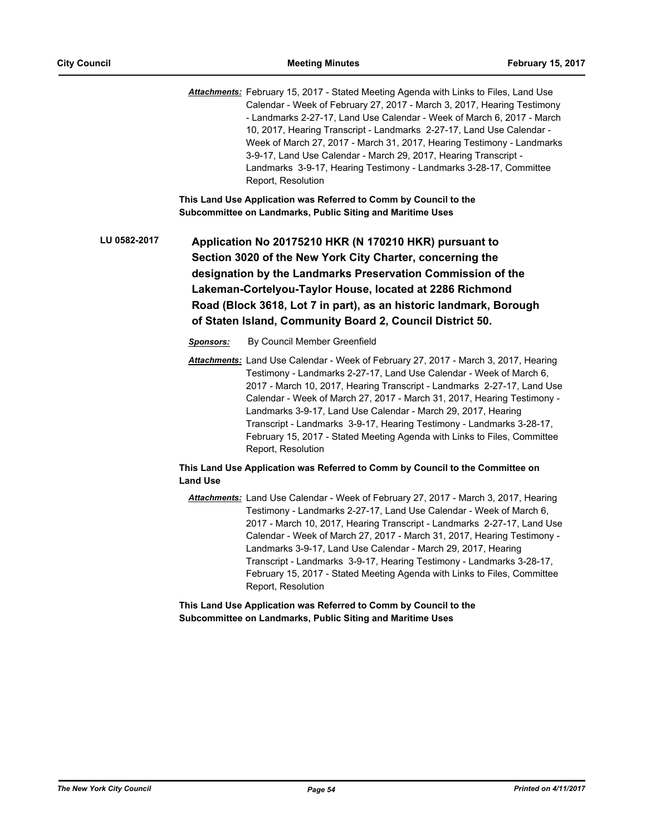*Attachments:* February 15, 2017 - Stated Meeting Agenda with Links to Files, Land Use Calendar - Week of February 27, 2017 - March 3, 2017, Hearing Testimony - Landmarks 2-27-17, Land Use Calendar - Week of March 6, 2017 - March 10, 2017, Hearing Transcript - Landmarks 2-27-17, Land Use Calendar - Week of March 27, 2017 - March 31, 2017, Hearing Testimony - Landmarks 3-9-17, Land Use Calendar - March 29, 2017, Hearing Transcript - Landmarks 3-9-17, Hearing Testimony - Landmarks 3-28-17, Committee Report, Resolution

**This Land Use Application was Referred to Comm by Council to the Subcommittee on Landmarks, Public Siting and Maritime Uses**

**Application No 20175210 HKR (N 170210 HKR) pursuant to Section 3020 of the New York City Charter, concerning the designation by the Landmarks Preservation Commission of the Lakeman-Cortelyou-Taylor House, located at 2286 Richmond Road (Block 3618, Lot 7 in part), as an historic landmark, Borough of Staten Island, Community Board 2, Council District 50. LU 0582-2017**

*Sponsors:* By Council Member Greenfield

*Attachments:* Land Use Calendar - Week of February 27, 2017 - March 3, 2017, Hearing Testimony - Landmarks 2-27-17, Land Use Calendar - Week of March 6, 2017 - March 10, 2017, Hearing Transcript - Landmarks 2-27-17, Land Use Calendar - Week of March 27, 2017 - March 31, 2017, Hearing Testimony - Landmarks 3-9-17, Land Use Calendar - March 29, 2017, Hearing Transcript - Landmarks 3-9-17, Hearing Testimony - Landmarks 3-28-17, February 15, 2017 - Stated Meeting Agenda with Links to Files, Committee Report, Resolution

## **This Land Use Application was Referred to Comm by Council to the Committee on Land Use**

*Attachments:* Land Use Calendar - Week of February 27, 2017 - March 3, 2017, Hearing Testimony - Landmarks 2-27-17, Land Use Calendar - Week of March 6, 2017 - March 10, 2017, Hearing Transcript - Landmarks 2-27-17, Land Use Calendar - Week of March 27, 2017 - March 31, 2017, Hearing Testimony - Landmarks 3-9-17, Land Use Calendar - March 29, 2017, Hearing Transcript - Landmarks 3-9-17, Hearing Testimony - Landmarks 3-28-17, February 15, 2017 - Stated Meeting Agenda with Links to Files, Committee Report, Resolution

**This Land Use Application was Referred to Comm by Council to the Subcommittee on Landmarks, Public Siting and Maritime Uses**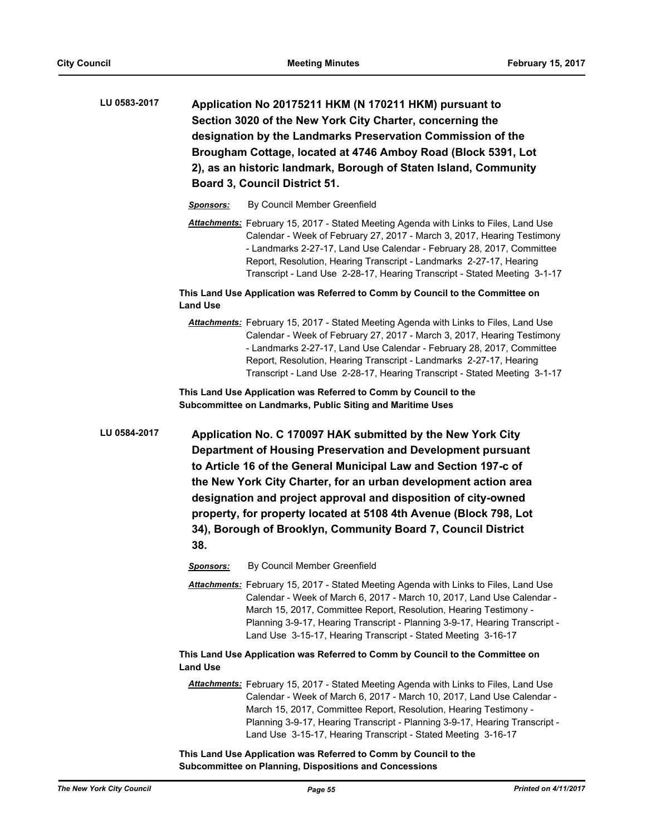- **Application No 20175211 HKM (N 170211 HKM) pursuant to Section 3020 of the New York City Charter, concerning the designation by the Landmarks Preservation Commission of the Brougham Cottage, located at 4746 Amboy Road (Block 5391, Lot 2), as an historic landmark, Borough of Staten Island, Community Board 3, Council District 51. LU 0583-2017**
	- *Sponsors:* By Council Member Greenfield
	- *Attachments:* February 15, 2017 Stated Meeting Agenda with Links to Files, Land Use Calendar - Week of February 27, 2017 - March 3, 2017, Hearing Testimony - Landmarks 2-27-17, Land Use Calendar - February 28, 2017, Committee Report, Resolution, Hearing Transcript - Landmarks 2-27-17, Hearing Transcript - Land Use 2-28-17, Hearing Transcript - Stated Meeting 3-1-17

**This Land Use Application was Referred to Comm by Council to the Committee on Land Use**

*Attachments:* February 15, 2017 - Stated Meeting Agenda with Links to Files, Land Use Calendar - Week of February 27, 2017 - March 3, 2017, Hearing Testimony - Landmarks 2-27-17, Land Use Calendar - February 28, 2017, Committee Report, Resolution, Hearing Transcript - Landmarks 2-27-17, Hearing Transcript - Land Use 2-28-17, Hearing Transcript - Stated Meeting 3-1-17

**This Land Use Application was Referred to Comm by Council to the Subcommittee on Landmarks, Public Siting and Maritime Uses**

- **Application No. C 170097 HAK submitted by the New York City Department of Housing Preservation and Development pursuant to Article 16 of the General Municipal Law and Section 197-c of the New York City Charter, for an urban development action area designation and project approval and disposition of city-owned property, for property located at 5108 4th Avenue (Block 798, Lot 34), Borough of Brooklyn, Community Board 7, Council District 38. LU 0584-2017**
	- *Sponsors:* By Council Member Greenfield
	- *Attachments:* February 15, 2017 Stated Meeting Agenda with Links to Files, Land Use Calendar - Week of March 6, 2017 - March 10, 2017, Land Use Calendar - March 15, 2017, Committee Report, Resolution, Hearing Testimony - Planning 3-9-17, Hearing Transcript - Planning 3-9-17, Hearing Transcript - Land Use 3-15-17, Hearing Transcript - Stated Meeting 3-16-17

**This Land Use Application was Referred to Comm by Council to the Committee on Land Use**

*Attachments:* February 15, 2017 - Stated Meeting Agenda with Links to Files, Land Use Calendar - Week of March 6, 2017 - March 10, 2017, Land Use Calendar - March 15, 2017, Committee Report, Resolution, Hearing Testimony - Planning 3-9-17, Hearing Transcript - Planning 3-9-17, Hearing Transcript - Land Use 3-15-17, Hearing Transcript - Stated Meeting 3-16-17

**This Land Use Application was Referred to Comm by Council to the Subcommittee on Planning, Dispositions and Concessions**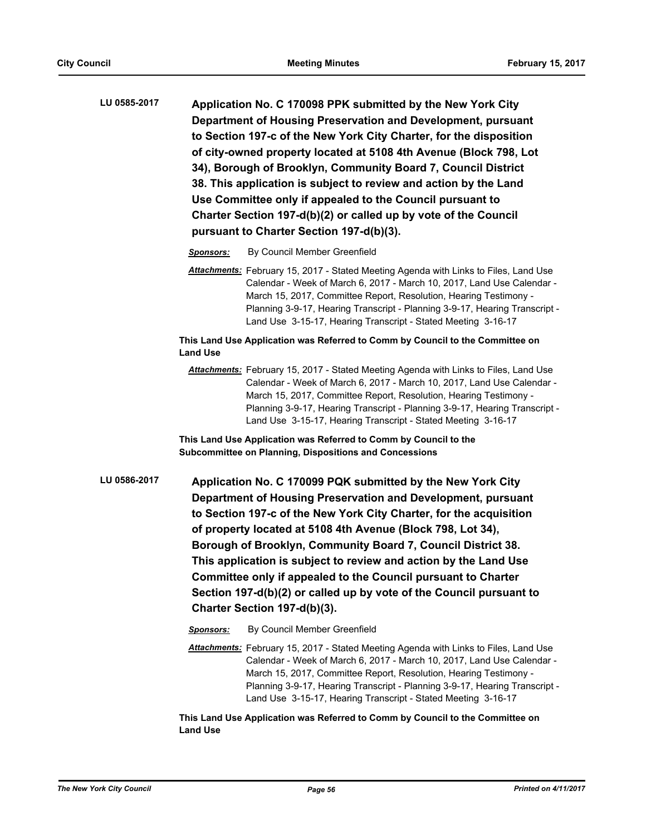| LU 0585-2017 | Application No. C 170098 PPK submitted by the New York City        |
|--------------|--------------------------------------------------------------------|
|              | Department of Housing Preservation and Development, pursuant       |
|              | to Section 197-c of the New York City Charter, for the disposition |
|              | of city-owned property located at 5108 4th Avenue (Block 798, Lot  |
|              | 34), Borough of Brooklyn, Community Board 7, Council District      |
|              | 38. This application is subject to review and action by the Land   |
|              | Use Committee only if appealed to the Council pursuant to          |
|              | Charter Section 197-d(b)(2) or called up by vote of the Council    |
|              | pursuant to Charter Section 197-d(b)(3).                           |
|              |                                                                    |

*Sponsors:* By Council Member Greenfield

*Attachments:* February 15, 2017 - Stated Meeting Agenda with Links to Files, Land Use Calendar - Week of March 6, 2017 - March 10, 2017, Land Use Calendar - March 15, 2017, Committee Report, Resolution, Hearing Testimony - Planning 3-9-17, Hearing Transcript - Planning 3-9-17, Hearing Transcript - Land Use 3-15-17, Hearing Transcript - Stated Meeting 3-16-17

## **This Land Use Application was Referred to Comm by Council to the Committee on Land Use**

*Attachments:* February 15, 2017 - Stated Meeting Agenda with Links to Files, Land Use Calendar - Week of March 6, 2017 - March 10, 2017, Land Use Calendar - March 15, 2017, Committee Report, Resolution, Hearing Testimony - Planning 3-9-17, Hearing Transcript - Planning 3-9-17, Hearing Transcript - Land Use 3-15-17, Hearing Transcript - Stated Meeting 3-16-17

**This Land Use Application was Referred to Comm by Council to the Subcommittee on Planning, Dispositions and Concessions**

- **Application No. C 170099 PQK submitted by the New York City Department of Housing Preservation and Development, pursuant to Section 197-c of the New York City Charter, for the acquisition of property located at 5108 4th Avenue (Block 798, Lot 34), Borough of Brooklyn, Community Board 7, Council District 38. This application is subject to review and action by the Land Use Committee only if appealed to the Council pursuant to Charter Section 197-d(b)(2) or called up by vote of the Council pursuant to Charter Section 197-d(b)(3). LU 0586-2017**
	- *Sponsors:* By Council Member Greenfield
	- *Attachments:* February 15, 2017 Stated Meeting Agenda with Links to Files, Land Use Calendar - Week of March 6, 2017 - March 10, 2017, Land Use Calendar - March 15, 2017, Committee Report, Resolution, Hearing Testimony - Planning 3-9-17, Hearing Transcript - Planning 3-9-17, Hearing Transcript - Land Use 3-15-17, Hearing Transcript - Stated Meeting 3-16-17

**This Land Use Application was Referred to Comm by Council to the Committee on Land Use**